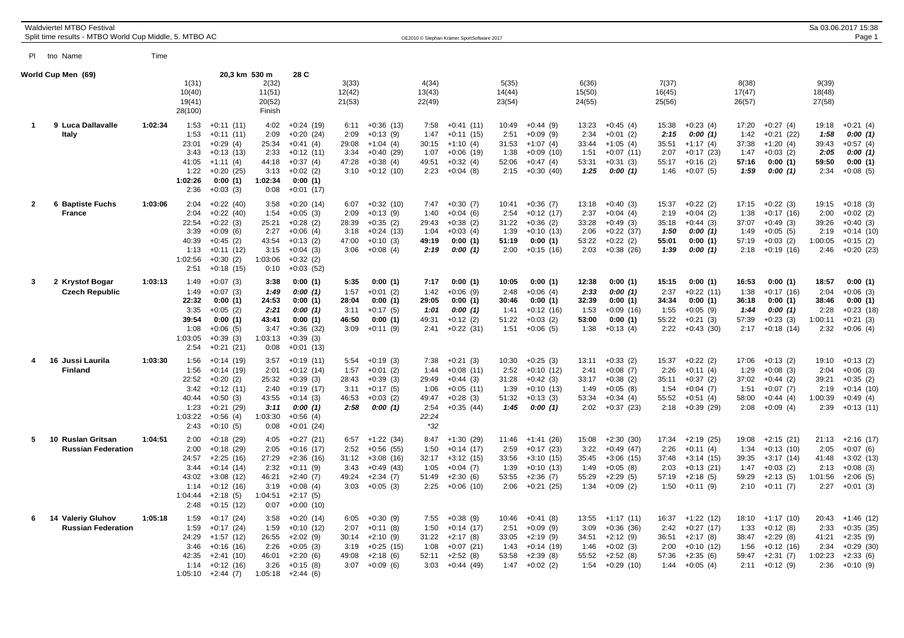|                | Waldviertel MTBO Festival<br>Split time results - MTBO World Cup Middle, 5. MTBO AC |         |                                                                   |                                                                                                                     |                                                                   |                                                                                                                  |                                                |                                                                                        |                                                                  | OE2010 © Stephan Krämer SportSoftware 2017                                                     |                                                 |                                                                                        |                                                 |                                                                                          |                                                 |                                                                                               |                                                 |                                                                                          |                                                   | Sa 03.06.2017 15:38<br>Page 1                                                       |
|----------------|-------------------------------------------------------------------------------------|---------|-------------------------------------------------------------------|---------------------------------------------------------------------------------------------------------------------|-------------------------------------------------------------------|------------------------------------------------------------------------------------------------------------------|------------------------------------------------|----------------------------------------------------------------------------------------|------------------------------------------------------------------|------------------------------------------------------------------------------------------------|-------------------------------------------------|----------------------------------------------------------------------------------------|-------------------------------------------------|------------------------------------------------------------------------------------------|-------------------------------------------------|-----------------------------------------------------------------------------------------------|-------------------------------------------------|------------------------------------------------------------------------------------------|---------------------------------------------------|-------------------------------------------------------------------------------------|
| PI.            | tno Name                                                                            | Time    |                                                                   |                                                                                                                     |                                                                   |                                                                                                                  |                                                |                                                                                        |                                                                  |                                                                                                |                                                 |                                                                                        |                                                 |                                                                                          |                                                 |                                                                                               |                                                 |                                                                                          |                                                   |                                                                                     |
|                | World Cup Men (69)                                                                  |         | 1(31)<br>10(40)<br>19(41)<br>28(100)                              | 20,3 km 530 m                                                                                                       | 2(32)<br>11(51)<br>20(52)<br>Finish                               | 28 C                                                                                                             | 3(33)<br>12(42)<br>21(53)                      |                                                                                        | 4(34)<br>13(43)<br>22(49)                                        |                                                                                                | 5(35)<br>14(44)<br>23(54)                       |                                                                                        | 6(36)<br>15(50)<br>24(55)                       |                                                                                          | 7(37)<br>16(45)<br>25(56)                       |                                                                                               | 8(38)<br>17(47)<br>26(57)                       |                                                                                          | 9(39)<br>18(48)<br>27(58)                         |                                                                                     |
| 1              | 9 Luca Dallavalle<br>Italy                                                          | 1:02:34 | 1:53<br>1:53<br>23:01<br>3:43<br>41:05<br>1:22<br>1:02:26<br>2:36 | $+0:11(11)$<br>$+0:11(11)$<br>$+0:29(4)$<br>$+0:13(13)$<br>$+1:11(4)$<br>$+0:20(25)$<br>0:00(1)<br>$+0:03(3)$       | 4:02<br>2:09<br>25:34<br>2:33<br>44:18<br>3:13<br>1:02:34<br>0:08 | $+0:24(19)$<br>$+0:20(24)$<br>$+0:41(4)$<br>$+0:12(11)$<br>$+0:37(4)$<br>$+0:02(2)$<br>0:00(1)<br>$+0:01(17)$    | 6:11<br>2:09<br>29:08<br>3:34<br>47:28<br>3:10 | $+0:36(13)$<br>$+0:13(9)$<br>$+1:04(4)$<br>$+0:40(29)$<br>$+0:38(4)$<br>$+0:12(10)$    | 7:58<br>1:47<br>30:15<br>1:07<br>49:51<br>2:23                   | $+0:41(11)$<br>$+0:11(15)$<br>$+1:10(4)$<br>$+0:06(19)$<br>$+0:32(4)$<br>$+0:04(8)$            | 10:49<br>2:51<br>31:53<br>1:38<br>52:06<br>2:15 | $+0:44(9)$<br>$+0:09(9)$<br>$+1:07(4)$<br>$+0:09(10)$<br>$+0:47(4)$<br>$+0:30(40)$     | 13:23<br>2:34<br>33:44<br>1:51<br>53:31<br>1:25 | $+0:45(4)$<br>$+0:01(2)$<br>$+1:05(4)$<br>$+0:07(11)$<br>$+0:31(3)$<br>0:00(1)           | 15:38<br>2:15<br>35:51<br>2:07<br>55:17<br>1:46 | $+0:23(4)$<br>0:00(1)<br>$+1:17(4)$<br>$+0:17(23)$<br>$+0:16(2)$<br>$+0:07(5)$                | 17:20<br>1:42<br>37:38<br>1:47<br>57:16<br>1:59 | $+0:27(4)$<br>$+0:21(22)$<br>$+1:20(4)$<br>$+0:03(2)$<br>0:00(1)<br>0:00(1)              | 19:18<br>1:58<br>39:43<br>2:05<br>59.50<br>2:34   | $+0:21(4)$<br>0:00(1)<br>$+0:57(4)$<br>0:00(1)<br>0:00(1)<br>$+0:08(5)$             |
| $\overline{2}$ | <b>6 Baptiste Fuchs</b><br><b>France</b>                                            | 1:03:06 | 2:04<br>2:04<br>22:54<br>3:39<br>40:39<br>1:13<br>1:02:56<br>2:51 | $+0:22(40)$<br>$+0:22(40)$<br>$+0:22(3)$<br>$+0.09(6)$<br>$+0:45(2)$<br>$+0:11(12)$<br>$+0:30(2)$<br>$+0:18(15)$    | 3:58<br>1:54<br>25:21<br>2:27<br>43:54<br>3:15<br>1:03:06<br>0:10 | $+0:20(14)$<br>$+0:05(3)$<br>$+0:28(2)$<br>$+0:06(4)$<br>$+0:13(2)$<br>$+0:04(3)$<br>$+0:32(2)$<br>$+0:03(52)$   | 6:07<br>2:09<br>28:39<br>3:18<br>47:00<br>3:06 | $+0:32(10)$<br>$+0:13(9)$<br>$+0:35(2)$<br>$+0:24(13)$<br>$+0:10(3)$<br>$+0:08(4)$     | 7:47<br>1:40<br>29:43<br>1:04<br>49:19<br>2:19                   | $+0:30(7)$<br>$+0:04(6)$<br>$+0:38(2)$<br>$+0:03(4)$<br>0:00(1)<br>0:00(1)                     | 10:41<br>2:54<br>31:22<br>1:39<br>51:19<br>2:00 | $+0:36(7)$<br>$+0:12(17)$<br>$+0:36(2)$<br>$+0:10(13)$<br>0:00(1)<br>$+0:15(16)$       | 13:18<br>2:37<br>33:28<br>2:06<br>53:22<br>2:03 | $+0:40(3)$<br>$+0:04(4)$<br>$+0:49(3)$<br>$+0:22(37)$<br>$+0:22(2)$<br>$+0:38(26)$       | 15:37<br>2:19<br>35:18<br>1:50<br>55:01<br>1:39 | $+0:22(2)$<br>$+0:04(2)$<br>$+0:44(3)$<br>0:00(1)<br>0:00(1)<br>0:00(1)                       | 17:15<br>1:38<br>37:07<br>1:49<br>57:19<br>2:18 | $+0:22(3)$<br>$+0:17(16)$<br>$+0:49(3)$<br>$+0:05(5)$<br>$+0:03(2)$<br>$+0:19(16)$       | 19:15<br>2:00<br>39:26<br>2:19<br>1:00:05<br>2:46 | $+0:18(3)$<br>$+0:02(2)$<br>$+0:40(3)$<br>$+0:14(10)$<br>$+0:15(2)$<br>$+0:20(23)$  |
| 3              | 2 Krystof Bogar<br><b>Czech Republic</b>                                            | 1:03:13 | 1:49<br>1:49<br>22:32<br>3:35<br>39:54<br>1:08<br>1:03:05<br>2:54 | $+0:07(3)$<br>$+0:07(3)$<br>0:00(1)<br>$+0:05(2)$<br>0:00(1)<br>$+0:06(5)$<br>$+0:39(3)$<br>$+0:21(21)$             | 3:38<br>1:49<br>24:53<br>2:21<br>43:41<br>3:47<br>1:03:13<br>0:08 | 0:00(1)<br>0:00(1)<br>0:00(1)<br>0:00(1)<br>0:00(1)<br>$+0:36(32)$<br>$+0:39(3)$<br>$+0:01(13)$                  | 5:35<br>1:57<br>28:04<br>3:11<br>46:50<br>3:09 | 0:00(1)<br>$+0:01(2)$<br>0:00(1)<br>$+0:17(5)$<br>0:00(1)<br>$+0:11(9)$                | 7:17<br>1:42<br>29:05<br>1:01<br>49:31<br>2:41                   | 0:00(1)<br>$+0:06(9)$<br>0:00(1)<br>0:00(1)<br>$+0:12(2)$<br>$+0:22(31)$                       | 10:05<br>2:48<br>30:46<br>1:41<br>51:22<br>1:51 | 0:00(1)<br>$+0:06(4)$<br>0:00(1)<br>$+0:12(16)$<br>$+0:03(2)$<br>$+0:06(5)$            | 12:38<br>2:33<br>32:39<br>1:53<br>53:00<br>1:38 | 0:00(1)<br>0:00(1)<br>0:00(1)<br>$+0:09(16)$<br>0:00(1)<br>$+0:13(4)$                    | 15:15<br>2:37<br>34:34<br>1:55<br>55:22<br>2:22 | 0:00(1)<br>$+0:22(11)$<br>0:00(1)<br>$+0:05(9)$<br>$+0:21(3)$<br>$+0:43(30)$                  | 16:53<br>1:38<br>36:18<br>1:44<br>57:39<br>2:17 | 0:00(1)<br>$+0:17(16)$<br>0:00(1)<br>0:00(1)<br>$+0:23(3)$<br>$+0:18(14)$                | 18:57<br>2:04<br>38:46<br>2:28<br>1:00:11<br>2:32 | 0:00(1)<br>$+0:06(3)$<br>0:00(1)<br>$+0:23(18)$<br>$+0:21(3)$<br>$+0:06(4)$         |
| 4              | 16 Jussi Laurila<br><b>Finland</b>                                                  | 1:03:30 | 1:56<br>1:56<br>22:52<br>3:42<br>40:44<br>1:23<br>1:03:22<br>2:43 | $+0:14(19)$<br>$+0:14(19)$<br>$+0:20(2)$<br>$+0:12(11)$<br>$+0:50(3)$<br>$+0:21(29)$<br>$+0.56(4)$<br>$+0:10(5)$    | 3:57<br>2:01<br>25:32<br>2:40<br>43:55<br>3:11<br>1:03:30<br>0:08 | $+0:19(11)$<br>$+0:12(14)$<br>$+0:39(3)$<br>$+0:19(17)$<br>$+0:14(3)$<br>0:00(1)<br>$+0.56(4)$<br>$+0:01(24)$    | 5:54<br>1:57<br>28:43<br>3:11<br>46:53<br>2:58 | $+0:19(3)$<br>$+0:01(2)$<br>$+0:39(3)$<br>$+0:17(5)$<br>$+0:03(2)$<br>0:00(1)          | 7:38<br>1:44<br>29:49<br>1:06<br>49:47<br>2:54<br>22:24<br>$*32$ | $+0:21(3)$<br>$+0:08(11)$<br>$+0:44(3)$<br>$+0:05(11)$<br>$+0.28(3)$<br>$+0:35(44)$            | 10:30<br>2:52<br>31:28<br>1:39<br>51:32<br>1:45 | $+0:25(3)$<br>$+0:10(12)$<br>$+0:42(3)$<br>$+0:10(13)$<br>$+0:13(3)$<br>0:00(1)        | 13:11<br>2:41<br>33:17<br>1:49<br>53:34<br>2:02 | $+0:33(2)$<br>$+0:08(7)$<br>$+0:38(2)$<br>$+0:05(8)$<br>$+0:34(4)$<br>$+0:37(23)$        | 15:37<br>2:26<br>35:11<br>1:54<br>55:52<br>2:18 | $+0:22(2)$<br>$+0:11(4)$<br>$+0:37(2)$<br>$+0:04(7)$<br>$+0:51(4)$<br>$+0:39(29)$             | 17:06<br>1:29<br>37:02<br>1:51<br>58:00<br>2:08 | $+0:13(2)$<br>$+0:08(3)$<br>$+0:44(2)$<br>$+0:07(7)$<br>$+0:44(4)$<br>$+0:09(4)$         | 19:10<br>2:04<br>39:21<br>2:19<br>1:00:39<br>2:39 | $+0:13(2)$<br>$+0:06(3)$<br>$+0:35(2)$<br>$+0:14(10)$<br>$+0:49(4)$<br>$+0:13(11)$  |
| 5              | 10 Ruslan Gritsan<br><b>Russian Federation</b>                                      | 1:04:51 | 2:00<br>2:00<br>24:57<br>3:44<br>43:02<br>1:14<br>1:04:44<br>2:48 | $+0:18(29)$<br>$+0:18(29)$<br>$+2:25(16)$<br>$+0:14(14)$<br>$+3:08(12)$<br>$+0:12(16)$<br>$+2:18(5)$<br>$+0:15(12)$ | 4:05<br>2:05<br>27:29<br>2:32<br>46:21<br>3:19<br>1:04:51<br>0:07 | $+0:27(21)$<br>$+0:16(17)$<br>$+2:36(16)$<br>$+0:11(9)$<br>$+2:40(7)$<br>$+0:08(4)$<br>$+2:17(5)$<br>$+0:00(10)$ | 6:57<br>2:52<br>31:12<br>3:43<br>49:24<br>3:03 | $+1:22(34)$<br>$+0.56(55)$<br>$+3:08(16)$<br>$+0:49(43)$<br>$+2:34(7)$<br>$+0:05(3)$   | 8:47<br>1:50<br>32:17<br>1:05<br>51:49<br>2:25                   | $+1:30(29)$<br>$+0:14(17)$<br>$+3:12(15)$<br>$+0:04(7)$<br>$+2:30(6)$<br>$+0:06(10)$           | 11:46<br>2:59<br>33:56<br>1:39<br>53:55<br>2:06 | +1:41 (26)<br>$+0:17(23)$<br>$+3:10(15)$<br>$+0:10(13)$<br>$+2:36(7)$<br>$+0:21(25)$   | 15:08<br>3:22<br>35:45<br>1:49<br>55:29<br>1:34 | $+2:30(30)$<br>$+0:49(47)$<br>$+3:06(15)$<br>$+0:05(8)$<br>$+2:29(5)$<br>$+0:09(2)$      | 17:34<br>2:26<br>37:48<br>2:03<br>57:19<br>1:50 | +2:19 (25)<br>$+0:11(4)$<br>$+3:14(15)$<br>$+0:13(21)$<br>$+2:18(5)$<br>$+0:11(9)$            | 19:08<br>1:34<br>39:35<br>1:47<br>59:29<br>2:10 | $+2:15(21)$<br>$+0:13(10)$<br>$+3:17(14)$<br>$+0:03(2)$<br>$+2:13(5)$<br>$+0:11(7)$      | 21:13<br>2:05<br>41:48<br>2:13<br>1:01:56<br>2:27 | $+2:16(17)$<br>$+0:07(6)$<br>$+3:02(13)$<br>$+0:08(3)$<br>$+2:06(5)$<br>$+0:01(3)$  |
| 6              | 14 Valeriy Gluhov<br><b>Russian Federation</b>                                      | 1:05:18 | 1:59<br>1:59<br>24:29<br>3:46<br>42:35<br>1:14<br>1:05:10         | $+0:17(24)$<br>$+0:17(24)$<br>$+1:57(12)$<br>$+0:16(16)$<br>$+2:41(10)$<br>$+0:12(16)$<br>$+2:44(7)$                | 3:58<br>1:59<br>26:55<br>2:26<br>46:01<br>3:26<br>1:05:18         | $+0:20(14)$<br>$+0:10(12)$<br>$+2:02(9)$<br>$+0:05(3)$<br>$+2:20(6)$<br>$+0:15(8)$<br>$+2:44(6)$                 | 6:05<br>2:07<br>30:14<br>3:19<br>49:08         | $+0:30(9)$<br>$+0:11(8)$<br>$+2:10(9)$<br>$+0:25(15)$<br>$+2:18(6)$<br>$3:07 +0:09(6)$ | 1:50<br>31:22<br>1:08<br>52:11                                   | $7:55 + 0:38(9)$<br>$+0:14(17)$<br>$+2:17(8)$<br>$+0:07(21)$<br>$+2:52(8)$<br>$3:03 +0:44(49)$ | 10:46<br>2:51<br>33:05<br>1:43<br>53:58         | $+0:41(8)$<br>$+0:09(9)$<br>$+2:19(9)$<br>$+0:14(19)$<br>$+2:39(8)$<br>$1:47 +0:02(2)$ | 13:55<br>3:09<br>34:51<br>1:46<br>55:52         | $+1:17(11)$<br>$+0:36(36)$<br>$+2:12(9)$<br>$+0:02(3)$<br>$+2:52(8)$<br>$1:54 +0:29(10)$ | 36:51<br>2:00<br>57:36<br>1:44                  | 16:37 +1:22 (12)<br>$2:42 +0:27(17)$<br>$+2:17(8)$<br>$+0:10(12)$<br>$+2:35(6)$<br>$+0:05(4)$ | 18:10<br>1:33<br>38:47<br>1:56<br>59:47         | $+1:17(10)$<br>$+0:12(8)$<br>$+2:29(8)$<br>$+0:12(16)$<br>$+2:31(7)$<br>$2:11 + 0:12(9)$ | 20:43<br>2:33<br>41:21<br>2:34<br>1:02:23<br>2:36 | $+1:46(12)$<br>$+0:35(35)$<br>$+2:35(9)$<br>$+0.29(30)$<br>$+2:33(6)$<br>$+0:10(9)$ |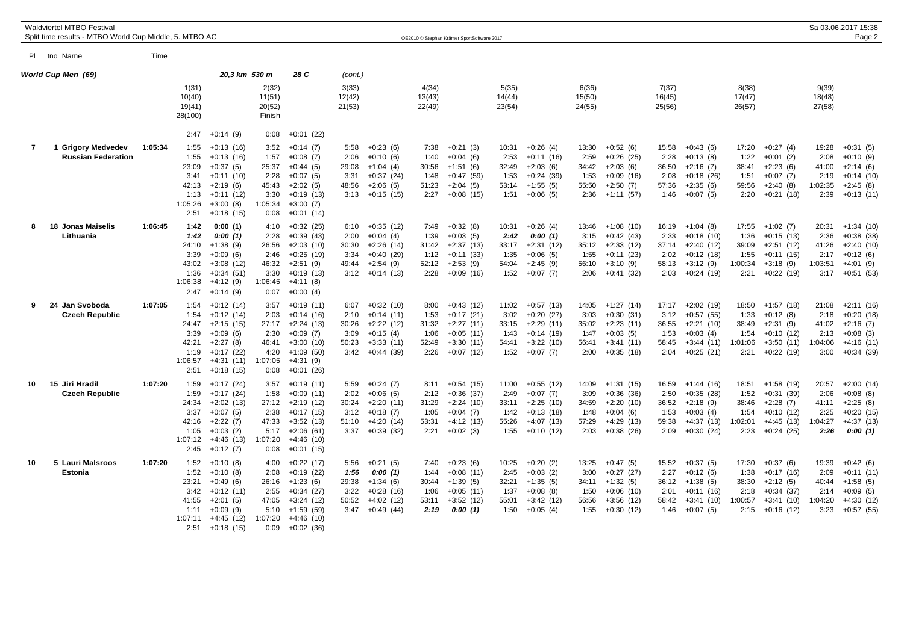|                | <b>Waldviertel MTBO Festival</b><br>Split time results - MTBO World Cup Middle, 5. MTBO AC |         |                                                                   |                                                                                                                    |                                                                   |                                                                                                                      |                                                |                                                                                             |                                                | OE2010 © Stephan Krämer SportSoftware 2017                                             |                                                 |                                                                                       |                                                 |                                                                                       |                                                 |                                                                                             |                                                   |                                                                                       |                                                   | Sa 03.06.2017 15:38<br>Page 2                                                        |
|----------------|--------------------------------------------------------------------------------------------|---------|-------------------------------------------------------------------|--------------------------------------------------------------------------------------------------------------------|-------------------------------------------------------------------|----------------------------------------------------------------------------------------------------------------------|------------------------------------------------|---------------------------------------------------------------------------------------------|------------------------------------------------|----------------------------------------------------------------------------------------|-------------------------------------------------|---------------------------------------------------------------------------------------|-------------------------------------------------|---------------------------------------------------------------------------------------|-------------------------------------------------|---------------------------------------------------------------------------------------------|---------------------------------------------------|---------------------------------------------------------------------------------------|---------------------------------------------------|--------------------------------------------------------------------------------------|
|                | PI tho Name                                                                                | Time    |                                                                   |                                                                                                                    |                                                                   |                                                                                                                      |                                                |                                                                                             |                                                |                                                                                        |                                                 |                                                                                       |                                                 |                                                                                       |                                                 |                                                                                             |                                                   |                                                                                       |                                                   |                                                                                      |
|                | World Cup Men (69)                                                                         |         |                                                                   | 20,3 km 530 m                                                                                                      |                                                                   | 28 C                                                                                                                 | (cont.)                                        |                                                                                             |                                                |                                                                                        |                                                 |                                                                                       |                                                 |                                                                                       |                                                 |                                                                                             |                                                   |                                                                                       |                                                   |                                                                                      |
|                |                                                                                            |         | 1(31)<br>10(40)<br>19(41)<br>28(100)                              |                                                                                                                    | 2(32)<br>11(51)<br>20(52)<br>Finish                               |                                                                                                                      | 3(33)<br>12(42)<br>21(53)                      |                                                                                             | 4(34)<br>13(43)<br>22(49)                      |                                                                                        | 5(35)<br>14(44)<br>23(54)                       |                                                                                       | 6(36)<br>15(50)<br>24(55)                       |                                                                                       | 7(37)<br>16(45)<br>25(56)                       |                                                                                             | 8(38)<br>17(47)<br>26(57)                         |                                                                                       | 9(39)<br>18(48)<br>27(58)                         |                                                                                      |
|                |                                                                                            |         | 2:47                                                              | $+0:14(9)$                                                                                                         | 0:08                                                              | $+0:01(22)$                                                                                                          |                                                |                                                                                             |                                                |                                                                                        |                                                 |                                                                                       |                                                 |                                                                                       |                                                 |                                                                                             |                                                   |                                                                                       |                                                   |                                                                                      |
| $\overline{7}$ | <b>Grigory Medvedev</b><br><b>Russian Federation</b>                                       | 1:05:34 | 1:55<br>1:55<br>23:09<br>3:41<br>42:13<br>1:13<br>1:05:26<br>2:51 | $+0:13(16)$<br>$+0:13(16)$<br>$+0:37(5)$<br>$+0:11(10)$<br>$+2:19(6)$<br>$+0:11(12)$<br>$+3:00(8)$<br>$+0:18(15)$  | 3:52<br>1:57<br>25:37<br>2:28<br>45:43<br>3:30<br>1:05:34<br>0:08 | $+0:14(7)$<br>$+0:08(7)$<br>$+0:44(5)$<br>$+0:07(5)$<br>$+2:02(5)$<br>$+0:19(13)$<br>$+3:00(7)$<br>$+0:01(14)$       | 5:58<br>2:06<br>29:08<br>3:31<br>48:56         | $+0:23(6)$<br>$+0:10(6)$<br>$+1:04(4)$<br>$+0:37(24)$<br>$+2:06(5)$<br>$3:13 + 0:15(15)$    | 7:38<br>1:40<br>30:56<br>1:48<br>51:23<br>2:27 | $+0:21(3)$<br>$+0:04(6)$<br>$+1:51(6)$<br>$+0:47(59)$<br>$+2:04(5)$<br>$+0:08(15)$     | 10:31<br>2:53<br>32:49<br>1:53<br>53:14<br>1:51 | $+0:26(4)$<br>$+0:11(16)$<br>$+2:03(6)$<br>$+0:24(39)$<br>$+1:55(5)$<br>$+0:06(5)$    | 13:30<br>2:59<br>34:42<br>1:53<br>55:50<br>2:36 | $+0:52(6)$<br>$+0:26(25)$<br>$+2:03(6)$<br>$+0.09(16)$<br>$+2:50(7)$<br>+1:11 (57)    | 15:58<br>2:28<br>36:50<br>2:08<br>57:36<br>1:46 | $+0:43(6)$<br>$+0:13(8)$<br>$+2:16(7)$<br>$+0:18(26)$<br>$+2:35(6)$<br>$+0:07(5)$           | 17:20<br>1:22<br>38:41<br>1:51<br>59:56<br>2:20   | $+0:27(4)$<br>$+0:01(2)$<br>$+2:23(6)$<br>$+0:07(7)$<br>$+2:40(8)$<br>$+0:21(18)$     | 19:28<br>2:08<br>41:00<br>2:19<br>1:02:35<br>2:39 | $+0:31(5)$<br>$+0:10(9)$<br>$+2:14(6)$<br>$+0:14(10)$<br>$+2:45(8)$<br>$+0:13(11)$   |
| 8              | 18 Jonas Maiselis<br>Lithuania                                                             | 1:06:45 | 1:42<br>1:42<br>24:10<br>3:39<br>43:02<br>1:36<br>1:06:38<br>2:47 | 0:00(1)<br>0:00(1)<br>$+1:38(9)$<br>$+0:09(6)$<br>$+3:08(12)$<br>$+0:34(51)$<br>$+4:12(9)$<br>$+0:14(9)$           | 4:10<br>2:28<br>26:56<br>2:46<br>46:32<br>3:30<br>1:06:45<br>0:07 | $+0:32(25)$<br>$+0:39(43)$<br>$+2:03(10)$<br>$+0:25(19)$<br>$+2:51(9)$<br>$+0:19(13)$<br>$+4:11(8)$<br>$+0:00(4)$    | 6:10<br>2:00<br>30:30<br>3:34<br>49:44<br>3:12 | $+0:35(12)$<br>$+0:04(4)$<br>$+2:26(14)$<br>$+0:40(29)$<br>$+2:54(9)$<br>+0:14 (13)         | 7:49<br>1:39<br>31:42<br>1:12<br>52:12<br>2:28 | $+0:32(8)$<br>$+0:03(5)$<br>+2:37 (13)<br>$+0:11(33)$<br>$+2:53(9)$<br>$+0:09(16)$     | 10:31<br>2:42<br>33:17<br>1:35<br>54:04<br>1:52 | $+0:26(4)$<br>0:00(1)<br>$+2:31(12)$<br>$+0:06(5)$<br>$+2:45(9)$<br>$+0:07(7)$        | 13:46<br>3:15<br>35:12<br>1:55<br>56:10<br>2:06 | $+1:08(10)$<br>$+0:42(43)$<br>$+2:33(12)$<br>$+0:11(23)$<br>$+3:10(9)$<br>$+0:41(32)$ | 2:33<br>37:14<br>2:02<br>58:13<br>2:03          | $16:19 + 1:04(8)$<br>$+0:18(10)$<br>$+2:40(12)$<br>$+0:12(18)$<br>$+3:12(9)$<br>$+0:24(19)$ | 17:55<br>1:36<br>39:09<br>1:55<br>1:00:34<br>2:21 | $+1:02(7)$<br>$+0:15(13)$<br>$+2:51(12)$<br>$+0:11(15)$<br>$+3:18(9)$<br>$+0:22(19)$  | 20:31<br>2:36<br>41:26<br>2:17<br>1:03:51<br>3:17 | $+1:34(10)$<br>$+0:38(38)$<br>$+2:40(10)$<br>$+0:12(6)$<br>$+4:01(9)$<br>$+0:51(53)$ |
| 9              | 24 Jan Svoboda<br><b>Czech Republic</b>                                                    | 1:07:05 | 1:54<br>1:54<br>24:47<br>3:39<br>42:21<br>1:19<br>1:06:57<br>2:51 | $+0:12(14)$<br>$+0:12(14)$<br>$+2:15(15)$<br>$+0:09(6)$<br>$+2:27(8)$<br>$+0:17(22)$<br>$+4:31(11)$<br>$+0.18(15)$ | 3:57<br>2:03<br>27:17<br>2:30<br>46:41<br>4:20<br>1:07:05<br>0:08 | $+0:19(11)$<br>$+0:14(16)$<br>$+2:24(13)$<br>$+0:09(7)$<br>$+3:00(10)$<br>$+1:09(50)$<br>$+4:31(9)$<br>$+0:01(26)$   | 6:07<br>2:10<br>30:26<br>3:09<br>50:23         | $+0:32(10)$<br>$+0:14(11)$<br>$+2:22(12)$<br>$+0:15(4)$<br>$+3:33(11)$<br>$3:42 +0:44$ (39) | 8:00<br>1:53<br>31:32<br>1:06<br>52:49<br>2:26 | $+0:43(12)$<br>$+0:17(21)$<br>$+2:27(11)$<br>$+0:05(11)$<br>$+3:30(11)$<br>$+0:07(12)$ | 11:02<br>3:02<br>33:15<br>1:43<br>54:41<br>1:52 | $+0:57(13)$<br>$+0:20(27)$<br>$+2:29(11)$<br>$+0:14(19)$<br>$+3:22(10)$<br>$+0:07(7)$ | 14:05<br>3:03<br>35:02<br>1:47<br>56:41<br>2:00 | $+1:27(14)$<br>$+0:30(31)$<br>$+2:23(11)$<br>$+0:03(5)$<br>$+3:41(11)$<br>$+0:35(18)$ | 17:17<br>3:12<br>36:55<br>1:53<br>58:45<br>2:04 | $+2:02(19)$<br>$+0.57(55)$<br>$+2:21(10)$<br>$+0:03(4)$<br>$+3:44(11)$<br>$+0:25(21)$       | 18:50<br>1:33<br>38:49<br>1:54<br>1:01:06<br>2:21 | $+1:57(18)$<br>$+0:12(8)$<br>$+2:31(9)$<br>$+0:10(12)$<br>$+3:50(11)$<br>$+0:22(19)$  | 21:08<br>2:18<br>41:02<br>2:13<br>1:04:06<br>3:00 | $+2:11(16)$<br>$+0:20(18)$<br>$+2:16(7)$<br>$+0:08(3)$<br>+4:16 (11)<br>$+0:34(39)$  |
| 10             | 15 Jiri Hradil<br><b>Czech Republic</b>                                                    | 1:07:20 | 1:59<br>1:59<br>24:34<br>3:37<br>42:16<br>1:05<br>1:07:12<br>2:45 | $+0:17(24)$<br>$+0:17(24)$<br>$+2:02(13)$<br>$+0:07(5)$<br>$+2:22(7)$<br>$+0:03(2)$<br>$+4:46(13)$<br>$+0:12(7)$   | 3:57<br>1:58<br>27:12<br>2:38<br>47:33<br>5:17<br>1:07:20<br>0:08 | $+0:19(11)$<br>$+0:09(11)$<br>$+2:19(12)$<br>$+0:17(15)$<br>$+3:52(13)$<br>$+2:06(61)$<br>$+4:46(10)$<br>$+0:01(15)$ | 5:59<br>2:02<br>30:24<br>3:12<br>51:10<br>3:37 | $+0:24(7)$<br>$+0:06(5)$<br>$+2:20(11)$<br>$+0:18(7)$<br>$+4:20(14)$<br>$+0:39(32)$         | 8:11<br>2:12<br>31:29<br>1:05<br>53:31<br>2:21 | $+0:54(15)$<br>$+0:36(37)$<br>$+2:24(10)$<br>$+0:04(7)$<br>$+4:12(13)$<br>$+0:02(3)$   | 11:00<br>2:49<br>33:11<br>1:42<br>55:26<br>1:55 | $+0:55(12)$<br>$+0:07(7)$<br>$+2:25(10)$<br>$+0:13(18)$<br>$+4:07(13)$<br>$+0:10(12)$ | 14:09<br>3:09<br>34:59<br>1:48<br>57:29<br>2:03 | $+1:31(15)$<br>$+0:36(36)$<br>$+2:20(10)$<br>$+0.04(6)$<br>$+4:29(13)$<br>$+0:38(26)$ | 16:59<br>2:50<br>36:52<br>1:53<br>59:38<br>2:09 | $+1:44(16)$<br>$+0:35(28)$<br>$+2:18(9)$<br>$+0:03(4)$<br>$+4:37(13)$<br>$+0:30(24)$        | 18:51<br>1:52<br>38:46<br>1:54<br>1:02:01<br>2:23 | $+1:58(19)$<br>$+0:31(39)$<br>$+2:28(7)$<br>$+0:10(12)$<br>$+4:45(13)$<br>$+0:24(25)$ | 20:57<br>2:06<br>41:11<br>2:25<br>:04:27<br>2:26  | $+2:00(14)$<br>$+0:08(8)$<br>$+2:25(8)$<br>$+0:20(15)$<br>$+4:37(13)$<br>0:00(1)     |
| 10             | 5 Lauri Malsroos<br><b>Estonia</b>                                                         | 1:07:20 | 1:52<br>1:52<br>23:21<br>3:42<br>41:55<br>1:11<br>1:07:11<br>2:51 | $+0:10(8)$<br>$+0:10(8)$<br>$+0.49(6)$<br>$+0:12(11)$<br>$+2:01(5)$<br>$+0:09(9)$<br>$+4:45(12)$<br>$+0:18(15)$    | 4:00<br>2:08<br>26:16<br>2:55<br>47:05<br>5:10<br>1:07:20<br>0:09 | $+0:22(17)$<br>$+0:19(22)$<br>$+1:23(6)$<br>$+0:34(27)$<br>+3:24 (12)<br>$+1:59(59)$<br>$+4:46(10)$<br>$+0:02(36)$   | 5:56<br>1:56<br>29:38<br>3:22<br>50:52<br>3:47 | $+0:21(5)$<br>0:00(1)<br>$+1:34(6)$<br>$+0:28(16)$<br>$+4:02(12)$<br>$+0.49(44)$            | 7:40<br>1:44<br>30:44<br>1:06<br>53:11<br>2:19 | $+0:23(6)$<br>$+0:08(11)$<br>$+1:39(5)$<br>$+0:05(11)$<br>$+3:52(12)$<br>0:00(1)       | 10:25<br>2:45<br>32:21<br>1:37<br>55:01<br>1:50 | $+0:20(2)$<br>$+0:03(2)$<br>$+1:35(5)$<br>$+0:08(8)$<br>$+3:42(12)$<br>$+0:05(4)$     | 13:25<br>3:00<br>34:11<br>1:50<br>56:56<br>1:55 | $+0:47(5)$<br>$+0:27(27)$<br>$+1:32(5)$<br>$+0:06(10)$<br>$+3:56(12)$<br>$+0:30(12)$  | 15:52<br>2:27<br>2:01<br>58:42<br>1:46          | $+0:37(5)$<br>$+0:12(6)$<br>$36:12 +1:38(5)$<br>$+0:11(16)$<br>$+3:41(10)$<br>$+0:07(5)$    | 17:30<br>1:38<br>38:30<br>2:18<br>1:00:57<br>2:15 | $+0:37(6)$<br>$+0:17(16)$<br>$+2:12(5)$<br>$+0:34(37)$<br>$+3:41(10)$<br>$+0:16(12)$  | 19:39<br>2:09<br>40:44<br>2:14<br>1:04:20<br>3:23 | $+0:42(6)$<br>$+0:11(11)$<br>$+1:58(5)$<br>$+0:09(5)$<br>+4:30 (12)<br>$+0.57(55)$   |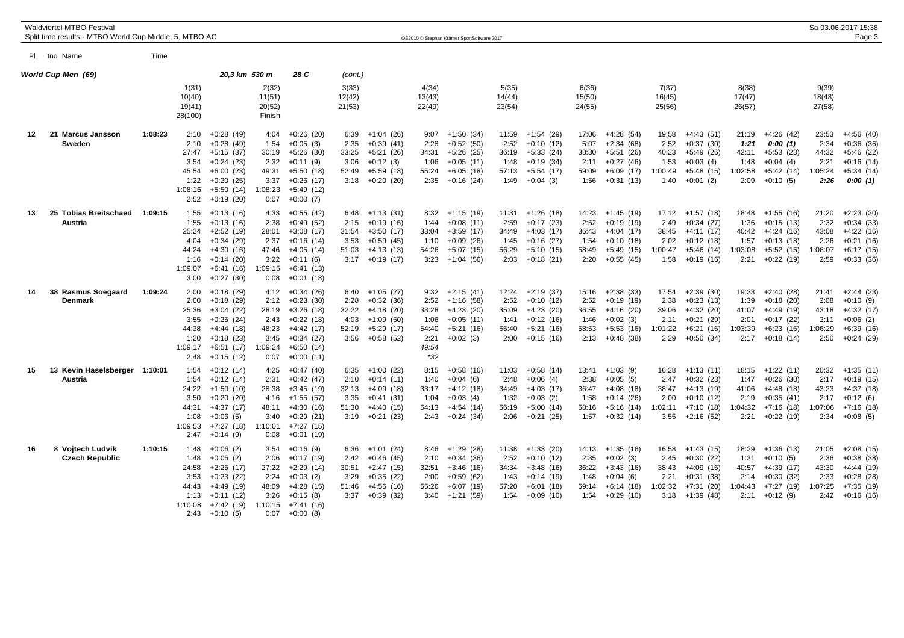|    | <b>Waldviertel MTBO Festival</b><br>Split time results - MTBO World Cup Middle, 5. MTBO AC |         |                                                                   |                                                                                                                      |                                                                   |                                                                                                                      |                                                |                                                                                               |                                                                  | OE2010 © Stephan Krämer SportSoftware 2017                                             |                                                 |                                                                                        |                                                 |                                                                                        |                                                   |                                                                                             |                                                   |                                                                                              |                                                   | Sa 03.06.2017 15:38<br>Page 3                                                          |
|----|--------------------------------------------------------------------------------------------|---------|-------------------------------------------------------------------|----------------------------------------------------------------------------------------------------------------------|-------------------------------------------------------------------|----------------------------------------------------------------------------------------------------------------------|------------------------------------------------|-----------------------------------------------------------------------------------------------|------------------------------------------------------------------|----------------------------------------------------------------------------------------|-------------------------------------------------|----------------------------------------------------------------------------------------|-------------------------------------------------|----------------------------------------------------------------------------------------|---------------------------------------------------|---------------------------------------------------------------------------------------------|---------------------------------------------------|----------------------------------------------------------------------------------------------|---------------------------------------------------|----------------------------------------------------------------------------------------|
|    | PI tho Name                                                                                | Time    |                                                                   |                                                                                                                      |                                                                   |                                                                                                                      |                                                |                                                                                               |                                                                  |                                                                                        |                                                 |                                                                                        |                                                 |                                                                                        |                                                   |                                                                                             |                                                   |                                                                                              |                                                   |                                                                                        |
|    | World Cup Men (69)                                                                         |         | 1(31)                                                             | 20,3 km 530 m                                                                                                        | 2(32)                                                             | 28 C                                                                                                                 | (cont.)<br>3(33)                               |                                                                                               | 4(34)                                                            |                                                                                        | 5(35)                                           |                                                                                        | 6(36)                                           |                                                                                        | 7(37)                                             |                                                                                             | 8(38)                                             |                                                                                              | 9(39)                                             |                                                                                        |
|    |                                                                                            |         | 10(40)<br>19(41)<br>28(100)                                       |                                                                                                                      | 11(51)<br>20(52)<br>Finish                                        |                                                                                                                      | 12(42)<br>21(53)                               |                                                                                               | 13(43)<br>22(49)                                                 |                                                                                        | 14(44)<br>23(54)                                |                                                                                        | 15(50)<br>24(55)                                |                                                                                        | 16(45)<br>25(56)                                  |                                                                                             | 17(47)<br>26(57)                                  |                                                                                              | 18(48)<br>27(58)                                  |                                                                                        |
| 12 | 21<br><b>Marcus Jansson</b><br>Sweden                                                      | 1:08:23 | 2:10<br>2:10<br>27:47<br>3:54<br>45:54<br>1:22<br>1:08:16<br>2:52 | $+0.28(49)$<br>$+0.28(49)$<br>$+5:15(37)$<br>$+0:24(23)$<br>$+6:00(23)$<br>$+0:20(25)$<br>$+5:50(14)$<br>$+0:19(20)$ | 4:04<br>1:54<br>30:19<br>2:32<br>49:31<br>3:37<br>1:08:23<br>0:07 | $+0:26(20)$<br>$+0:05(3)$<br>$+5:26(30)$<br>$+0:11(9)$<br>$+5:50(18)$<br>$+0.26(17)$<br>$+5:49(12)$<br>$+0:00(7)$    | 6:39<br>2:35<br>33:25<br>3:06<br>52:49<br>3:18 | $+1:04(26)$<br>$+0:39(41)$<br>$+5:21(26)$<br>$+0:12(3)$<br>$+5:59(18)$<br>+0:20 (20)          | 9:07<br>2:28<br>34:31<br>1:06<br>55:24<br>2:35                   | $+1:50(34)$<br>$+0:52(50)$<br>$+5:26(25)$<br>$+0:05(11)$<br>$+6:05(18)$<br>$+0:16(24)$ | 11:59<br>2:52<br>36:19<br>1:48<br>57:13<br>1:49 | +1:54 (29)<br>$+0:10(12)$<br>$+5:33(24)$<br>$+0:19(34)$<br>$+5:54(17)$<br>$+0:04(3)$   | 17:06<br>5:07<br>38:30<br>2:11<br>59:09<br>1:56 | $+4:28(54)$<br>$+2:34(68)$<br>$+5:51(26)$<br>$+0:27(46)$<br>$+6:09(17)$<br>$+0:31(13)$ | 19:58<br>2:52<br>40:23<br>1:53<br>1:00:49<br>1:40 | $+4:43(51)$<br>$+0:37(30)$<br>+5:49 (26)<br>$+0:03(4)$<br>$+5:48(15)$<br>$+0:01(2)$         | 21:19<br>1:21<br>42:11<br>1:48<br>1:02:58<br>2:09 | $+4:26(42)$<br>0:00(1)<br>$+5:53(23)$<br>$+0:04(4)$<br>$+5:42(14)$<br>$+0:10(5)$             | 23:53<br>2:34<br>44:32<br>2:21<br>1:05:24<br>2:26 | $+4:56(40)$<br>$+0:36(36)$<br>+5:46 (22)<br>$+0:16(14)$<br>$+5:34(14)$<br>0:00(1)      |
| 13 | 25 Tobias Breitschaed<br>Austria                                                           | 1:09:15 | 1:55<br>1:55<br>25:24<br>4:04<br>44:24<br>1:16<br>1:09:07<br>3:00 | $+0:13(16)$<br>$+0:13(16)$<br>$+2:52(19)$<br>$+0:34(29)$<br>$+4:30(16)$<br>$+0:14(20)$<br>$+6:41(16)$<br>$+0:27(30)$ | 4:33<br>2:38<br>28:01<br>2:37<br>47:46<br>3:22<br>1:09:15<br>0:08 | $+0.55(42)$<br>$+0.49(52)$<br>$+3:08(17)$<br>$+0:16(14)$<br>$+4:05(14)$<br>$+0:11(6)$<br>$+6:41(13)$<br>$+0:01(18)$  | 6:48<br>2:15<br>31:54<br>3:53<br>51:03         | +1:13 (31)<br>$+0:19(16)$<br>$+3:50(17)$<br>$+0.59(45)$<br>+4:13 (13)<br>$3:17 +0:19(17)$     | 8:32<br>1:44<br>33:04<br>1:10<br>54:26<br>3:23                   | $+1:15(19)$<br>$+0:08(11)$<br>$+3:59(17)$<br>$+0:09(26)$<br>$+5:07(15)$<br>$+1:04(56)$ | 11:31<br>2:59<br>34:49<br>1:45<br>56:29<br>2:03 | $+1:26(18)$<br>$+0:17(23)$<br>$+4:03(17)$<br>$+0:16(27)$<br>$+5:10(15)$<br>$+0:18(21)$ | 14:23<br>2:52<br>36:43<br>1:54<br>58:49<br>2:20 | +1:45 (19)<br>$+0:19(19)$<br>$+4:04(17)$<br>$+0:10(18)$<br>$+5:49(15)$<br>$+0:55(45)$  | 2:49<br>38:45<br>2:02<br>1:00:47<br>1:58          | $17:12 +1:57(18)$<br>$+0:34(27)$<br>+4:11 (17)<br>$+0:12(18)$<br>$+5:46(14)$<br>$+0:19(16)$ | 18:48<br>1:36<br>40:42<br>1:57<br>1:03:08<br>2:21 | $+1:55(16)$<br>$+0:15(13)$<br>$+4:24(16)$<br>$+0:13(18)$<br>$+5:52(15)$<br>$+0:22(19)$       | 21:20<br>2:32<br>43:08<br>2:26<br>1:06:07<br>2:59 | $+2:23(20)$<br>$+0:34(33)$<br>$+4:22(16)$<br>$+0:21(16)$<br>$+6:17(15)$<br>$+0:33(36)$ |
| 14 | 38<br><b>Rasmus Soegaard</b><br><b>Denmark</b>                                             | 1:09:24 | 2:00<br>2:00<br>25:36<br>3:55<br>44:38<br>1:20<br>1:09:17<br>2:48 | $+0:18(29)$<br>$+0.18(29)$<br>$+3:04(22)$<br>$+0:25(24)$<br>$+4:44(18)$<br>$+0:18(23)$<br>$+6:51(17)$<br>$+0:15(12)$ | 4:12<br>2:12<br>28:19<br>2:43<br>48:23<br>3:45<br>1:09:24<br>0:07 | $+0:34(26)$<br>$+0:23(30)$<br>$+3:26(18)$<br>$+0:22(18)$<br>+4:42 (17)<br>$+0:34(27)$<br>$+6:50(14)$<br>$+0:00(11)$  | 6:40<br>2:28<br>32:22<br>4:03<br>52:19         | $+1:05(27)$<br>$+0:32(36)$<br>$+4:18(20)$<br>$+1:09(50)$<br>+5:29 (17)<br>$3:56 + 0:58(52)$   | 9:32<br>2:52<br>33:28<br>1:06<br>54:40<br>2:21<br>49:54<br>$*32$ | $+2:15(41)$<br>$+1:16(58)$<br>$+4:23(20)$<br>$+0:05(11)$<br>$+5:21(16)$<br>$+0:02(3)$  | 12:24<br>2:52<br>35:09<br>1:41<br>56:40<br>2:00 | $+2:19(37)$<br>$+0:10(12)$<br>$+4:23(20)$<br>$+0:12(16)$<br>$+5:21(16)$<br>$+0:15(16)$ | 15:16<br>2:52<br>36:55<br>1:46<br>58:53<br>2:13 | $+2:38(33)$<br>$+0:19(19)$<br>$+4:16(20)$<br>$+0:02(3)$<br>$+5:53(16)$<br>$+0:48(38)$  | 17:54<br>2:38<br>39:06<br>2:11<br>1:01:22<br>2:29 | $+2:39(30)$<br>$+0:23(13)$<br>$+4:32(20)$<br>$+0:21(29)$<br>$+6:21(16)$<br>$+0:50(34)$      | 19:33<br>1:39<br>41:07<br>2:01<br>1:03:39         | $+2:40(28)$<br>$+0:18(20)$<br>$+4:49(19)$<br>$+0:17(22)$<br>$+6:23(16)$<br>$2:17 + 0:18(14)$ | 21:41<br>2:08<br>43:18<br>2:11<br>1:06:29<br>2:50 | $+2:44(23)$<br>$+0:10(9)$<br>$+4:32(17)$<br>$+0:06(2)$<br>$+6:39(16)$<br>+0:24 (29)    |
| 15 | Kevin Haselsberger 1:10:01<br>13<br>Austria                                                |         | 1:54<br>1:54<br>24:22<br>3:50<br>44:31<br>1:08<br>1:09:53<br>2:47 | $+0:12(14)$<br>$+0:12(14)$<br>$+1:50(10)$<br>$+0:20(20)$<br>$+4:37(17)$<br>$+0:06(5)$<br>$+7:27(18)$<br>$+0:14(9)$   | 4:25<br>2:31<br>28:38<br>4:16<br>48:11<br>3:40<br>1:10:01<br>0:08 | $+0:47(40)$<br>$+0.42(47)$<br>$+3:45(19)$<br>$+1:55(57)$<br>$+4:30(16)$<br>$+0:29(21)$<br>$+7:27(15)$<br>$+0:01(19)$ | 6:35<br>2:10<br>32:13<br>3:35<br>51:30         | $+1:00(22)$<br>$+0:14(11)$<br>$+4:09(18)$<br>$+0:41(31)$<br>$+4:40(15)$<br>$3:19 + 0:21$ (23) | 8:15<br>1:40<br>33:17<br>1:04<br>54:13<br>2:43                   | $+0:58(16)$<br>$+0:04(6)$<br>$+4:12(18)$<br>$+0:03(4)$<br>$+4:54(14)$<br>$+0:24(34)$   | 11:03<br>2:48<br>34:49<br>1:32<br>56:19<br>2:06 | $+0.58(14)$<br>$+0:06(4)$<br>$+4:03(17)$<br>$+0:03(2)$<br>$+5:00(14)$<br>$+0:21(25)$   | 13:41<br>2:38<br>36:47<br>1:58<br>58:16<br>1:57 | $+1:03(9)$<br>$+0:05(5)$<br>$+4:08(18)$<br>$+0:14(26)$<br>$+5:16(14)$<br>$+0:32(14)$   | 16:28<br>2:47<br>38:47<br>2:00<br>1:02:11<br>3:55 | $+1:13(11)$<br>$+0:32(23)$<br>+4:13 (19)<br>$+0:10(12)$<br>$+7:10(18)$<br>+2:16 (52)        | 18:15<br>1:47<br>41:06<br>2:19<br>1:04:32<br>2:21 | $+1:22(11)$<br>$+0:26(30)$<br>$+4:48(18)$<br>$+0:35(41)$<br>$+7:16(18)$<br>+0:22 (19)        | 20:32<br>2:17<br>43:23<br>2:17<br>1:07:06<br>2:34 | $+1:35(11)$<br>$+0:19(15)$<br>$+4:37(18)$<br>$+0:12(6)$<br>$+7:16(18)$<br>$+0:08(5)$   |
| 16 | 8 Vojtech Ludvik<br><b>Czech Republic</b>                                                  | 1:10:15 | 1:48<br>1:48<br>24:58<br>3:53<br>44:43<br>1:13<br>1:10:08<br>2:43 | $+0:06(2)$<br>$+0:06(2)$<br>$+2:26(17)$<br>$+0:23(22)$<br>$+4:49(19)$<br>$+0:11(12)$<br>$+7:42(19)$<br>$+0:10(5)$    | 3:54<br>2:06<br>27:22<br>2:24<br>48:09<br>3:26<br>1:10:15<br>0:07 | $+0:16(9)$<br>$+0:17(19)$<br>$+2:29(14)$<br>$+0:03(2)$<br>$+4:28(15)$<br>$+0:15(8)$<br>$+7:41(16)$<br>$+0:00(8)$     | 6:36<br>2:42<br>30:51<br>3:29<br>51:46         | +1:01 (24)<br>$+0:46(45)$<br>$+2:47(15)$<br>$+0:35(22)$<br>$+4:56(16)$<br>$3:37 +0:39(32)$    | 8:46<br>2:10<br>32:51<br>2:00<br>55:26<br>3:40                   | $+1:29(28)$<br>$+0:34(36)$<br>$+3:46(16)$<br>$+0:59(62)$<br>$+6:07(19)$<br>+1:21 (59)  | 11:38<br>2:52<br>34:34<br>1:43<br>57:20<br>1:54 | $+1:33(20)$<br>$+0:10(12)$<br>$+3:48(16)$<br>$+0:14(19)$<br>$+6:01(18)$<br>$+0:09(10)$ | 14:13<br>2:35<br>36:22<br>1:48<br>59:14<br>1:54 | $+1:35(16)$<br>$+0:02(3)$<br>$+3:43(16)$<br>$+0:04(6)$<br>$+6:14(18)$<br>$+0:29(10)$   | 16:58<br>2:45<br>38:43<br>2:21<br>1:02:32<br>3:18 | +1:43 (15)<br>$+0:30(22)$<br>$+4:09(16)$<br>$+0:31(38)$<br>$+7:31(20)$<br>$+1:39(48)$       | 18:29<br>1:31<br>40:57<br>2:14<br>1:04:43<br>2:11 | $+1:36(13)$<br>$+0:10(5)$<br>$+4:39(17)$<br>$+0:30(32)$<br>$+7:27(19)$<br>$+0:12(9)$         | 21:05<br>2:36<br>43:30<br>2:33<br>1:07:25<br>2:42 | $+2:08(15)$<br>$+0:38(38)$<br>$+4:44(19)$<br>$+0.28(28)$<br>+7:35 (19)<br>$+0:16(16)$  |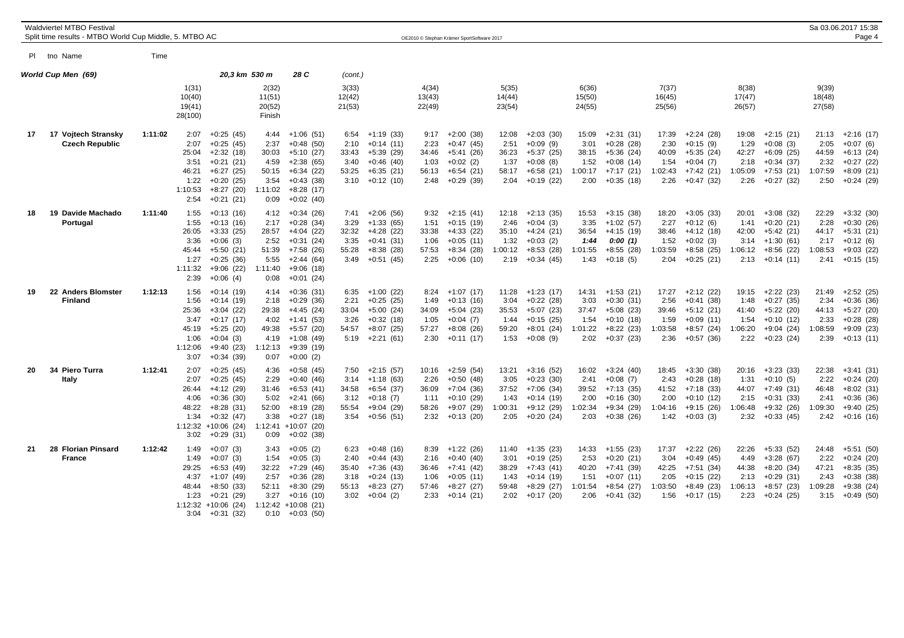|    | <b>Waldviertel MTBO Festival</b><br>Split time results - MTBO World Cup Middle, 5. MTBO AC |         |                                                                   |                                                                                                                                |                                                                   |                                                                                                                             |                                                |                                                                                             |                                                 | OE2010 © Stephan Krämer SportSoftware 2017                                             |                                                   |                                                                                        |                                                   |                                                                                        |                                                   |                                                                                        |                                                   |                                                                                        |                                                   | Sa 03.06.2017 15:38<br>Page 4                                                          |
|----|--------------------------------------------------------------------------------------------|---------|-------------------------------------------------------------------|--------------------------------------------------------------------------------------------------------------------------------|-------------------------------------------------------------------|-----------------------------------------------------------------------------------------------------------------------------|------------------------------------------------|---------------------------------------------------------------------------------------------|-------------------------------------------------|----------------------------------------------------------------------------------------|---------------------------------------------------|----------------------------------------------------------------------------------------|---------------------------------------------------|----------------------------------------------------------------------------------------|---------------------------------------------------|----------------------------------------------------------------------------------------|---------------------------------------------------|----------------------------------------------------------------------------------------|---------------------------------------------------|----------------------------------------------------------------------------------------|
|    | PI tho Name                                                                                | Time    |                                                                   |                                                                                                                                |                                                                   |                                                                                                                             |                                                |                                                                                             |                                                 |                                                                                        |                                                   |                                                                                        |                                                   |                                                                                        |                                                   |                                                                                        |                                                   |                                                                                        |                                                   |                                                                                        |
|    | World Cup Men(69)                                                                          |         |                                                                   | 20,3 km 530 m                                                                                                                  |                                                                   | 28 C                                                                                                                        | (cont.)                                        |                                                                                             |                                                 |                                                                                        |                                                   |                                                                                        |                                                   |                                                                                        |                                                   |                                                                                        |                                                   |                                                                                        |                                                   |                                                                                        |
|    |                                                                                            |         | 1(31)<br>10(40)<br>19(41)<br>28(100)                              |                                                                                                                                | 2(32)<br>11(51)<br>20(52)<br>Finish                               |                                                                                                                             | 3(33)<br>12(42)<br>21(53)                      |                                                                                             | 4(34)<br>13(43)<br>22(49)                       |                                                                                        | 5(35)<br>14(44)<br>23(54)                         |                                                                                        | 6(36)<br>15(50)<br>24(55)                         |                                                                                        | 7(37)<br>16(45)<br>25(56)                         |                                                                                        | 8(38)<br>17(47)<br>26(57)                         |                                                                                        | 9(39)<br>18(48)<br>27(58)                         |                                                                                        |
| 17 | 17 Vojtech Stransky<br><b>Czech Republic</b>                                               | 1:11:02 | 2:07<br>2:07<br>25:04<br>3:51<br>46:21<br>1:22<br>1:10:53<br>2:54 | $+0:25(45)$<br>$+0:25(45)$<br>$+2:32(18)$<br>$+0:21(21)$<br>$+6:27(25)$<br>$+0:20(25)$<br>$+8:27(20)$<br>$+0:21(21)$           | 4:44<br>2:37<br>30:03<br>4:59<br>50:15<br>3:54<br>1:11:02<br>0:09 | $+1:06(51)$<br>$+0:48(50)$<br>+5:10 (27)<br>$+2:38(65)$<br>$+6:34(22)$<br>$+0:43(38)$<br>$+8:28(17)$<br>$+0:02(40)$         | 6:54<br>2:10<br>33:43<br>3:40<br>53:25<br>3:10 | $+1:19(33)$<br>$+0:14(11)$<br>$+5:39(29)$<br>$+0:46(40)$<br>$+6:35(21)$<br>$+0:12(10)$      | 9:17<br>2:23<br>34:46<br>1:03<br>56:13<br>2:48  | $+2:00(38)$<br>$+0:47(45)$<br>+5:41 (26)<br>$+0:02(2)$<br>$+6:54(21)$<br>$+0:29(39)$   | 12:08<br>2:51<br>36:23<br>1:37<br>58:17<br>2:04   | $+2:03(30)$<br>$+0:09(9)$<br>+5:37 (25)<br>$+0:08(8)$<br>$+6:58(21)$<br>$+0:19(22)$    | 15:09<br>3:01<br>38:15<br>1:52<br>1:00:17<br>2:00 | $+2:31(31)$<br>$+0:28(28)$<br>$+5:36(24)$<br>$+0:08(14)$<br>$+7:17(21)$<br>$+0:35(18)$ | 17:39<br>2:30<br>40:09<br>1:54<br>1:02:43<br>2:26 | $+2:24(28)$<br>$+0:15(9)$<br>$+5:35(24)$<br>$+0:04(7)$<br>$+7:42(21)$<br>$+0:47(32)$   | 19:08<br>1:29<br>42:27<br>2:18<br>1:05:09<br>2:26 | $+2:15(21)$<br>$+0:08(3)$<br>$+6:09(25)$<br>$+0:34(37)$<br>$+7:53(21)$<br>+0:27 (32)   | 21:13<br>2:05<br>44:59<br>2:32<br>1:07:59<br>2:50 | $+2:16(17)$<br>$+0:07(6)$<br>$+6:13(24)$<br>$+0:27(22)$<br>$+8:09(21)$<br>$+0:24(29)$  |
| 18 | 19 Davide Machado<br>Portugal                                                              | 1:11:40 | 1:55<br>1:55<br>26:05<br>3:36<br>45:44<br>1:27<br>1:11:32<br>2:39 | $+0:13(16)$<br>$+0:13(16)$<br>$+3:33(25)$<br>$+0:06(3)$<br>$+5:50(21)$<br>$+0:25(36)$<br>$+9:06(22)$<br>$+0:06(4)$             | 4:12<br>2:17<br>28:57<br>2:52<br>51:39<br>5:55<br>1:11:40<br>0:08 | $+0:34(26)$<br>$+0:28(34)$<br>$+4:04(22)$<br>$+0:31(24)$<br>+7:58 (26)<br>$+2:44(64)$<br>$+9:06(18)$<br>$+0:01(24)$         | 7:41<br>3:29<br>32:32<br>3:35<br>55:28<br>3:49 | $+2:06(56)$<br>$+1:33(65)$<br>$+4:28(22)$<br>$+0:41(31)$<br>$+8:38(28)$<br>$+0:51(45)$      | 9:32<br>1:51<br>33:38<br>1:06<br>57:53<br>2:25  | $+2:15(41)$<br>$+0:15(19)$<br>$+4:33(22)$<br>$+0:05(11)$<br>+8:34 (28)<br>$+0:06(10)$  | 12:18<br>2:46<br>35:10<br>1:32<br>1:00:12<br>2:19 | $+2:13(35)$<br>$+0:04(3)$<br>$+4:24(21)$<br>$+0:03(2)$<br>+8:53 (28)<br>$+0:34(45)$    | 15:53<br>3:35<br>36:54<br>1:44<br>1:01:55<br>1:43 | $+3:15(38)$<br>$+1:02(57)$<br>$+4:15(19)$<br>0:00(1)<br>$+8:55(28)$<br>$+0:18(5)$      | 18:20<br>2:27<br>38:46<br>1:52<br>1:03:59<br>2:04 | $+3:05(33)$<br>$+0:12(6)$<br>$+4:12(18)$<br>$+0:02(3)$<br>$+8:58(25)$<br>$+0:25(21)$   | 20:01<br>1:41<br>42:00<br>3:14<br>1:06:12<br>2:13 | $+3:08(32)$<br>$+0:20(21)$<br>$+5:42(21)$<br>$+1:30(61)$<br>+8:56 (22)<br>$+0:14(11)$  | 22:29<br>2:28<br>44:17<br>2:17<br>1:08:53<br>2:41 | $+3:32(30)$<br>$+0:30(26)$<br>$+5:31(21)$<br>$+0:12(6)$<br>$+9:03(22)$<br>$+0:15(15)$  |
| 19 | 22 Anders Blomster<br><b>Finland</b>                                                       | 1:12:13 | 1:56<br>1:56<br>25:36<br>3:47<br>45:19<br>1:06<br>1:12:06<br>3:07 | $+0:14(19)$<br>$+0:14(19)$<br>$+3:04(22)$<br>$+0:17(17)$<br>$+5:25(20)$<br>$+0:04(3)$<br>$+9:40(23)$<br>$+0:34(39)$            | 4:14<br>2:18<br>29:38<br>4:02<br>49:38<br>4:19<br>1:12:13<br>0:07 | $+0:36(31)$<br>$+0.29(36)$<br>$+4:45(24)$<br>$+1:41(53)$<br>$+5:57(20)$<br>$+1:08(49)$<br>$+9:39(19)$<br>$+0:00(2)$         | 6:35<br>2:21<br>33:04<br>3:26<br>54:57         | +1:00 (22)<br>$+0:25(25)$<br>$+5:00(24)$<br>$+0:32(18)$<br>$+8:07(25)$<br>$5:19 +2:21(61)$  | 8:24<br>1:49<br>34:09<br>1:05<br>57:27<br>2:30  | $+1:07(17)$<br>$+0:13(16)$<br>$+5:04(23)$<br>$+0:04(7)$<br>$+8:08(26)$<br>$+0:11(17)$  | 11:28<br>3:04<br>35:53<br>1:44<br>59:20<br>1:53   | $+1:23(17)$<br>$+0:22(28)$<br>$+5:07(23)$<br>$+0:15(25)$<br>$+8:01(24)$<br>$+0:08(9)$  | 14:31<br>3:03<br>37:47<br>1:54<br>1:01:22<br>2:02 | $+1:53(21)$<br>$+0:30(31)$<br>$+5:08(23)$<br>$+0:10(18)$<br>$+8:22(23)$<br>$+0:37(23)$ | 17:27<br>2:56<br>39:46<br>1:59<br>1:03:58<br>2:36 | $+2:12(22)$<br>$+0:41(38)$<br>$+5:12(21)$<br>$+0:09(11)$<br>$+8:57(24)$<br>$+0:57(36)$ | 19:15<br>1:48<br>41:40<br>1:54<br>1:06:20<br>2:22 | $+2:22(23)$<br>$+0:27(35)$<br>$+5:22(20)$<br>$+0:10(12)$<br>$+9:04(24)$<br>$+0:23(24)$ | 21:49<br>2:34<br>44:13<br>2:33<br>1:08:59<br>2:39 | $+2:52(25)$<br>$+0:36(36)$<br>$+5:27(20)$<br>$+0:28(28)$<br>$+9:09(23)$<br>$+0:13(11)$ |
| 20 | 34 Piero Turra<br>Italy                                                                    | 1:12:41 | 2:07<br>2:07<br>26:44<br>4:06<br>48:22<br>1:34<br>3:02            | $+0:25(45)$<br>$+0:25(45)$<br>$+4:12(29)$<br>$+0:36(30)$<br>$+8:28(31)$<br>$+0:32(47)$<br>$1:12:32 + 10:06(24)$<br>$+0:29(31)$ | 4:36<br>2:29<br>31:46<br>5:02<br>52:00<br>3:38<br>1:12:41<br>0:09 | $+0:58(45)$<br>$+0:40(46)$<br>$+6:53(41)$<br>$+2:41(66)$<br>$+8:19(28)$<br>$+0:27(18)$<br>$+10:07(20)$<br>$+0:02(38)$       | 7:50<br>3:14<br>34:58<br>3:12<br>55:54         | $+2:15(57)$<br>$+1:18(63)$<br>$+6:54(37)$<br>$+0:18(7)$<br>$+9:04(29)$<br>$3:54 + 0:56(51)$ | 10:16<br>2:26<br>36:09<br>1:11<br>58:26<br>2:32 | $+2:59(54)$<br>$+0:50(48)$<br>$+7:04(36)$<br>$+0:10(29)$<br>$+9:07(29)$<br>$+0:13(20)$ | 13:21<br>3:05<br>37:52<br>1:43<br>1:00:31<br>2:05 | $+3:16(52)$<br>$+0:23(30)$<br>$+7:06(34)$<br>$+0:14(19)$<br>$+9:12(29)$<br>$+0:20(24)$ | 16:02<br>2:41<br>39:52<br>2:00<br>1:02:34<br>2:03 | $+3:24(40)$<br>$+0:08(7)$<br>$+7:13(35)$<br>$+0:16(30)$<br>$+9:34(29)$<br>$+0:38(26)$  | 18:45<br>2:43<br>41:52<br>2:00<br>1:04:16<br>1:42 | $+3:30(38)$<br>$+0:28(18)$<br>$+7:18(33)$<br>$+0:10(12)$<br>$+9:15(26)$<br>$+0:03(3)$  | 20:16<br>1:31<br>44:07<br>2:15<br>1:06:48<br>2:32 | $+3:23(33)$<br>$+0:10(5)$<br>$+7:49(31)$<br>$+0:31(33)$<br>$+9:32(26)$<br>$+0:33(45)$  | 22:38<br>2:22<br>46:48<br>2:41<br>1:09:30<br>2:42 | $+3:41(31)$<br>$+0:24(20)$<br>$+8:02(31)$<br>$+0:36(36)$<br>$+9:40(25)$<br>$+0:16(16)$ |
| 21 | 28 Florian Pinsard<br><b>France</b>                                                        | 1:12:42 | 1:49<br>1:49<br>29:25<br>4:37<br>48:44<br>1:23<br>3:04            | $+0:07(3)$<br>$+0:07(3)$<br>$+6:53(49)$<br>$+1:07(49)$<br>$+8:50(33)$<br>$+0:21(29)$<br>$1:12:32 + 10:06$ (24)<br>$+0:31(32)$  | 3:43<br>1:54<br>32:22<br>2:57<br>52:11<br>3:27<br>0:10            | $+0:05(2)$<br>$+0:05(3)$<br>+7:29 (46)<br>$+0:36(28)$<br>$+8:30(29)$<br>$+0:16(10)$<br>$1:12:42 + 10:08(21)$<br>$+0:03(50)$ | 6:23<br>2:40<br>35:40<br>3:18<br>55:13         | $+0:48(16)$<br>$+0:44(43)$<br>$+7:36(43)$<br>$+0:24(13)$<br>$+8:23(27)$<br>$3:02 +0:04(2)$  | 8:39<br>2:16<br>36:46<br>1:06<br>57:46<br>2:33  | $+1:22(26)$<br>$+0:40(40)$<br>+7:41 (42)<br>$+0:05(11)$<br>$+8:27(27)$<br>+0:14 (21)   | 11:40<br>3:01<br>38:29<br>1:43<br>59:48<br>2:02   | $+1:35(23)$<br>$+0:19(25)$<br>$+7:43(41)$<br>$+0:14(19)$<br>$+8:29(27)$<br>$+0:17(20)$ | 14:33<br>2:53<br>40:20<br>1:51<br>1:01:54<br>2:06 | $+1:55(23)$<br>$+0:20(21)$<br>$+7:41(39)$<br>$+0:07(11)$<br>$+8:54(27)$<br>$+0:41(32)$ | 17:37<br>3:04<br>42:25<br>2:05<br>1:03:50<br>1:56 | $+2:22(26)$<br>$+0.49(45)$<br>+7:51 (34)<br>$+0:15(22)$<br>$+8:49(23)$<br>$+0:17(15)$  | 22:26<br>4:49<br>44:38<br>2:13<br>1:06:13<br>2:23 | $+5:33(52)$<br>$+3:28(67)$<br>$+8:20(34)$<br>$+0:29(31)$<br>$+8:57(23)$<br>+0:24 (25)  | 24:48<br>2:22<br>47:21<br>2:43<br>1:09:28<br>3:15 | $+5:51(50)$<br>$+0:24(20)$<br>$+8:35(35)$<br>$+0.38(38)$<br>$+9:38(24)$<br>$+0.49(50)$ |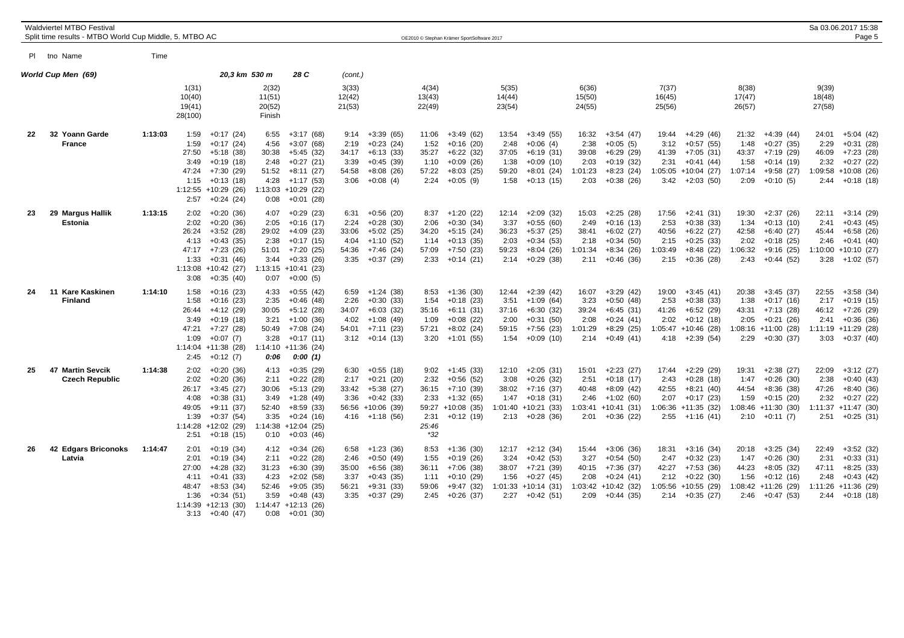|    | <b>Waldviertel MTBO Festival</b><br>Split time results - MTBO World Cup Middle, 5. MTBO AC |         |                                                        |                                                                                                                                      |                                                        |                                                                                                                                |                                                |                                                                                                                |                                                 | OE2010 © Stephan Krämer SportSoftware 2017                                                              |                                                 |                                                                                                         |                                                   |                                                                                                 |                                                   |                                                                                                        |                                                   |                                                                                                       |                                        | Sa 03.06.2017 15:38<br>Page 5                                                                         |
|----|--------------------------------------------------------------------------------------------|---------|--------------------------------------------------------|--------------------------------------------------------------------------------------------------------------------------------------|--------------------------------------------------------|--------------------------------------------------------------------------------------------------------------------------------|------------------------------------------------|----------------------------------------------------------------------------------------------------------------|-------------------------------------------------|---------------------------------------------------------------------------------------------------------|-------------------------------------------------|---------------------------------------------------------------------------------------------------------|---------------------------------------------------|-------------------------------------------------------------------------------------------------|---------------------------------------------------|--------------------------------------------------------------------------------------------------------|---------------------------------------------------|-------------------------------------------------------------------------------------------------------|----------------------------------------|-------------------------------------------------------------------------------------------------------|
|    | PI tho Name                                                                                | Time    |                                                        |                                                                                                                                      |                                                        |                                                                                                                                |                                                |                                                                                                                |                                                 |                                                                                                         |                                                 |                                                                                                         |                                                   |                                                                                                 |                                                   |                                                                                                        |                                                   |                                                                                                       |                                        |                                                                                                       |
|    | World Cup Men(69)                                                                          |         | 1(31)                                                  | 20,3 km 530 m                                                                                                                        | 2(32)                                                  | 28 C                                                                                                                           | (cont.)<br>3(33)                               |                                                                                                                | 4(34)                                           |                                                                                                         | 5(35)                                           |                                                                                                         | 6(36)                                             |                                                                                                 | 7(37)                                             |                                                                                                        | 8(38)                                             |                                                                                                       | 9(39)                                  |                                                                                                       |
|    |                                                                                            |         | 10(40)<br>19(41)<br>28(100)                            |                                                                                                                                      | 11(51)<br>20(52)<br>Finish                             |                                                                                                                                | 12(42)<br>21(53)                               |                                                                                                                | 13(43)<br>22(49)                                |                                                                                                         | 14(44)<br>23(54)                                |                                                                                                         | 15(50)<br>24(55)                                  |                                                                                                 | 16(45)<br>25(56)                                  |                                                                                                        | 17(47)<br>26(57)                                  |                                                                                                       | 18(48)<br>27(58)                       |                                                                                                       |
| 22 | 32 Yoann Garde<br><b>France</b>                                                            | 1:13:03 | 1:59<br>1:59<br>27:50<br>3:49<br>47:24<br>1:15<br>2:57 | $+0:17(24)$<br>$+0:17(24)$<br>$+5:18(38)$<br>$+0:19(18)$<br>+7:30 (29)<br>$+0:13(18)$<br>$1:12:55 + 10:29$ (26)<br>$+0:24(24)$       | 6:55<br>4:56<br>30:38<br>2:48<br>51:52<br>4:28<br>0:08 | $+3:17(68)$<br>$+3:07(68)$<br>$+5:45(32)$<br>$+0:27(21)$<br>$+8:11(27)$<br>$+1:17(53)$<br>1:13:03 +10:29 (22)<br>$+0:01(28)$   | 9:14<br>2:19<br>34:17<br>3:39<br>54:58<br>3:06 | $+3:39(65)$<br>$+0:23(24)$<br>$+6:13(33)$<br>$+0:45(39)$<br>$+8:08(26)$<br>$+0:08(4)$                          | 11:06<br>1:52<br>35:27<br>1:10<br>57:22<br>2:24 | $+3:49(62)$<br>$+0:16(20)$<br>$+6:22(32)$<br>$+0:09(26)$<br>$+8:03(25)$<br>$+0:05(9)$                   | 13:54<br>2:48<br>37:05<br>1:38<br>59:20<br>1:58 | $+3:49(55)$<br>$+0:06(4)$<br>$+6:19(31)$<br>$+0:09(10)$<br>$+8:01(24)$<br>$+0:13(15)$                   | 16:32<br>2:38<br>39:08<br>2:03<br>1:01:23<br>2:03 | $+3:54(47)$<br>$+0:05(5)$<br>$+6:29(29)$<br>$+0:19(32)$<br>$+8:23(24)$<br>$+0:38(26)$           | 19:44<br>3:12<br>41:39<br>2:31<br>3:42            | $+4:29(46)$<br>$+0:57(55)$<br>$+7:05(31)$<br>$+0:41(44)$<br>$1:05:05 + 10:04$ (27)<br>$+2:03(50)$      | 21:32<br>1:48<br>43:37<br>1:58<br>1:07:14<br>2:09 | $+4:39(44)$<br>$+0:27(35)$<br>$+7:19(29)$<br>$+0:14(19)$<br>$+9:58(27)$<br>$+0:10(5)$                 | 24:01<br>2:29<br>46:09<br>2:32<br>2:44 | $+5:04(42)$<br>$+0:31(28)$<br>$+7:23(28)$<br>$+0:27(22)$<br>1:09:58 +10:08 (26)<br>$+0:18(18)$        |
| 23 | 29 Margus Hallik<br>Estonia                                                                | 1:13:15 | 2:02<br>2:02<br>26:24<br>4:13<br>47:17<br>1:33<br>3:08 | $+0:20(36)$<br>$+0:20(36)$<br>$+3:52(28)$<br>$+0:43(35)$<br>$+7:23(26)$<br>$+0:31(46)$<br>$1:13:08$ +10:42 (27)<br>$+0:35(40)$       | 4:07<br>2:05<br>29:02<br>2:38<br>51:01<br>3:44<br>0:07 | $+0:29(23)$<br>$+0:16(17)$<br>$+4:09(23)$<br>$+0:17(15)$<br>+7:20 (25)<br>$+0:33(26)$<br>$1:13:15 + 10:41$ (23)<br>$+0:00(5)$  | 6:31<br>2:24<br>33:06<br>4:04<br>54:36<br>3:35 | $+0:56(20)$<br>$+0:28(30)$<br>$+5:02(25)$<br>$+1:10(52)$<br>+7:46 (24)<br>$+0:37(29)$                          | 8:37<br>2:06<br>34:20<br>1:14<br>57:09<br>2:33  | $+1:20(22)$<br>$+0:30(34)$<br>+5:15 (24)<br>$+0:13(35)$<br>+7:50 (23)<br>$+0:14(21)$                    | 12:14<br>3:37<br>36:23<br>2:03<br>59:23<br>2:14 | $+2:09(32)$<br>$+0:55(60)$<br>$+5:37(25)$<br>$+0:34(53)$<br>$+8:04(26)$<br>$+0:29(38)$                  | 15:03<br>2:49<br>38:41<br>2:18<br>1:01:34<br>2:11 | $+2:25(28)$<br>$+0:16(13)$<br>$+6:02(27)$<br>$+0:34(50)$<br>$+8:34(26)$<br>$+0:46(36)$          | 17:56<br>2:53<br>40:56<br>2:15<br>1:03:49<br>2:15 | $+2:41(31)$<br>$+0:38(33)$<br>$+6:22(27)$<br>$+0:25(33)$<br>$+8:48(22)$<br>$+0:36(28)$                 | 19:30<br>1:34<br>42:58<br>2:02<br>1:06:32<br>2:43 | $+2:37(26)$<br>$+0:13(10)$<br>$+6:40(27)$<br>$+0:18(25)$<br>$+9:16(25)$<br>$+0:44(52)$                | 22:11<br>2:41<br>45:44<br>2:46<br>3:28 | $+3:14(29)$<br>$+0:43(45)$<br>$+6:58(26)$<br>$+0:41(40)$<br>$1:10:00 + 10:10$ (27)<br>$+1:02(57)$     |
| 24 | 11 Kare Kaskinen<br><b>Finland</b>                                                         | 1:14:10 | 1:58<br>1:58<br>26:44<br>3:49<br>47:21<br>1:09<br>2:45 | $+0:16(23)$<br>$+0:16(23)$<br>+4:12 (29)<br>$+0:19(18)$<br>$+7:27(28)$<br>$+0:07(7)$<br>$1:14:04$ +11:38 (28)<br>$+0:12(7)$          | 4:33<br>2:35<br>30:05<br>3:21<br>50:49<br>3:28<br>0:06 | $+0:55(42)$<br>$+0:46(48)$<br>+5:12 (28)<br>$+1:00(36)$<br>$+7:08(24)$<br>$+0:17(11)$<br>$1:14:10 + 11:36$ (24)<br>0:00(1)     | 2:26<br>4:02<br>54:01                          | $6:59 +1:24(38)$<br>$+0:30(33)$<br>$34:07 +6:03(32)$<br>$+1:08(49)$<br>$+7:11(23)$<br>$3:12 +0:14(13)$         | 8:53<br>1:54<br>35:16<br>1:09<br>57:21          | $+1:36(30)$<br>$+0:18(23)$<br>+6:11 (31)<br>$+0:08(22)$<br>$+8:02(24)$<br>$3:20 +1:01$ (55)             | 12:44<br>3:51<br>37:16<br>2:00<br>59:15<br>1:54 | $+2:39(42)$<br>$+1:09(64)$<br>$+6:30(32)$<br>$+0:31(50)$<br>$+7:56(23)$<br>$+0:09(10)$                  | 16:07<br>3:23<br>39:24<br>2:08<br>1:01:29<br>2:14 | $+3:29(42)$<br>$+0:50(48)$<br>$+6:45(31)$<br>$+0:24(41)$<br>$+8:29(25)$<br>$+0:49(41)$          | 19:00<br>2:53<br>41:26<br>2:02                    | $+3:45(41)$<br>$+0:38(33)$<br>$+6:52(29)$<br>$+0:12(18)$<br>$1:05:47 + 10:46$ (28)<br>$4:18 +2:39(54)$ | 20:38<br>1:38<br>43:31<br>2:05<br>2:29            | $+3:45(37)$<br>$+0:17(16)$<br>+7:13 (28)<br>$+0:21(26)$<br>$1:08:16 + 11:00(28)$<br>$+0:30(37)$       | 22:55<br>2:17<br>46:12<br>2:41         | $+3:58(34)$<br>$+0:19(15)$<br>+7:26 (29)<br>$+0:36(36)$<br>1:11:19 +11:29 (28)<br>$3:03 +0:37(40)$    |
| 25 | 47 Martin Sevcik<br><b>Czech Republic</b>                                                  | 1:14:38 | 2:02<br>2:02<br>26:17<br>4:08<br>49:05<br>1:39<br>2:51 | $+0:20(36)$<br>$+0:20(36)$<br>$+3:45(27)$<br>$+0:38(31)$<br>$+9:11(37)$<br>$+0:37(54)$<br>$1:14:28$ +12:02 (29)<br>$+0:18(15)$       | 4:13<br>2:11<br>30:06<br>3:49<br>52:40<br>3:35<br>0:10 | $+0:35(29)$<br>$+0:22(28)$<br>$+5:13(29)$<br>+1:28 (49)<br>$+8:59(33)$<br>$+0:24(16)$<br>$1:14:38$ +12:04 (25)<br>$+0:03(46)$  | 6:30<br>3:36                                   | $+0:55(18)$<br>$2:17 + 0:21$ (20)<br>$33:42 +5:38(27)$<br>$+0:42(33)$<br>56:56 +10:06 (39)<br>$4:16 +1:18(56)$ | 2:32<br>2:33<br>2:31<br>25:46<br>$*32$          | $9:02 +1:45(33)$<br>$+0:56(52)$<br>$36:15 +7:10(39)$<br>$+1:32(65)$<br>59:27 +10:08 (35)<br>$+0:12(19)$ | 12:10<br>3:08<br>38:02<br>1:47                  | $+2:05(31)$<br>$+0:26(32)$<br>+7:16 (37)<br>$+0:18(31)$<br>$1:01:40 + 10:21$ (33)<br>$2:13 + 0:28$ (36) | 15:01<br>2:51<br>40:48<br>2:46<br>1:03:41         | $+2:23(27)$<br>$+0:18(17)$<br>$+8:09(42)$<br>$+1:02(60)$<br>$+10:41(31)$<br>$2:01 + 0:36(22)$   | 17:44<br>2:43<br>42:55<br>2:07                    | $+2:29(29)$<br>$+0:28(18)$<br>$+8:21(40)$<br>$+0:17(23)$<br>$1:06:36 +11:35(32)$<br>$2:55 +1:16(41)$   | 19:31<br>1:47<br>44:54<br>1:59                    | $+2:38(27)$<br>$+0:26(30)$<br>$+8:36(38)$<br>$+0:15(20)$<br>$1:08:46$ +11:30 (30)<br>$2:10 +0:11(7)$  | 22:09<br>2:38<br>47:26<br>2:32         | $+3:12(27)$<br>$+0:40(43)$<br>$+8:40(36)$<br>$+0:27(22)$<br>1:11:37 +11:47 (30)<br>$2:51 + 0:25$ (31) |
| 26 | 42 Edgars Briconoks<br>Latvia                                                              | 1:14:47 | 2:01<br>2:01<br>27:00<br>4:11<br>48:47<br>1:36         | $+0:19(34)$<br>$+0:19(34)$<br>$+4:28(32)$<br>$+0:41(33)$<br>$+8:53(34)$<br>$+0:34(51)$<br>$1:14:39$ +12:13 (30)<br>$3:13 + 0:40(47)$ | 4:12<br>2:11<br>31:23<br>4:23<br>52:46<br>3:59<br>0:08 | $+0:34(26)$<br>$+0:22(28)$<br>$+6:30(39)$<br>$+2:02(58)$<br>$+9:05(35)$<br>$+0:48(43)$<br>$1:14:47 + 12:13(26)$<br>$+0:01(30)$ | 2:46<br>35:00<br>3:37<br>56:21                 | $6:58$ +1:23 (36)<br>$+0:50(49)$<br>$+6:56(38)$<br>$+0.43(35)$<br>$+9:31(33)$<br>$3:35 +0:37(29)$              | 8:53<br>1:55<br>36:11<br>1:11<br>59:06<br>2:45  | $+1:36(30)$<br>$+0:19(26)$<br>$+7:06(38)$<br>$+0:10(29)$<br>$+9:47(32)$<br>+0:26 (37)                   | 12:17<br>3:24<br>38:07<br>1:56                  | $+2:12(34)$<br>$+0:42(53)$<br>$+7:21(39)$<br>$+0:27(45)$<br>$1:01:33 + 10:14$ (31)<br>$2:27 +0:42(51)$  | 15:44<br>3:27<br>40:15<br>2:08<br>2:09            | $+3:06(36)$<br>$+0:54(50)$<br>$+7:36(37)$<br>$+0:24(41)$<br>$1:03:42 +10:42$ (32)<br>+0:44 (35) | 18:31<br>2:47<br>42:27<br>2:12                    | $+3:16(34)$<br>$+0:32(23)$<br>$+7:53(36)$<br>$+0:22(30)$<br>$1:05:56$ +10:55 (29)<br>$2:14 + 0:35(27)$ | 20:18<br>1:47<br>44:23<br>1:56                    | $+3:25(34)$<br>$+0:26(30)$<br>$+8:05(32)$<br>$+0:12(16)$<br>$1:08:42 +11:26(29)$<br>$2:46 + 0:47(53)$ | 22:49<br>2:31<br>47:11<br>2:48         | $+3:52(32)$<br>$+0:33(31)$<br>$+8:25(33)$<br>$+0:43(42)$<br>1:11:26 +11:36 (29)<br>$2:44 +0:18(18)$   |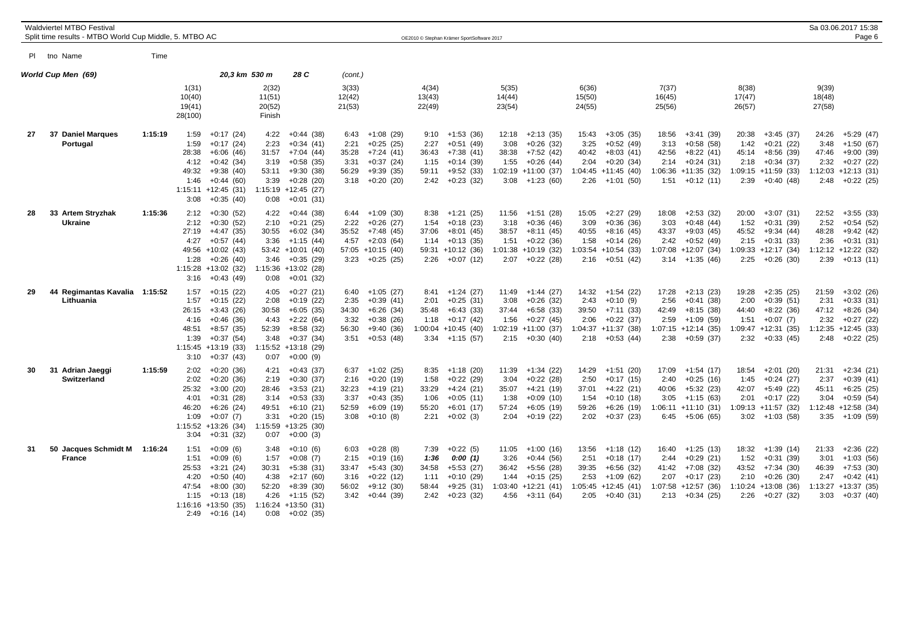|    | Waldviertel MTBO Festival<br>Split time results - MTBO World Cup Middle, 5. MTBO AC |         |                                                        |                                                                                                                                     |                                                        |                                                                                                                                    |                                        |                                                                                                            |                                                | OE2010 © Stephan Krämer SportSoftware 2017                                                        |                                         |                                                                                                             |                                                   |                                                                                                 |                                        |                                                                                                             |                                        |                                                                                                         |                                                   | Sa 03.06.2017 15:38<br>Page 6                                                                    |
|----|-------------------------------------------------------------------------------------|---------|--------------------------------------------------------|-------------------------------------------------------------------------------------------------------------------------------------|--------------------------------------------------------|------------------------------------------------------------------------------------------------------------------------------------|----------------------------------------|------------------------------------------------------------------------------------------------------------|------------------------------------------------|---------------------------------------------------------------------------------------------------|-----------------------------------------|-------------------------------------------------------------------------------------------------------------|---------------------------------------------------|-------------------------------------------------------------------------------------------------|----------------------------------------|-------------------------------------------------------------------------------------------------------------|----------------------------------------|---------------------------------------------------------------------------------------------------------|---------------------------------------------------|--------------------------------------------------------------------------------------------------|
|    | PI tho Name                                                                         | Time    |                                                        |                                                                                                                                     |                                                        |                                                                                                                                    |                                        |                                                                                                            |                                                |                                                                                                   |                                         |                                                                                                             |                                                   |                                                                                                 |                                        |                                                                                                             |                                        |                                                                                                         |                                                   |                                                                                                  |
|    | World Cup Men(69)                                                                   |         |                                                        | 20,3 km 530 m                                                                                                                       |                                                        | 28 C                                                                                                                               | (cont.)                                |                                                                                                            |                                                |                                                                                                   |                                         |                                                                                                             |                                                   |                                                                                                 |                                        |                                                                                                             |                                        |                                                                                                         |                                                   |                                                                                                  |
|    |                                                                                     |         | 1(31)<br>10(40)<br>19(41)<br>28(100)                   |                                                                                                                                     | 2(32)<br>11(51)<br>20(52)<br>Finish                    |                                                                                                                                    | 3(33)<br>12(42)<br>21(53)              |                                                                                                            | 4(34)<br>13(43)<br>22(49)                      |                                                                                                   | 5(35)<br>14(44)<br>23(54)               |                                                                                                             | 6(36)<br>15(50)<br>24(55)                         |                                                                                                 | 7(37)<br>16(45)<br>25(56)              |                                                                                                             | 8(38)<br>17(47)<br>26(57)              |                                                                                                         | 9(39)<br>18(48)<br>27(58)                         |                                                                                                  |
| 27 | 37 Daniel Marques<br>Portugal                                                       | 1:15:19 | 1:59<br>1:59<br>28:38<br>4:12<br>49:32<br>1:46<br>3:08 | $+0:17(24)$<br>$+0:17(24)$<br>$+6:06(46)$<br>$+0:42(34)$<br>$+9:38(40)$<br>$+0:44(60)$<br>$1:15:11 + 12:45$ (31)<br>$+0:35(40)$     | 4:22<br>2:23<br>31:57<br>3:19<br>53:11<br>3:39<br>0:08 | $+0:44(38)$<br>$+0:34(41)$<br>$+7:04(44)$<br>$+0.58(35)$<br>$+9:30(38)$<br>$+0:28(20)$<br>$1:15:19$ +12:45 (27)<br>$+0:01(31)$     | 6:43<br>2:21<br>35:28<br>3:31<br>56:29 | $+1:08(29)$<br>$+0:25(25)$<br>$+7:24(41)$<br>$+0:37(24)$<br>$+9:39(35)$<br>$3:18 + 0:20(20)$               | 9:10<br>2:27<br>36:43<br>1:15<br>59:11<br>2:42 | $+1:53(36)$<br>$+0:51(49)$<br>$+7:38(41)$<br>$+0:14(39)$<br>$+9:52(33)$<br>$+0:23(32)$            | 12:18<br>3:08<br>38:38<br>1:55          | $+2:13(35)$<br>$+0:26(32)$<br>$+7:52(42)$<br>$+0.26(44)$<br>$1:02:19$ +11:00 (37)<br>$3:08 +1:23(60)$       | 15:43<br>3:25<br>40:42<br>2:04<br>2:26            | $+3:05(35)$<br>$+0.52(49)$<br>$+8:03(41)$<br>$+0:20(34)$<br>$1:04:45 +11:45$ (40)<br>+1:01 (50) | 18:56<br>3:13<br>42:56<br>2:14<br>1:51 | $+3:41(39)$<br>$+0.58(58)$<br>$+8:22(41)$<br>$+0:24(31)$<br>$1:06:36 +11:35(32)$<br>$+0:12(11)$             | 20:38<br>1:42<br>45:14<br>2:18<br>2:39 | $+3:45(37)$<br>$+0:21(22)$<br>$+8:56(39)$<br>$+0:34(37)$<br>$1:09:15 +11:59(33)$<br>$+0:40(48)$         | 24:26<br>3:48<br>47:46<br>2:32<br>2:48            | $+5:29(47)$<br>$+1:50(67)$<br>$+9:00(39)$<br>$+0:27(22)$<br>$1:12:03$ +12:13 (31)<br>$+0:22(25)$ |
| 28 | 33 Artem Stryzhak<br><b>Ukraine</b>                                                 | 1:15:36 | 2:12<br>2:12<br>27:19<br>4:27<br>1:28<br>3:16          | $+0:30(52)$<br>$+0:30(52)$<br>+4:47 (35)<br>$+0:57(44)$<br>49:56 +10:02 (43)<br>$+0:26(40)$<br>$1:15:28$ +13:02 (32)<br>$+0:43(49)$ | 4:22<br>2:10<br>30:55<br>3:36<br>3:46<br>0:08          | $+0:44(38)$<br>$+0:21(25)$<br>$+6:02(34)$<br>$+1:15(44)$<br>53:42 +10:01 (40)<br>$+0:35(29)$<br>1:15:36 +13:02 (28)<br>$+0:01(32)$ | 6:44<br>2:22<br>35:52                  | $+1:09(30)$<br>$+0:26(27)$<br>+7:48 (45)<br>$4:57 +2:03(64)$<br>57:05 +10:15 (40)<br>$3:23 +0:25$ (25)     | 8:38<br>1:54<br>37:06<br>1:14<br>2:26          | $+1:21(25)$<br>$+0:18(23)$<br>+8:01 (45)<br>$+0:13(35)$<br>59:31 +10:12 (36)<br>$+0:07(12)$       | 11:56<br>3:18<br>38:57<br>1:51          | $+1:51(28)$<br>$+0:36(46)$<br>+8:11 (45)<br>$+0:22(36)$<br>$1:01:38$ +10:19 (32)<br>$2:07 +0:22(28)$        | 15:05<br>3:09<br>40:55<br>1:58<br>1:03:54<br>2:16 | $+2:27(29)$<br>$+0:36(36)$<br>$+8:16(45)$<br>$+0:14(26)$<br>$+10:54(33)$<br>$+0:51(42)$         | 18:08<br>3:03<br>43:37<br>2:42         | $+2:53(32)$<br>$+0:48(44)$<br>$+9:03(45)$<br>$+0:52(49)$<br>$1:07:08$ +12:07 (34)<br>$3:14$ +1:35 (46)      | 20:00<br>1:52<br>45:52<br>2:15         | $+3:07(31)$<br>$+0:31(39)$<br>$+9:34(44)$<br>$+0:31(33)$<br>$1:09:33 +12:17(34)$<br>$2:25 +0:26(30)$    | 22:52<br>2:52<br>48:28<br>2:36<br>2:39            | $+3:55(33)$<br>$+0:54(52)$<br>$+9:42(42)$<br>$+0:31(31)$<br>1:12:12 +12:22 (32)<br>$+0:13(11)$   |
| 29 | Regimantas Kavalia 1:15:52<br>44<br>Lithuania                                       |         | 1:57<br>1:57<br>26:15<br>4:16<br>48:51<br>1:39<br>3:10 | $+0:15(22)$<br>$+0:15(22)$<br>$+3:43(26)$<br>$+0:46(36)$<br>$+8:57(35)$<br>$+0:37(54)$<br>1:15:45 +13:19 (33)<br>$+0:37(43)$        | 4:05<br>2:08<br>30:58<br>4:43<br>52:39<br>3:48<br>0:07 | $+0:27(21)$<br>$+0:19(22)$<br>$+6:05(35)$<br>$+2:22(64)$<br>$+8:58(32)$<br>$+0:37(34)$<br>1:15:52 +13:18 (29)<br>$+0:00(9)$        | 2:35<br>3:32<br>56:30                  | $6:40 +1:05(27)$<br>$+0:39(41)$<br>$34:30 + 6:26$ (34)<br>$+0:38(26)$<br>$+9:40(36)$<br>$3:51 + 0:53$ (48) | 2:01<br>35:48<br>1:18<br>1:00:04               | $8:41 +1:24(27)$<br>$+0:25(31)$<br>$+6:43(33)$<br>$+0:17(42)$<br>$+10:45(40)$<br>$3:34 +1:15(57)$ | 11:49<br>3:08<br>1:56                   | +1:44 (27)<br>$+0:26(32)$<br>$37:44 + 6:58(33)$<br>$+0:27(45)$<br>$1:02:19$ +11:00 (37)<br>$2:15 +0:30(40)$ | 14:32<br>2:43<br>39:50<br>2:06<br>1:04:37         | +1:54 (22)<br>$+0:10(9)$<br>$+7:11(33)$<br>$+0:22(37)$<br>$+11:37(38)$<br>$2:18 + 0:53(44)$     | 17:28<br>2:56<br>42:49<br>2:59         | $+2:13(23)$<br>$+0:41(38)$<br>$+8:15(38)$<br>+1:09 (59)<br>$1:07:15 +12:14$ (35)<br>$2:38 +0:59(37)$        | 19:28<br>2:00<br>44:40<br>1:51         | $+2:35(25)$<br>$+0:39(51)$<br>$+8:22(36)$<br>$+0:07(7)$<br>$1:09:47 +12:31(35)$<br>$2:32 +0:33(45)$     | 21:59<br>2:31<br>47:12<br>2:32<br>2:48            | $+3:02(26)$<br>$+0:33(31)$<br>$+8:26(34)$<br>$+0:27(22)$<br>1:12:35 +12:45 (33)<br>$+0:22(25)$   |
| 30 | 31<br>Adrian Jaeggi<br>Switzerland                                                  | 1:15:59 | 2:02<br>2:02<br>25:32<br>4:01<br>46:20<br>1:09<br>3:04 | $+0:20(36)$<br>$+0:20(36)$<br>$+3:00(20)$<br>$+0:31(28)$<br>$+6:26(24)$<br>$+0:07(7)$<br>$1:15:52 + 13:26$ (34)<br>$+0:31(32)$      | 4:21<br>2:19<br>28:46<br>3:14<br>49:51<br>3:31<br>0:07 | $+0:43(37)$<br>$+0:30(37)$<br>$+3:53(21)$<br>$+0:53(33)$<br>$+6:10(21)$<br>$+0:20(15)$<br>$1:15:59$ +13:25 (30)<br>$+0:00(3)$      | 2:16<br>32:23<br>3:37<br>52:59         | $6:37 +1:02(25)$<br>+0:20 (19)<br>$+4:19(21)$<br>$+0:43(35)$<br>$+6:09(19)$<br>$3:08 +0:10(8)$             | 8:35<br>1:58<br>33:29<br>1:06<br>55:20<br>2:21 | $+1:18(20)$<br>$+0:22(29)$<br>$+4:24(21)$<br>$+0:05(11)$<br>$+6:01(17)$<br>$+0:02(3)$             | 11:39<br>3:04<br>35:07<br>1:38<br>57:24 | $+1:34(22)$<br>$+0:22(28)$<br>$+4:21(19)$<br>$+0:09(10)$<br>$+6:05(19)$<br>$2:04$ +0:19 (22)                | 14:29<br>2:50<br>37:01<br>1:54<br>59:26<br>2:02   | $+1:51(20)$<br>$+0:17(15)$<br>$+4:22(21)$<br>$+0:10(18)$<br>$+6:26(19)$<br>$+0:37(23)$          | 17:09<br>2:40<br>40:06<br>3:05         | $+1:54(17)$<br>$+0:25(16)$<br>$+5:32(23)$<br>$+1:15(63)$<br>$1:06:11 + 11:10(31)$<br>$6:45 +5:06(65)$       | 18:54<br>1:45<br>42:07<br>2:01         | $+2:01(20)$<br>$+0:24(27)$<br>$+5:49(22)$<br>$+0:17(22)$<br>$1:09:13 + 11:57(32)$<br>$3:02 +1:03(58)$   | 21:31<br>2:37<br>45:11<br>3:04<br>1:12:48<br>3:35 | $+2:34(21)$<br>$+0:39(41)$<br>$+6:25(25)$<br>$+0.59(54)$<br>$+12:58(34)$<br>+1:09 (59)           |
| 31 | 50 Jacques Schmidt M<br><b>France</b>                                               | 1:16:24 | 1:51<br>1:51<br>25:53<br>4:20<br>47:54<br>1:15<br>2:49 | $+0.09(6)$<br>$+0.09(6)$<br>$+3:21(24)$<br>$+0:50(40)$<br>$+8:00(30)$<br>$+0:13(18)$<br>$1:16:16 + 13:50(35)$<br>+0:16 (14)         | 3:48<br>1:57<br>30:31<br>4:38<br>52:20<br>4:26<br>0:08 | $+0:10(6)$<br>$+0:08(7)$<br>$+5:38(31)$<br>$+2:17(60)$<br>$+8:39(30)$<br>+1:15 (52)<br>$1:16:24 +13:50(31)$<br>$+0:02(35)$         | 6:03<br>2:15<br>33:47                  | $+0:28(8)$<br>+0:19 (16)<br>$+5:43(30)$<br>$3:16 + 0:22(12)$<br>$56:02 +9:12(30)$<br>$3:42 +0:44$ (39)     | 7:39<br>1:36<br>34:58<br>1:11<br>58:44         | $+0:22(5)$<br>0:00(1)<br>$+5:53(27)$<br>$+0:10(29)$<br>$+9:25(31)$<br>$2:42 +0:23(32)$            | 11:05<br>3:26<br>36:42<br>1:44          | $+1:00(16)$<br>$+0:44(56)$<br>+5:56 (28)<br>$+0:15(25)$<br>$1:03:40 +12:21(41)$<br>$4:56 +3:11(64)$         | 13:56<br>2:51<br>39:35<br>2:53<br>1:05:45<br>2:05 | $+1:18(12)$<br>$+0:18(17)$<br>$+6:56(32)$<br>$+1:09(62)$<br>$+12:45(41)$<br>+0:40 (31)          | 16:40<br>2:44<br>41:42                 | $+1:25(13)$<br>$+0:29(21)$<br>$+7:08(32)$<br>$2:07 +0:17(23)$<br>$1:07:58$ +12:57 (36)<br>$2:13 + 0:34(25)$ | 18:32<br>1:52<br>43:52<br>2:10         | $+1:39(14)$<br>$+0:31(39)$<br>$+7:34(30)$<br>$+0.26(30)$<br>$1:10:24$ +13:08 (36)<br>$2:26 + 0:27$ (32) | 21:33<br>3:01<br>46:39<br>2:47<br>3:03            | $+2:36(22)$<br>$+1:03(56)$<br>$+7:53(30)$<br>$+0:42(41)$<br>1:13:27 +13:37 (35)<br>$+0:37(40)$   |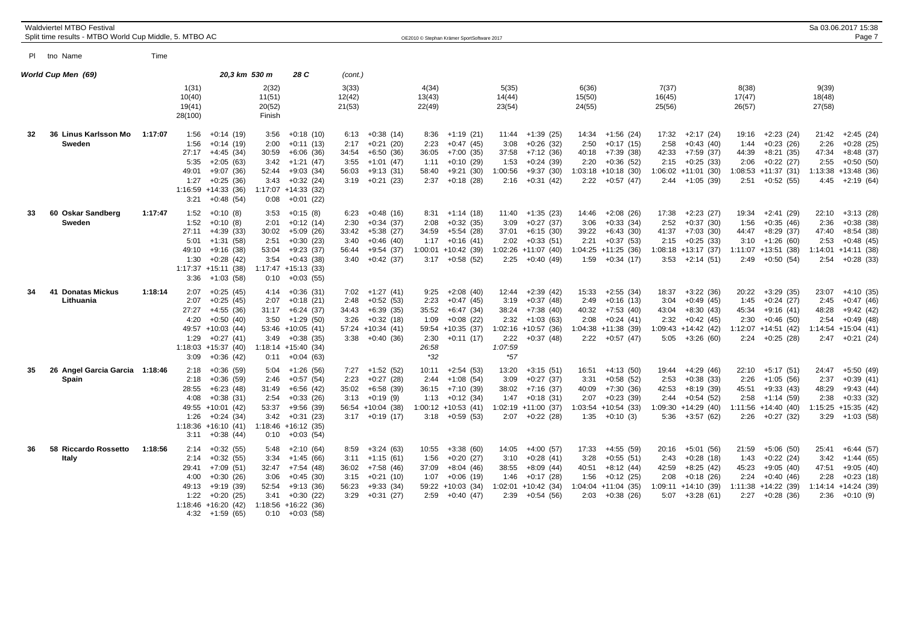|    | <b>Waldviertel MTBO Festival</b><br>Split time results - MTBO World Cup Middle, 5. MTBO AC |         |                                                                                  |                                                                                                                             |                                                        |                                                                                                                                             |                                                |                                                                                                                 |                                                         | OE2010 © Stephan Krämer SportSoftware 2017                                                             |                                                            |                                                                                                       |                                        |                                                                                                        |                                                                |                                                                              |                                        |                                                                                                     |                                        | Sa 03.06.2017 15:38<br>Page 7                                                                         |
|----|--------------------------------------------------------------------------------------------|---------|----------------------------------------------------------------------------------|-----------------------------------------------------------------------------------------------------------------------------|--------------------------------------------------------|---------------------------------------------------------------------------------------------------------------------------------------------|------------------------------------------------|-----------------------------------------------------------------------------------------------------------------|---------------------------------------------------------|--------------------------------------------------------------------------------------------------------|------------------------------------------------------------|-------------------------------------------------------------------------------------------------------|----------------------------------------|--------------------------------------------------------------------------------------------------------|----------------------------------------------------------------|------------------------------------------------------------------------------|----------------------------------------|-----------------------------------------------------------------------------------------------------|----------------------------------------|-------------------------------------------------------------------------------------------------------|
|    | PI tno Name                                                                                | Time    |                                                                                  |                                                                                                                             |                                                        |                                                                                                                                             |                                                |                                                                                                                 |                                                         |                                                                                                        |                                                            |                                                                                                       |                                        |                                                                                                        |                                                                |                                                                              |                                        |                                                                                                     |                                        |                                                                                                       |
|    | World Cup Men(69)                                                                          |         |                                                                                  | 20,3 km 530 m                                                                                                               |                                                        | 28 C                                                                                                                                        | (cont.)                                        |                                                                                                                 |                                                         |                                                                                                        |                                                            |                                                                                                       |                                        |                                                                                                        |                                                                |                                                                              |                                        |                                                                                                     |                                        |                                                                                                       |
|    |                                                                                            |         | 1(31)<br>10(40)<br>19(41)<br>28(100)                                             |                                                                                                                             | 2(32)<br>11(51)<br>20(52)<br>Finish                    |                                                                                                                                             | 3(33)<br>12(42)<br>21(53)                      |                                                                                                                 | 4(34)<br>13(43)<br>22(49)                               |                                                                                                        | 5(35)<br>14(44)<br>23(54)                                  |                                                                                                       | 6(36)<br>15(50)<br>24(55)              |                                                                                                        | 7(37)<br>16(45)<br>25(56)                                      |                                                                              | 8(38)<br>17(47)<br>26(57)              |                                                                                                     | 9(39)<br>18(48)<br>27(58)              |                                                                                                       |
| 32 | 36 Linus Karlsson Mo<br>Sweden                                                             | 1:17:07 | 1:56<br>1:56<br>27:17<br>5:35<br>49:01<br>1:27<br>1:16:59 +14:33 (36)<br>3:21    | $+0:14(19)$<br>$+0:14(19)$<br>$+4:45(34)$<br>$+2:05(63)$<br>$+9:07(36)$<br>$+0:25(36)$<br>$+0.48(54)$                       | 3:56<br>2:00<br>30:59<br>3:42<br>52:44<br>3:43<br>0:08 | $+0:18(10)$<br>$+0:11(13)$<br>$+6:06(36)$<br>$+1:21(47)$<br>$+9:03(34)$<br>$+0:32(24)$<br>1:17:07 +14:33 (32)<br>$+0:01(22)$                | 6:13<br>2:17<br>34:54<br>3:55<br>56:03<br>3:19 | $+0:38(14)$<br>$+0:21(20)$<br>$+6:50(36)$<br>$+1:01(47)$<br>$+9:13(31)$<br>$+0:21(23)$                          | 8:36<br>2:23<br>36:05<br>1:11<br>58:40<br>2:37          | $+1:19(21)$<br>$+0:47(45)$<br>$+7:00(35)$<br>$+0:10(29)$<br>$+9:21(30)$<br>$+0:18(28)$                 | 11:44<br>3:08<br>37:58<br>1:53<br>1:00:56<br>2:16          | $+1:39(25)$<br>$+0:26(32)$<br>$+7:12(36)$<br>$+0:24(39)$<br>$+9:37(30)$<br>$+0:31(42)$                | 14:34<br>2:50<br>40:18<br>2:20<br>2:22 | $+1:56(24)$<br>$+0:17(15)$<br>$+7:39(38)$<br>$+0:36(52)$<br>$1:03:18 + 10:18$ (30)<br>$+0:57(47)$      | 17:32<br>2:58<br>42:33<br>2:15<br>$1:06:02 +11:01$ (30)        | $+2:17(24)$<br>$+0:43(40)$<br>+7:59 (37)<br>$+0:25(33)$<br>$2:44$ +1:05 (39) | 19:16<br>1:44<br>44:39<br>2:06<br>2:51 | $+2:23(24)$<br>$+0:23(26)$<br>$+8:21(35)$<br>$+0:22(27)$<br>1:08:53 +11:37 (31)<br>$+0:52(55)$      | 21:42<br>2:26<br>47:34<br>2:55<br>4:45 | $+2:45(24)$<br>$+0.28(25)$<br>$+8:48(37)$<br>$+0:50(50)$<br>$1:13:38 + 13:48$ (36)<br>+2:19 (64)      |
| 33 | 60 Oskar Sandberg<br>Sweden                                                                | 1:17:47 | 1:52<br>1:52<br>27:11<br>5:01<br>49:10<br>1:30<br>$1:17:37 + 15:11$ (38)<br>3:36 | $+0:10(8)$<br>$+0:10(8)$<br>$+4:39(33)$<br>$+1:31(58)$<br>$+9:16(38)$<br>$+0:28(42)$<br>$+1:03(58)$                         | 3:53<br>2:01<br>30:02<br>2:51<br>53:04<br>3:54<br>0:10 | $+0:15(8)$<br>$+0:12(14)$<br>$+5:09(26)$<br>$+0:30(23)$<br>$+9:23(37)$<br>$+0:43(38)$<br>$1:17:47 + 15:13(33)$<br>$+0:03(55)$               | 6:23<br>2:30<br>33:42<br>3:40<br>56:44         | $+0.48(16)$<br>$+0:34(37)$<br>$+5:38(27)$<br>$+0.46(40)$<br>$+9:54(37)$<br>$3:40 +0:42(37)$                     | 8:31<br>2:08<br>34:59<br>1:17<br>1:00:01<br>3:17        | $+1:14(18)$<br>$+0:32(35)$<br>$+5:54(28)$<br>$+0:16(41)$<br>$+10:42(39)$<br>$+0.58(52)$                | 11:40<br>3:09<br>37:01<br>2:02<br>2:25                     | $+1:35(23)$<br>$+0:27(37)$<br>$+6:15(30)$<br>$+0:33(51)$<br>$1:02:26$ +11:07 (40)<br>$+0:40(49)$      | 14:46<br>3:06<br>39:22<br>2:21         | $+2:08(26)$<br>$+0:33(34)$<br>$+6:43(30)$<br>$+0:37(53)$<br>1:04:25 +11:25 (36)<br>$1:59 + 0:34(17)$   | 17:38<br>2:52<br>41:37<br>2:15<br>$1:08:18 + 13:17(37)$        | $+2:23(27)$<br>$+0:37(30)$<br>$+7:03(30)$<br>$+0:25(33)$<br>$3:53 +2:14(51)$ | 19:34<br>1:56<br>44:47<br>3:10<br>2:49 | $+2:41(29)$<br>$+0:35(46)$<br>+8:29 (37)<br>$+1:26(60)$<br>$1:11:07 + 13:51$ (38)<br>$+0:50(54)$    | 22:10<br>2:36<br>47:40<br>2:53<br>2:54 | $+3:13(28)$<br>$+0:38(38)$<br>$+8:54(38)$<br>$+0.48(45)$<br>$1:14:01$ +14:11 (38)<br>$+0:28(33)$      |
| 34 | <b>Donatas Mickus</b><br>41<br>Lithuania                                                   | 1:18:14 | 2:07<br>2:07<br>27:27<br>4:20<br>1:29<br>1:18:03<br>3:09                         | $+0:25(45)$<br>$+0.25(45)$<br>$+4:55(36)$<br>$+0:50(40)$<br>49:57 +10:03 (44)<br>$+0:27(41)$<br>$+15:37(40)$<br>$+0:36(42)$ | 4:14<br>2:07<br>3:50<br>3:49<br>1:18:14                | $+0:36(31)$<br>$+0:18(21)$<br>$31:17 + 6:24$ (37)<br>$+1:29(50)$<br>$53:46$ +10:05 (41)<br>$+0:38(35)$<br>$+15:40(34)$<br>$0:11 + 0:04(63)$ | 2:48<br>3:26                                   | $7:02$ +1:27 (41)<br>$+0.52(53)$<br>34:43 +6:39 (35)<br>$+0:32(18)$<br>$57:24$ +10:34 (41)<br>$3:38 + 0:40(36)$ | 9:25<br>2:23<br>35:52<br>1:09<br>2:30<br>26:58<br>$*32$ | $+2:08(40)$<br>$+0:47(45)$<br>$+6:47(34)$<br>$+0:08(22)$<br>59:54 +10:35 (37)<br>$+0:11(17)$           | 12:44<br>3:19<br>38:24<br>2:32<br>2:22<br>1:07:59<br>$*57$ | $+2:39(42)$<br>$+0:37(48)$<br>$+7:38(40)$<br>$+1:03(63)$<br>$1:02:16$ +10:57 (36)<br>$+0:37(48)$      | 15:33<br>2:49<br>40:32<br>2:08         | $+2:55(34)$<br>$+0:16(13)$<br>$+7:53(40)$<br>$+0:24(41)$<br>$1:04:38$ +11:38 (39)<br>$2:22 + 0:57(47)$ | 18:37<br>3:04<br>43:04<br>2:32<br>$1:09:43 +14:42(42)$         | $+3:22(36)$<br>$+0:49(45)$<br>$+8:30(43)$<br>$+0:42(45)$<br>$5:05 +3:26(60)$ | 20:22<br>1:45<br>45:34<br>2:30         | $+3:29(35)$<br>$+0:24(27)$<br>$+9:16(41)$<br>$+0:46(50)$<br>1:12:07 +14:51 (42)<br>$2:24 +0:25(28)$ | 23:07<br>2:45<br>48:28<br>2:54<br>2:47 | $+4:10(35)$<br>$+0:47(46)$<br>$+9:42(42)$<br>$+0:49(48)$<br>$1:14:54$ +15:04 (41)<br>$+0:21(24)$      |
| 35 | 26 Angel Garcia Garcia 1:18:46<br>Spain                                                    |         | 2:18<br>2:18<br>28:55<br>4:08<br>1:26<br>$1:18:36 + 16:10(41)$<br>3:11           | $+0:36(59)$<br>$+0:36(59)$<br>$+6:23(48)$<br>$+0:38(31)$<br>49:55 +10:01 (42)<br>$+0:24(34)$<br>$+0:38(44)$                 | 5:04<br>2:46<br>31:49<br>2:54<br>53:37<br>3:42<br>0:10 | $+1:26(56)$<br>$+0:57(54)$<br>+6:56 (42)<br>$+0:33(26)$<br>$+9:56(39)$<br>$+0:31(23)$<br>$1:18:46 + 16:12(35)$<br>$+0:03(54)$               | 2:23<br>35:02<br>3:13                          | $7:27 +1:52(52)$<br>$+0:27(28)$<br>$+6:58(39)$<br>$+0:19(9)$<br>56:54 +10:04 (38)<br>$3:17 +0:19(17)$           | 10:11<br>2:44<br>36:15<br>1:13                          | $+2:54(53)$<br>$+1:08(54)$<br>$+7:10(39)$<br>$+0:12(34)$<br>$1:00:12 + 10:53(41)$<br>$3:18 + 0:59(53)$ | 13:20<br>3:09<br>38:02<br>1:47                             | $+3:15(51)$<br>$+0:27(37)$<br>$+7:16(37)$<br>$+0:18(31)$<br>$1:02:19$ +11:00 (37)<br>$2:07 +0:22(28)$ | 16:51<br>3:31<br>40:09<br>2:07         | $+4:13(50)$<br>$+0.58(52)$<br>$+7:30(36)$<br>$+0:23(39)$<br>$1:03:54$ +10:54 (33)<br>$1:35 +0:10(3)$   | 19:44<br>2:53<br>42:53<br>2:44<br>$1:09:30 +14:29(40)$<br>5:36 | $+4:29(46)$<br>$+0:38(33)$<br>$+8:19(39)$<br>$+0:54(52)$<br>+3:57 (62)       | 22:10<br>2:26<br>45:51<br>2:58         | $+5:17(51)$<br>+1:05 (56)<br>$+9:33(43)$<br>$+1:14(59)$<br>1:11:56 +14:40 (40)<br>$2:26 +0:27(32)$  | 24:47<br>2:37<br>48:29<br>2:38         | $+5:50(49)$<br>$+0:39(41)$<br>$+9:43(44)$<br>$+0:33(32)$<br>$1:15:25 + 15:35(42)$<br>$3:29 +1:03(58)$ |
| 36 | 58 Riccardo Rossetto<br>Italy                                                              | 1:18:56 | 2:14<br>2:14<br>29:41<br>4:00<br>49:13<br>1:22<br>$1:18:46 + 16:20(42)$          | $+0:32(55)$<br>$+0:32(55)$<br>$+7:09(51)$<br>$+0:30(26)$<br>$+9:19(39)$<br>$+0:20(25)$<br>$4:32 +1:59(65)$                  | 5:48<br>3:34<br>32:47<br>3:06<br>52:54<br>3:41<br>0:10 | $+2:10(64)$<br>$+1:45(66)$<br>$+7:54(48)$<br>$+0:45(30)$<br>$+9:13(36)$<br>$+0:30(22)$<br>$1:18:56 + 16:22(36)$<br>$+0:03(58)$              | 8:59<br>3:11<br>3:15<br>56:23                  | $+3:24(63)$<br>$+1:15(61)$<br>$36:02 +7:58(46)$<br>$+0:21(10)$<br>$+9:33(34)$<br>$3:29 +0:31(27)$               | 10:55<br>1:56<br>37:09<br>1:07<br>2:59                  | $+3:38(60)$<br>$+0:20(27)$<br>$+8:04(46)$<br>$+0:06(19)$<br>59:22 +10:03 (34)<br>+0:40 (47)            | 14:05<br>3:10<br>38:55<br>1:46                             | +4:00 (57)<br>$+0:28(41)$<br>$+8:09(44)$<br>$+0:17(28)$<br>$1:02:01$ +10:42 (34)<br>$2:39 +0:54(56)$  | 17:33<br>3:28<br>40:51<br>1:56         | +4:55 (59)<br>$+0:55(51)$<br>$+8:12(44)$<br>$+0:12(25)$<br>$1:04:04$ +11:04 (35)<br>$2:03 +0:38(26)$   | 20:16<br>2:43<br>42:59<br>2:08<br>$1:09:11 + 14:10(39)$        | +5:01 (56)<br>$+0:28(18)$<br>$+8:25(42)$<br>$+0:18(26)$<br>$5:07 +3:28(61)$  | 21:59<br>1:43<br>45:23<br>2:24         | $+5:06(50)$<br>$+0:22(24)$<br>$+9:05(40)$<br>$+0:40(46)$<br>1:11:38 +14:22 (39)<br>$2:27 +0:28(36)$ | 25:41<br>3:42<br>47:51<br>2:28<br>2:36 | +6:44 (57)<br>+1:44 (65)<br>$+9:05(40)$<br>$+0:23(18)$<br>$1:14:14 + 14:24$ (39)<br>$+0:10(9)$        |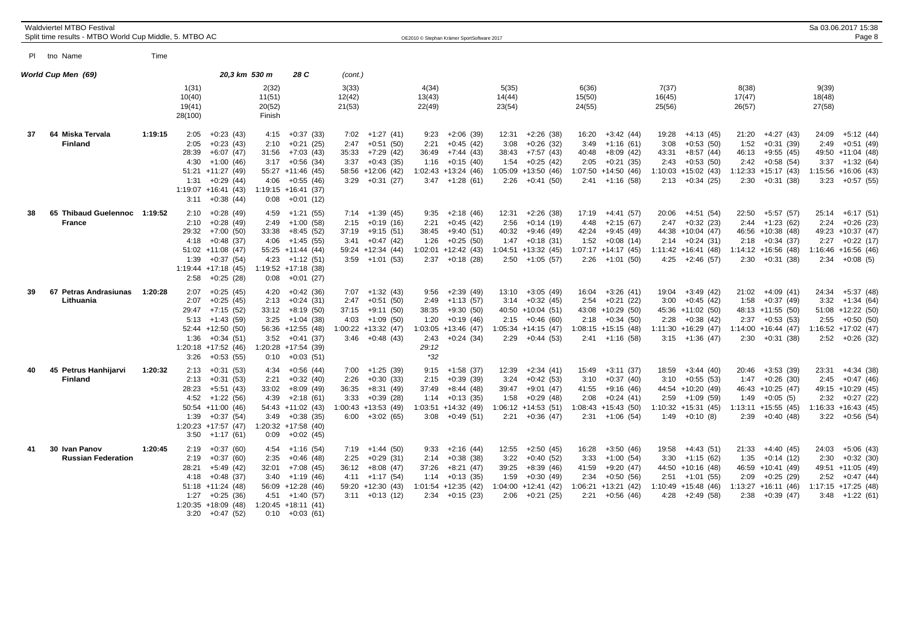|    | <b>Waldviertel MTBO Festival</b><br>Split time results - MTBO World Cup Middle, 5. MTBO AC |         |                                              |                                               |                  |                                        | OE2010 © Stephan Krämer SportSoftware 2017   |                 |                                           |                                              |                                              |                                              | Sa 03.06.2017 15:38<br>Page 8               |
|----|--------------------------------------------------------------------------------------------|---------|----------------------------------------------|-----------------------------------------------|------------------|----------------------------------------|----------------------------------------------|-----------------|-------------------------------------------|----------------------------------------------|----------------------------------------------|----------------------------------------------|---------------------------------------------|
|    |                                                                                            |         |                                              |                                               |                  |                                        |                                              |                 |                                           |                                              |                                              |                                              |                                             |
|    | PI tho Name                                                                                | Time    |                                              |                                               |                  |                                        |                                              |                 |                                           |                                              |                                              |                                              |                                             |
|    | World Cup Men (69)                                                                         |         | 20,3 km 530 m                                | 28 C                                          | (cont.)<br>3(33) |                                        |                                              |                 |                                           |                                              |                                              |                                              | 9(39)                                       |
|    |                                                                                            |         | 1(31)<br>10(40)                              | 2(32)<br>11(51)                               | 12(42)           |                                        | 4(34)<br>13(43)                              | 5(35)<br>14(44) |                                           | 6(36)<br>15(50)                              | 7(37)<br>16(45)                              | 8(38)<br>17(47)                              | 18(48)                                      |
|    |                                                                                            |         | 19(41)<br>28(100)                            | 20(52)<br>Finish                              | 21(53)           |                                        | 22(49)                                       | 23(54)          |                                           | 24(55)                                       | 25(56)                                       | 26(57)                                       | 27(58)                                      |
| 37 | 64 Miska Tervala                                                                           | 1:19:15 | 2:05<br>$+0:23(43)$                          | 4:15<br>$+0:37(33)$                           | 7:02             | $+1:27(41)$                            | 9:23<br>$+2:06(39)$                          | 12:31           | $+2:26(38)$                               | 16:20<br>$+3:42(44)$                         | 19:28<br>+4:13 (45)                          | $+4:27(43)$<br>21:20                         | 24:09<br>$+5:12(44)$                        |
|    | <b>Finland</b>                                                                             |         | $+0:23(43)$<br>2:05<br>28:39<br>$+6:07(47)$  | $+0:21(25)$<br>2:10<br>$+7:03(43)$<br>31:56   | 2:47<br>35:33    | $+0:51(50)$<br>+7:29 (42)              | $+0:45(42)$<br>2:21<br>$+7:44(43)$<br>36:49  | 3:08<br>38:43   | $+0:26(32)$<br>$+7:57(43)$                | 3:49<br>$+1:16(61)$<br>$+8:09(42)$<br>40:48  | 3:08<br>$+0:53(50)$<br>43:31<br>$+8:57(44)$  | 1:52<br>$+0:31(39)$<br>46:13<br>$+9:55(45)$  | $+0:51(49)$<br>2:49<br>49:50 +11:04 (48)    |
|    |                                                                                            |         | 4:30<br>$+1:00(46)$                          | $+0:56(34)$<br>3:17                           | 3:37             | $+0:43(35)$                            | $+0:15(40)$<br>1:16                          | 1:54            | $+0.25(42)$                               | $+0:21(35)$<br>2:05                          | $+0:53(50)$<br>2:43                          | $2:42 + 0:58(54)$                            | $3:37 +1:32(64)$                            |
|    |                                                                                            |         | 51:21 +11:27 (49)<br>1:31<br>$+0.29(44)$     | 55:27 +11:46 (45)<br>4:06<br>$+0:55(46)$      |                  | 58:56 +12:06 (42)<br>$3:29 +0:31(27)$  | $1:02:43$ +13:24 (46)<br>$3:47 +1:28(61)$    | 2:26            | $1:05:09$ +13:50 (46)<br>$+0:41(50)$      | 1:07:50 +14:50 (46)<br>$2:41 +1:16(58)$      | $1:10:03 + 15:02$ (43)<br>$2:13 + 0:34$ (25) | $1:12:33 + 15:17(43)$<br>$2:30 +0:31(38)$    | 1:15:56 +16:06 (43)<br>$3:23 +0:57(55)$     |
|    |                                                                                            |         | $1:19:07 + 16:41(43)$<br>$+0:38(44)$<br>3:11 | $1:19:15 + 16:41$ (37)<br>0:08<br>$+0:01(12)$ |                  |                                        |                                              |                 |                                           |                                              |                                              |                                              |                                             |
| 38 | 65 Thibaud Guelennoc 1:19:52                                                               |         | 2:10<br>$+0.28(49)$                          | 4:59<br>+1:21 (55)                            |                  | $7:14$ +1:39 (45)                      | $+2:18(46)$<br>9:35                          | 12:31           | $+2:26(38)$                               | 17:19<br>+4:41 (57)                          | $20:06 +4:51(54)$                            | 22:50 +5:57 (57)                             | $25:14 + 6:17(51)$                          |
|    | <b>France</b>                                                                              |         | $+0.28(49)$<br>2:10<br>29:32<br>+7:00 (50)   | 2:49<br>$+1:00(58)$<br>33:38<br>+8:45 (52)    | 2:15<br>37:19    | $+0:19(16)$<br>+9:15 (51)              | $+0:45(42)$<br>2:21<br>38:45<br>+9:40 (51)   | 2:56<br>40:32   | $+0:14(19)$<br>+9:46 (49)                 | 4:48<br>$+2:15(67)$<br>42:24<br>$+9:45(49)$  | 2:47<br>$+0:32(23)$<br>44:38 +10:04 (47)     | $+1:23(62)$<br>2:44<br>46:56 +10:38 (48)     | 2:24<br>$+0:26(23)$<br>49:23 +10:37 (47)    |
|    |                                                                                            |         | 4:18<br>$+0.48(37)$                          | $+1:45(55)$<br>4:06                           | 3:41             | $+0:47(42)$                            | $+0:25(50)$<br>1:26                          | 1:47            | $+0:18(31)$                               | $1:52 +0:08(14)$                             | $2:14 + 0:24(31)$                            | $2:18 + 0:34$ (37)                           | $2:27 +0:22(17)$                            |
|    |                                                                                            |         | $51:02 + 11:08$ (47)<br>$+0:37(54)$<br>1:39  | $55:25 +11:44(44)$<br>$4:23 +1:12(51)$        |                  | 59:24 +12:34 (44)<br>$3:59 +1:01(53)$  | $+12:42(43)$<br>1:02:01<br>$2:37 +0:18(28)$  |                 | $1:04:51$ +13:32 (45)<br>$2:50 +1:05(57)$ | $1:07:17 + 14:17(45)$<br>$2:26 +1:01$ (50)   | $1:11:42 + 16:41 (48)$<br>$4:25 +2:46(57)$   | $1:14:12 + 16:56(48)$<br>$2:30 +0:31(38)$    | $1:16:46 + 16:56(46)$<br>$2:34 +0:08(5)$    |
|    |                                                                                            |         | $1:19:44$ +17:18 (45)                        | $1:19:52 +17:18$ (38)                         |                  |                                        |                                              |                 |                                           |                                              |                                              |                                              |                                             |
| 39 | 67 Petras Andrasiunas                                                                      | 1:20:28 | 2:58<br>$+0:25(28)$<br>2:07<br>$+0:25(45)$   | $+0:01(27)$<br>0:08<br>4:20<br>$+0:42(36)$    |                  | $7:07$ +1:32 (43)                      | $+2:39(49)$<br>9:56                          |                 | 13:10 +3:05 (49)                          | 16:04<br>$+3:26(41)$                         | 19:04 +3:49 (42)                             | 21:02<br>$+4:09(41)$                         | 24:34 +5:37 (48)                            |
|    | Lithuania                                                                                  |         | 2:07<br>$+0.25(45)$                          | $+0:24(31)$<br>2:13                           |                  | $2:47 +0:51(50)$                       | 2:49<br>$+1:13(57)$                          |                 | $3:14 + 0:32(45)$                         | 2:54<br>$+0:21(22)$                          | 3:00<br>+0:45 (42)                           | $1:58 + 0:37(49)$                            | $3:32 +1:34(64)$                            |
|    |                                                                                            |         | 29:47<br>+7:15 (52)<br>$5:13 +1:43(59)$      | $+8:19(50)$<br>33:12<br>$3:25 +1:04$ (38)     | 37:15            | +9:11 (50)<br>$4:03 +1:09(50)$         | $+9:30(50)$<br>38:35<br>$+0:19(46)$<br>1:20  |                 | 40:50 +10:04 (51)<br>$2:15 +0:46(60)$     | 43:08 +10:29 (50)<br>$2:18 + 0:34(50)$       | 45:36 +11:02 (50)<br>$+0:38(42)$<br>2:28     | 48:13 +11:55 (50)<br>$2:37 +0:53(53)$        | 51:08 +12:22 (50)<br>$2:55 + 0:50(50)$      |
|    |                                                                                            |         | 52:44 +12:50 (50)                            | 56:36 +12:55 (48)                             |                  | 1:00:22 +13:32 (47)                    | $1:03:05 +13:46(47)$                         |                 | $1:05:34$ +14:15 (47)                     | 1:08:15 +15:15 (48)                          | 1:11:30 +16:29 (47)                          | $1:14:00 + 16:44(47)$                        | $1:16:52 +17:02(47)$                        |
|    |                                                                                            |         | $+0:34(51)$<br>1:36<br>$1:20:18$ +17:52 (46) | 3:52<br>$+0:41(37)$<br>1:20:28 +17:54 (39)    |                  | $3:46 + 0:48(43)$                      | 2:43<br>$+0:24(34)$<br>29:12                 |                 | $2:29 +0:44(53)$                          | $2:41 +1:16(58)$                             | $3:15 +1:36(47)$                             | $2:30 +0:31(38)$                             | $2:52 +0:26$ (32)                           |
|    |                                                                                            |         | 3:26<br>$+0.53(55)$                          | $+0:03(51)$<br>0:10                           |                  |                                        | $*32$                                        |                 |                                           |                                              |                                              |                                              |                                             |
| 40 | 45<br>Petrus Hanhijarvi<br><b>Finland</b>                                                  | 1:20:32 | 2:13<br>+0:31 (53)<br>2:13<br>$+0:31(53)$    | $+0:56(44)$<br>4:34<br>$+0:32(40)$<br>2:21    | 2:26             | $7:00 +1:25(39)$<br>$+0:30(33)$        | 9:15<br>+1:58 (37)<br>$+0:39(39)$<br>2:15    | 12:39<br>3:24   | $+2:34(41)$<br>$+0.42(53)$                | 15:49<br>+3:11 (37)<br>$+0:37(40)$<br>3:10   | 18:59<br>$+3:44(40)$<br>$3:10 + 0:55(53)$    | 20:46 +3:53 (39)<br>$1:47 +0:26(30)$         | $+4:34(38)$<br>23:31<br>$2:45 +0:47(46)$    |
|    |                                                                                            |         | 28:23<br>$+5:51(43)$                         | $+8:09(49)$<br>33:02                          | 36:35            | $+8:31(49)$                            | $+8:44(48)$<br>37:49                         | 39:47           | $+9:01(47)$                               | 41:55<br>$+9:16(46)$                         | 44:54 +10:20 (49)                            | 46:43 +10:25 (47)                            | 49:15 +10:29 (45)                           |
|    |                                                                                            |         | 4:52<br>$+1:22(56)$<br>$50:54$ +11:00 (46)   | 4:39<br>$+2:18(61)$<br>$54:43 +11:02$ (43)    | 3:33             | $+0:39(28)$<br>$1:00:43 +13:53(49)$    | $+0:13(35)$<br>1:14<br>$1:03:51 + 14:32(49)$ | 1:58            | $+0:29(48)$<br>$1:06:12 +14:53(51)$       | $+0:24(41)$<br>2:08<br>1:08:43 +15:43 (50)   | $2:59 +1:09(59)$<br>$1:10:32 + 15:31(45)$    | $1:49 +0:05(5)$<br>$1:13:11 + 15:55(45)$     | $2:32 +0:27$ (22)<br>$1:16:33 + 16:43(45)$  |
|    |                                                                                            |         | 1:39<br>$+0:37(54)$                          | 3:49<br>$+0:38(35)$                           |                  | $6:00 +3:02(65)$                       | 3:08<br>$+0.49(51)$                          | 2:21            | $+0:36(47)$                               | $2:31 +1:06(54)$                             | $1:49 +0:10(8)$                              | $2:39 +0:40(48)$                             | $3:22 +0:56(54)$                            |
|    |                                                                                            |         | $1:20:23$ +17:57 (47)<br>3:50<br>$+1:17(61)$ | 1:20:32 +17:58 (40)<br>$+0:02(45)$<br>0:09    |                  |                                        |                                              |                 |                                           |                                              |                                              |                                              |                                             |
| 41 | 30 Ivan Panov<br><b>Russian Federation</b>                                                 | 1:20:45 | 2:19<br>$+0:37(60)$<br>2:19<br>$+0:37(60)$   | 4:54<br>$+1:16(54)$<br>$+0:46(48)$<br>2:35    | 2:25             | $7:19 +1:44(50)$<br>$+0:29(31)$        | $+2:16(44)$<br>9:33<br>$+0:38(38)$<br>2:14   | 12:55<br>3:22   | $+2:50(45)$<br>$+0:40(52)$                | 16:28<br>$+3:50(46)$<br>3:33<br>+1:00 (54)   | $19:58 +4:43(51)$<br>$3:30 +1:15(62)$        | $21:33 +4:40(45)$<br>$1:35 +0:14(12)$        | 24:03<br>$+5:06(43)$<br>$+0:32(30)$<br>2:30 |
|    |                                                                                            |         | 28:21<br>$+5:49(42)$                         | 32:01<br>$+7:08(45)$                          | 36:12            | $+8:08(47)$                            | $+8:21(47)$<br>37:26                         | 39:25           | $+8:39(46)$                               | $+9:20(47)$<br>41:59                         | 44:50 +10:16 (48)                            | 46:59 +10:41 (49)                            | 49:51 +11:05 (49)                           |
|    |                                                                                            |         | $+0:48(37)$<br>4:18<br>$51:18$ +11:24 (48)   | 3:40<br>+1:19 (46)<br>$56:09 +12:28(46)$      |                  | $4:11 +1:17(54)$<br>$59:20 +12:30(43)$ | $+0:13(35)$<br>1:14<br>$1:01:54$ +12:35 (42) | 1:59            | $+0:30(49)$<br>$1:04:00 + 12:41(42)$      | $+0:50(56)$<br>2:34<br>$1:06:21$ +13:21 (42) | $2:51 +1:01$ (55)<br>$1:10:49$ +15:48 (46)   | $+0:25(29)$<br>2:09<br>$1:13:27 + 16:11(46)$ | $2:52 +0:47(44)$<br>$1:17:15 + 17:25(48)$   |
|    |                                                                                            |         | 1:27<br>$+0:25(36)$                          | $+1:40(57)$<br>4:51                           |                  | $3:11 + 0:13(12)$                      | 2:34<br>$+0:15(23)$                          | 2:06            | $+0:21(25)$                               | $2:21 +0:56(46)$                             | $4:28 +2:49(58)$                             | $2:38 + 0:39(47)$                            | $3:48$ +1:22 (61)                           |
|    |                                                                                            |         | $1:20:35 +18:09(48)$<br>$3:20 +0:47(52)$     | $1:20:45$ +18:11 (41)<br>$0:10 + 0:03(61)$    |                  |                                        |                                              |                 |                                           |                                              |                                              |                                              |                                             |
|    |                                                                                            |         |                                              |                                               |                  |                                        |                                              |                 |                                           |                                              |                                              |                                              |                                             |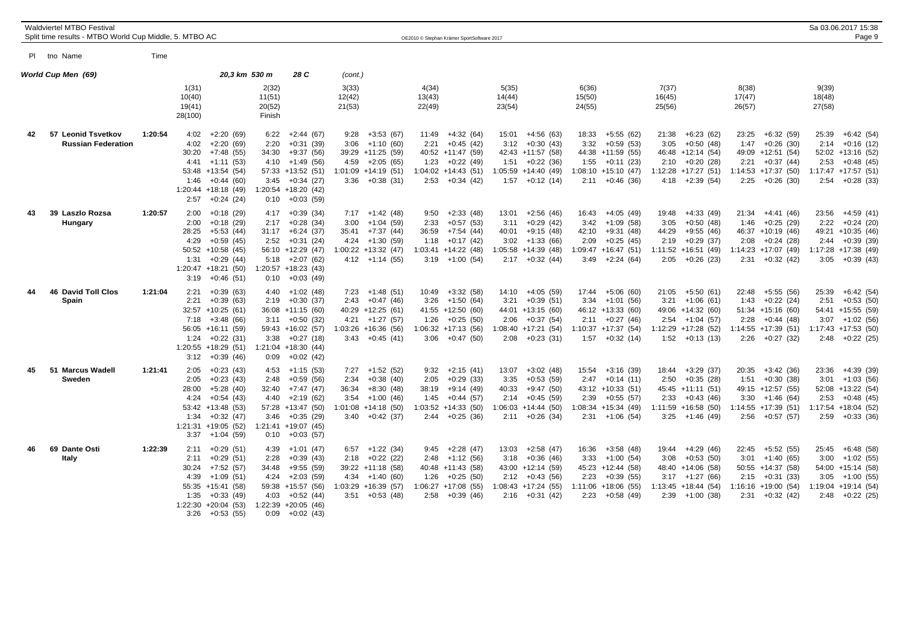|    | <b>Waldviertel MTBO Festival</b>                       |         |                                                                                                                                                                                         |                                                                                                                                                                                           |                                                                                                                                     |                                                                                                                                          |                                                                                                      |                                                          |                                                                                                                                          |                                                                                                                                        |                                                                                                                                          | Sa 03.06.2017 15:38                                                                                                                   |
|----|--------------------------------------------------------|---------|-----------------------------------------------------------------------------------------------------------------------------------------------------------------------------------------|-------------------------------------------------------------------------------------------------------------------------------------------------------------------------------------------|-------------------------------------------------------------------------------------------------------------------------------------|------------------------------------------------------------------------------------------------------------------------------------------|------------------------------------------------------------------------------------------------------|----------------------------------------------------------|------------------------------------------------------------------------------------------------------------------------------------------|----------------------------------------------------------------------------------------------------------------------------------------|------------------------------------------------------------------------------------------------------------------------------------------|---------------------------------------------------------------------------------------------------------------------------------------|
|    | Split time results - MTBO World Cup Middle, 5. MTBO AC |         |                                                                                                                                                                                         |                                                                                                                                                                                           |                                                                                                                                     | OE2010 © Stephan Krämer SportSoftware 2017                                                                                               |                                                                                                      |                                                          |                                                                                                                                          |                                                                                                                                        |                                                                                                                                          | Page 9                                                                                                                                |
|    | PI tno Name                                            | Time    |                                                                                                                                                                                         |                                                                                                                                                                                           |                                                                                                                                     |                                                                                                                                          |                                                                                                      |                                                          |                                                                                                                                          |                                                                                                                                        |                                                                                                                                          |                                                                                                                                       |
|    | World Cup Men (69)                                     |         | 20,3 km 530 m                                                                                                                                                                           | 28 C                                                                                                                                                                                      | (cont.)                                                                                                                             |                                                                                                                                          |                                                                                                      |                                                          |                                                                                                                                          |                                                                                                                                        |                                                                                                                                          |                                                                                                                                       |
|    |                                                        |         | 1(31)<br>10(40)<br>19(41)<br>28(100)                                                                                                                                                    | 2(32)<br>11(51)<br>20(52)<br>Finish                                                                                                                                                       | 3(33)<br>12(42)<br>21(53)                                                                                                           | 4(34)<br>13(43)<br>22(49)                                                                                                                | 5(35)<br>14(44)<br>23(54)                                                                            |                                                          | 6(36)<br>15(50)<br>24(55)                                                                                                                | 7(37)<br>16(45)<br>25(56)                                                                                                              | 8(38)<br>17(47)<br>26(57)                                                                                                                | 9(39)<br>18(48)<br>27(58)                                                                                                             |
| 42 | 57 Leonid Tsvetkov<br><b>Russian Federation</b>        | 1:20:54 | $+2:20(69)$<br>4:02<br>4:02<br>$+2:20(69)$<br>30:20<br>$+7:48(55)$<br>4:41<br>$+1:11(53)$<br>53:48 +13:54 (54)<br>$+0:44(60)$<br>1:46<br>$1:20:44$ +18:18 (49)<br>2:57<br>$+0:24(24)$   | $+2:44(67)$<br>6:22<br>2:20<br>$+0:31(39)$<br>34:30<br>$+9:37(56)$<br>$+1:49(56)$<br>4:10<br>57:33 +13:52 (51)<br>$+0:34(27)$<br>3:45<br>1:20:54 +18:20 (42)<br>$+0:03(59)$<br>0:10       | $+3:53(67)$<br>9:28<br>$+1:10(60)$<br>3:06<br>39:29 +11:25 (59)<br>$4:59 +2:05(65)$<br>$1:01:09$ +14:19 (51)<br>$3:36 + 0:38(31)$   | $+4:32(64)$<br>11:49<br>$+0:45(42)$<br>2:21<br>40:52 +11:47 (59)<br>$+0:22(49)$<br>1:23<br>$1:04:02 +14:43(51)$<br>$+0:34(42)$<br>2:53   | 15:01<br>3:12<br>42:43 +11:57 (58)<br>1:51<br>1:05:59 +14:40 (49)<br>$1:57 +0:12(14)$                | $+4:56(63)$<br>$+0:30(43)$<br>$+0:22(36)$                | $+5:55(62)$<br>18:33<br>$+0.59(53)$<br>3:32<br>44:38 +11:59 (55)<br>$+0:11(23)$<br>1:55<br>1:08:10 +15:10 (47)<br>$2:11 + 0:46$ (36)     | $+6:23(62)$<br>21:38<br>$+0:50(48)$<br>3:05<br>46:48 +12:14 (54)<br>$2:10 + 0:20(28)$<br>1:12:28 +17:27 (51)<br>+2:39 (54)<br>4:18     | 23:25<br>$+6:32(59)$<br>$+0:26(30)$<br>1:47<br>49:09 +12:51 (54)<br>$2:21 + 0:37(44)$<br>$1:14:53$ +17:37 (50)<br>$2:25 +0:26$ (30)      | $+6:42(54)$<br>25:39<br>2:14<br>$+0:16(12)$<br>52:02 +13:16 (52)<br>$2:53 +0:48(45)$<br>1:17:47 +17:57 (51)<br>$+0:28(33)$<br>2:54    |
| 43 | 39 Laszlo Rozsa<br>Hungary                             | 1:20:57 | 2:00<br>$+0:18(29)$<br>$+0:18(29)$<br>2:00<br>28:25<br>$+5:53(44)$<br>4:29<br>$+0.59(45)$<br>$50:52 + 10:58(45)$<br>1:31<br>$+0:29(44)$<br>$1:20:47 + 18:21(50)$<br>$+0.46(51)$<br>3:19 | $+0:39(34)$<br>4:17<br>$+0.28(34)$<br>2:17<br>$+6:24(37)$<br>31:17<br>$+0:31(24)$<br>2:52<br>56:10<br>$+12:29(47)$<br>5:18<br>$+2:07(62)$<br>1:20:57 +18:23 (43)<br>$+0:03(49)$<br>0:10   | $7:17 +1:42(48)$<br>$+1:04(59)$<br>3:00<br>$+7:37(44)$<br>35:41<br>+1:30 (59)<br>4:24<br>$1:00:22 + 13:32(47)$<br>$4:12 +1:14(55)$  | $+2:33(48)$<br>9:50<br>2:33<br>$+0:57(53)$<br>$+7:54(44)$<br>36:59<br>$+0:17(42)$<br>1:18<br>$1:03:41 +14:22$ (48)<br>3:19<br>+1:00 (54) | 13:01<br>3:11<br>40:01<br>3:02<br>$1:05:58$ +14:39 (48)<br>$2:17 +0:32(44)$                          | $+2:56(46)$<br>$+0:29(42)$<br>$+9:15(48)$<br>$+1:33(66)$ | 16:43<br>$+4:05(49)$<br>$+1:09(58)$<br>3:42<br>$+9:31(48)$<br>42:10<br>$+0:25(45)$<br>2:09<br>1:09:47 +16:47 (51)<br>3:49<br>$+2:24(64)$ | +4:33 (49)<br>19:48<br>3:05<br>$+0:50(48)$<br>+9:55 (46)<br>44:29<br>$+0:29(37)$<br>2:19<br>1:11:52 +16:51 (49)<br>2:05<br>+0:26 (23)  | $21:34 +4:41(46)$<br>1:46<br>$+0:25(29)$<br>46:37 +10:19 (46)<br>$+0:24(28)$<br>2:08<br>$1:14:23 + 17:07(49)$<br>$2:31 +0:32(42)$        | $+4:59(41)$<br>23:56<br>2:22<br>$+0:24(20)$<br>49:21 +10:35 (46)<br>$2:44 +0:39(39)$<br>$1:17:28$ +17:38 (49)<br>3:05<br>$+0:39(43)$  |
| 44 | <b>46 David Toll Clos</b><br>Spain                     | 1:21:04 | 2:21<br>$+0:39(63)$<br>2:21<br>$+0:39(63)$<br>32:57 +10:25 (61)<br>7:18<br>$+3:48(66)$<br>56:05 +16:11 (59)<br>1:24<br>$+0:22(31)$<br>$1:20:55$ +18:29 (51)<br>$3:12 + 0:39(46)$        | $+1:02(48)$<br>4:40<br>$+0:30(37)$<br>2:19<br>$36:08 +11:15(60)$<br>$+0:50(32)$<br>3:11<br>59:43 +16:02 (57)<br>3:38<br>$+0:27(18)$<br>$1:21:04$ +18:30 (44)<br>$+0:02(42)$<br>0:09       | $7:23 +1:48(51)$<br>$+0:47(46)$<br>2:43<br>40:29 +12:25 (61)<br>$+1:27(57)$<br>4:21<br>$1:03:26 + 16:36(56)$<br>$3:43 + 0:45(41)$   | $+3:32(58)$<br>10:49<br>$+1:50(64)$<br>3:26<br>41:55 +12:50 (60)<br>$+0.25(50)$<br>1:26<br>$1:06:32 +17:13(56)$<br>3:06<br>$+0.47(50)$   | 14:10 +4:05 (59)<br>3:21<br>44:01 +13:15 (60)<br>2:06<br>$1:08:40 +17:21(54)$<br>$2:08$ +0:23 (31)   | $+0:39(51)$<br>$+0:37(54)$                               | $+5:06(60)$<br>17:44<br>3:34<br>$+1:01(56)$<br>46:12 +13:33 (60)<br>$+0:27(46)$<br>2:11<br>$1:10:37 +17:37(54)$<br>$1:57 +0:32(14)$      | 21:05<br>+5:50 (61)<br>3:21<br>+1:06 (61)<br>49:06 +14:32 (60)<br>$+1:04(57)$<br>2:54<br>1:12:29 +17:28 (52)<br>$1:52 +0:13(13)$       | $+5:55(56)$<br>22:48<br>1:43<br>$+0:22(24)$<br>$51:34 + 15:16(60)$<br>2:28<br>$+0:44(48)$<br>$1:14:55 + 17:39(51)$<br>$2:26 + 0:27$ (32) | $+6:42(54)$<br>25:39<br>2:51<br>$+0:53(50)$<br>54:41 +15:55 (59)<br>$3:07 +1:02(56)$<br>$1:17:43 + 17:53(50)$<br>$2:48$ +0:22 (25)    |
| 45 | 51 Marcus Wadell<br>Sweden                             | 1:21:41 | 2:05<br>$+0:23(43)$<br>2:05<br>$+0:23(43)$<br>28:00<br>$+5:28(40)$<br>4:24<br>$+0.54(43)$<br>53:42 +13:48 (53)<br>1:34<br>$+0:32(47)$<br>$1:21:31 + 19:05(52)$<br>$3:37 +1:04(59)$      | $+1:15(53)$<br>4:53<br>$+0.59(56)$<br>2:48<br>$+7:47(47)$<br>32:40<br>4:40<br>$+2:19(62)$<br>57:28<br>$+13:47(50)$<br>3:46<br>$+0:35(29)$<br>$1:21:41$ +19:07 (45)<br>$+0:03(57)$<br>0:10 | $+1:52(52)$<br>7:27<br>$+0:38(40)$<br>2:34<br>$+8:30(48)$<br>36:34<br>$3:54 +1:00(46)$<br>$1:01:08$ +14:18 (50)<br>$3:40 +0:42(37)$ | $+2:15(41)$<br>9:32<br>$+0:29(33)$<br>2:05<br>$+9:14(49)$<br>38:19<br>$+0:44(57)$<br>1:45<br>$1:03:52 +14:33(50)$<br>$+0:25(36)$<br>2:44 | 13:07<br>3:35<br>40:33<br>2:14<br>$1:06:03 +14:44(50)$<br>$2:11 + 0:26$ (34)                         | $+3:02(48)$<br>$+0:53(59)$<br>$+9:47(50)$<br>$+0.45(59)$ | 15:54<br>$+3:16(39)$<br>2:47<br>$+0:14(11)$<br>43:12 +10:33 (51)<br>$+0:55(57)$<br>2:39<br>1:08:34 +15:34 (49)<br>$2:31 +1:06(54)$       | $+3:29(37)$<br>18:44<br>$+0:35(28)$<br>2:50<br>45:45 +11:11 (51)<br>$+0:43(46)$<br>2:33<br>$1:11:59$ +16:58 (50)<br>3:25<br>+1:46 (49) | $+3:42(36)$<br>20:35<br>$+0:30(38)$<br>1:51<br>49:15 +12:57 (55)<br>$3:30 +1:46(64)$<br>$1:14:55 + 17:39(51)$<br>$2:56 + 0:57(57)$       | $+4:39(39)$<br>23:36<br>$+1:03(56)$<br>3:01<br>52:08 +13:22 (54)<br>$+0:48(45)$<br>2:53<br>$1:17:54$ +18:04 (52)<br>$2:59 + 0:33(36)$ |
| 46 | 69 Dante Osti<br>Italy                                 | 1:22:39 | 2:11<br>$+0:29(51)$<br>$+0:29(51)$<br>2:11<br>30:24<br>$+7:52(57)$<br>4:39<br>+1:09 (51)<br>55:35 +15:41 (58)<br>$+0:33(49)$<br>1:35<br>$1:22:30 +20:04(53)$<br>3:26<br>$+0:53(55)$     | 4:39<br>$+1:01(47)$<br>$+0:39(43)$<br>2:28<br>$+9:55(59)$<br>34:48<br>4:24<br>$+2:03(59)$<br>59:38<br>$+15:57(56)$<br>4:03<br>$+0:52(44)$<br>$1:22:39$ +20:05 (46)<br>0:09<br>$+0:02(43)$ | $6:57 +1:22(34)$<br>$+0:22(22)$<br>2:18<br>39:22 +11:18 (58)<br>$4:34 +1:40(60)$<br>1:03:29 +16:39 (57)<br>$3:51 + 0:53$ (48)       | 9:45<br>$+2:28(47)$<br>$+1:12(56)$<br>2:48<br>40:48 +11:43 (58)<br>1:26<br>$+0:25(50)$<br>$1:06:27 +17:08(55)$<br>$+0:39(46)$<br>2:58    | 13:03<br>3:18<br>43:00 +12:14 (59)<br>$2:12 +0:43(56)$<br>$1:08:43$ +17:24 (55)<br>$2:16 + 0:31(42)$ | $+2:58(47)$<br>$+0:36(46)$                               | 16:36<br>$+3:58(48)$<br>$+1:00(54)$<br>3:33<br>45:23 +12:44 (58)<br>2:23<br>$+0:39(55)$<br>$1:11:06 + 18:06(55)$<br>$+0.58(49)$<br>2:23  | 19:44 +4:29 (46)<br>$+0.53(50)$<br>3:08<br>48:40 +14:06 (58)<br>$3:17 +1:27(66)$<br>$1:13:45 + 18:44$ (54)<br>2:39<br>+1:00 (38)       | $+5:52(55)$<br>22:45<br>$+1:40(65)$<br>3:01<br>50:55 +14:37 (58)<br>$2:15 +0:31(33)$<br>$1:16:16 + 19:00(54)$<br>$2:31 + 0:32(42)$       | 25:45<br>$+6:48(58)$<br>$+1:02(55)$<br>3:00<br>54:00 +15:14 (58)<br>$3:05 +1:00(55)$<br>$1:19:04$ +19:14 (54)<br>$2:48$ +0:22 (25)    |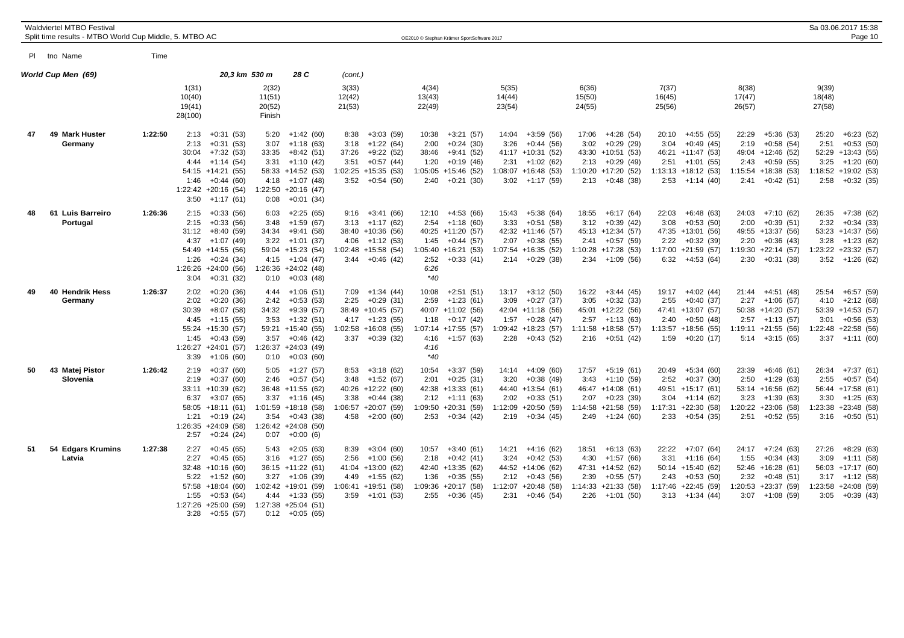|    | <b>Waldviertel MTBO Festival</b><br>Split time results - MTBO World Cup Middle, 5. MTBO AC |         |                                                                                                                                                                                       |                                                                                |                                                                                                                    |                                                                                                                               |                            | OE2010 © Stephan Krämer SportSoftware 2017                                                                                                          |                           |                                                                                                                              |                                                                                                                                         |                                                                                                                                    |                                                                                                                                         | Sa 03.06.2017 15:38<br>Page 10                                                                                                        |  |
|----|--------------------------------------------------------------------------------------------|---------|---------------------------------------------------------------------------------------------------------------------------------------------------------------------------------------|--------------------------------------------------------------------------------|--------------------------------------------------------------------------------------------------------------------|-------------------------------------------------------------------------------------------------------------------------------|----------------------------|-----------------------------------------------------------------------------------------------------------------------------------------------------|---------------------------|------------------------------------------------------------------------------------------------------------------------------|-----------------------------------------------------------------------------------------------------------------------------------------|------------------------------------------------------------------------------------------------------------------------------------|-----------------------------------------------------------------------------------------------------------------------------------------|---------------------------------------------------------------------------------------------------------------------------------------|--|
|    | PI tno Name                                                                                | Time    |                                                                                                                                                                                       |                                                                                |                                                                                                                    |                                                                                                                               |                            |                                                                                                                                                     |                           |                                                                                                                              |                                                                                                                                         |                                                                                                                                    |                                                                                                                                         |                                                                                                                                       |  |
|    | World Cup Men (69)                                                                         |         |                                                                                                                                                                                       | 20,3 km 530 m                                                                  | 28 C                                                                                                               | (cont.)                                                                                                                       |                            |                                                                                                                                                     |                           |                                                                                                                              |                                                                                                                                         |                                                                                                                                    |                                                                                                                                         | 9(39)                                                                                                                                 |  |
|    |                                                                                            |         | 1(31)<br>10(40)<br>19(41)<br>28(100)                                                                                                                                                  | 2(32)<br>11(51)<br>20(52)<br>Finish                                            |                                                                                                                    | 3(33)<br>12(42)<br>21(53)                                                                                                     | 13(43)<br>22(49)           | 4(34)                                                                                                                                               | 5(35)<br>14(44)<br>23(54) |                                                                                                                              | 6(36)<br>15(50)<br>24(55)                                                                                                               | 7(37)<br>16(45)<br>25(56)                                                                                                          | 8(38)<br>17(47)<br>26(57)                                                                                                               | 18(48)<br>27(58)                                                                                                                      |  |
| 47 | 49 Mark Huster<br>Germany                                                                  | 1:22:50 | $+0:31(53)$<br>2:13<br>2:13<br>$+0:31(53)$<br>30:04<br>$+7:32(53)$<br>$+1:14(54)$<br>4:44<br>54:15 +14:21 (55)<br>1:46<br>$+0:44(60)$<br>$1:22:42 + 20:16$ (54)<br>3:50<br>+1:17 (61) | 5:20<br>3:07<br>33:35<br>3:31<br>4:18<br>1:22:50 +20:16 (47)<br>0:08           | $+1:42(60)$<br>$+1:18(63)$<br>+8:42 (51)<br>$+1:10(42)$<br>58:33 +14:52 (53)<br>$+1:07(48)$<br>$+0:01(34)$         | 8:38<br>$3:18 +1:22(64)$<br>37:26 +9:22 (52)<br>3:51<br>$1:02:25$ +15:35 (53)<br>$3:52 +0:54(50)$                             | $+3:03(59)$<br>$+0:57(44)$ | $+3:21(57)$<br>10:38<br>$+0:24(30)$<br>2:00<br>+9:41 (52)<br>38:46<br>$+0:19(46)$<br>1:20<br>$1:05:05 +15:46(52)$<br>2:40<br>$+0:21(30)$            | 14:04<br>3:26             | $+3:59(56)$<br>$+0:44(56)$<br>41:17 +10:31 (52)<br>$2:31 +1:02(62)$<br>$1:08:07 + 16:48(53)$<br>$3:02 +1:17(59)$             | $+4:28(54)$<br>17:06<br>3:02<br>$+0:29(29)$<br>43:30 +10:51 (53)<br>2:13<br>$+0:29(49)$<br>$1:10:20 +17:20(52)$<br>$2:13 + 0:48$ (38)   | $+4:55(5)$<br>20:10<br>3:04<br>$+0:49(45)$<br>46:21 +11:47 (53)<br>$2:51 +1:01$ (55)<br>$1:13:13 + 18:12(53)$<br>$2:53 +1:14(40)$  | $+5:36(53)$<br>22:29<br>2:19<br>$+0.58(54)$<br>49:04 +12:46 (52)<br>2:43<br>$+0.59(55)$<br>$1:15:54$ +18:38 (53)<br>2:41<br>$+0:42(51)$ | 25:20<br>$+6:23(52)$<br>2:51<br>$+0:53(50)$<br>52:29 +13:43 (55)<br>3:25<br>$+1:20(60)$<br>1:18:52 +19:02 (53)<br>2:58<br>$+0:32(35)$ |  |
| 48 | 61 Luis Barreiro<br>Portugal                                                               | 1:26:36 | $+0:33(56)$<br>2:15<br>2:15<br>$+0:33(56)$<br>31:12<br>+8:40 (59)<br>4:37<br>+1:07 (49)<br>54:49 +14:55 (56)<br>1:26<br>$+0:24(34)$<br>$1:26:26 + 24:00(56)$<br>$+0:31(32)$<br>3:04   | 6:03<br>3:48<br>34:34<br>3:22<br>$1:26:36 + 24:02(48)$<br>0:10                 | $+2:25(65)$<br>$+1:59(67)$<br>$+9:41(58)$<br>+1:01 (37)<br>59:04 +15:23 (54)<br>$4:15 +1:04(47)$<br>$+0:03(48)$    | $9:16 +3:41(66)$<br>$3:13 +1:17(62)$<br>38:40 +10:36 (56)<br>$4:06 +1:12(53)$<br>$1:02:48$ +15:58 (54)<br>$3:44 + 0:46$ (42)  |                            | $12:10 +4:53(66)$<br>$+1:18(60)$<br>2:54<br>40:25 +11:20 (57)<br>$1:45 + 0:44(57)$<br>$1:05:40 + 16:21(53)$<br>$2:52 +0:33(41)$<br>6:26<br>$*40$    | 3:33                      | 15:43 +5:38 (64)<br>$+0:51(58)$<br>42:32 +11:46 (57)<br>$2:07 +0:38(55)$<br>$1:07:54$ +16:35 (52)<br>$2:14 + 0:29(38)$       | $+6:17(64)$<br>18:55<br>3:12<br>$+0:39(42)$<br>45:13 +12:34 (57)<br>$+0:57(59)$<br>2:41<br>$1:10:28$ +17:28 (53)<br>$2:34$ +1:09 (56)   | $22:03 + 6:48(63)$<br>$+0:53(50)$<br>3:08<br>47:35 +13:01 (56)<br>2:22<br>$+0:32(39)$<br>$1:17:00 + 21:59(57)$<br>$6:32 +4:53(64)$ | +7:10 (62)<br>24:03<br>2:00<br>$+0:39(51)$<br>49:55 +13:37 (56)<br>$+0:36(43)$<br>2:20<br>$1:19:30 +22:14(57)$<br>$2:30 +0:31(38)$      | 26:35 +7:38 (62)<br>2:32<br>$+0:34(33)$<br>53:23 +14:37 (56)<br>$3:28 +1:23(62)$<br>1:23:22 +23:32 (57)<br>$3:52 +1:26(62)$           |  |
| 49 | 40 Hendrik Hess<br>Germany                                                                 | 1:26:37 | 2:02<br>$+0:20(36)$<br>2:02<br>$+0:20(36)$<br>30:39<br>$+8:07(58)$<br>4:45<br>$+1:15(5)$<br>55:24 +15:30 (57)<br>$+0:43(59)$<br>1:45<br>$1:26:27 + 24:01$ (57)<br>3:39<br>$+1:06(60)$ | 4:44<br>2:42<br>34:32<br>3:53<br>$1:26:37 +24:03(49)$<br>0:10                  | $+1:06(51)$<br>$+0:53(53)$<br>$+9:39(57)$<br>$+1:32(51)$<br>59:21 +15:40 (55)<br>$3:57 +0:46(42)$<br>$+0:03(60)$   | $7:09$ +1:34 (44)<br>$2:25 + 0:29$ (31)<br>38:49 +10:45 (57)<br>$4:17 +1:23(55)$<br>$1:02:58$ +16:08 (55)<br>$3:37 +0:39(32)$ |                            | 10:08<br>$+2:51(51)$<br>$+1:23(61)$<br>2:59<br>40:07 +11:02 (56)<br>$1:18 + 0:17(42)$<br>$1:07:14$ +17:55 (57)<br>$4:16 +1:57(63)$<br>4:16<br>$*40$ | 3:09                      | $13:17 + 3:12(50)$<br>$+0:27(37)$<br>42:04 +11:18 (56)<br>$1:57 +0:28(47)$<br>$1:09:42 +18:23(57)$<br>$2:28$ +0:43 (52)      | 16:22<br>$+3:44(45)$<br>$+0:32(33)$<br>3:05<br>45:01 +12:22 (56)<br>$2:57 +1:13(63)$<br>$1:11:58$ +18:58 (57)<br>$2:16 + 0:51$ (42)     | $19:17 +4:02(44)$<br>2:55<br>$+0:40(37)$<br>47:41 +13:07 (57)<br>2:40<br>$+0:50(48)$<br>$1:13:57 + 18:56(55)$<br>$1:59 +0:20(17)$  | $21:44 +4:51(48)$<br>$2:27 +1:06(57)$<br>50:38 +14:20 (57)<br>$2:57 +1:13(57)$<br>$1:19:11 + 21:55$ (56)<br>$5:14$ +3:15 (65)           | $+6:57(59)$<br>25:54<br>4:10<br>$+2:12(68)$<br>53:39 +14:53 (57)<br>3:01<br>$+0:56(53)$<br>1:22:48 +22:58 (56)<br>$3:37 +1:11(60)$    |  |
| 50 | 43 Matej Pistor<br>Slovenia                                                                | 1:26:42 | $+0:37(60)$<br>2:19<br>$+0:37(60)$<br>2:19<br>33:11 +10:39 (62)<br>$6:37 +3:07(65)$<br>$58:05 +18:11(61)$<br>1:21<br>$+0:19(24)$<br>$1:26:35 +24:09(58)$<br>2:57<br>$+0:24(24)$       | 5:05<br>2:46<br>$1:01:59$ +18:18 (58)<br>3:54<br>$1:26:42 +24:08$ (50)<br>0:07 | +1:27 (57)<br>$+0:57(54)$<br>36:48 +11:55 (62)<br>$3:37 +1:16(45)$<br>$+0:43(38)$<br>$+0:00(6)$                    | $8:53 +3:18(62)$<br>$3:48$ +1:52 (67)<br>40:26 +12:22 (60)<br>$3:38 + 0:44$ (38)<br>$:06:57$ +20:07 (59)<br>$4:58 +2:00(60)$  |                            | 10:54<br>+3:37 (59)<br>2:01<br>$+0:25(31)$<br>42:38 +13:33 (61)<br>$2:12 +1:11(63)$<br>$1:09:50 + 20:31(59)$<br>2:53<br>$+0:34(42)$                 | 3:20                      | $14:14 + 4:09(60)$<br>$+0:38(49)$<br>44:40 +13:54 (61)<br>$2:02 +0:33(51)$<br>$1:12:09$ +20:50 (59)<br>$2:19 + 0:34(45)$     | $+5:19(61)$<br>17:57<br>$+1:10(59)$<br>3:43<br>46:47 +14:08 (61)<br>$+0:23(39)$<br>2:07<br>$1:14:58$ +21:58 (59)<br>2:49<br>$+1:24(60)$ | 20:49<br>+5:34 (60)<br>$2:52 +0:37(30)$<br>49:51 +15:17 (61)<br>$3:04$ +1:14 (62)<br>$1:17:31 + 22:30(58)$<br>$2:33 + 0:54$ (35)   | 23:39<br>$+6:46(61)$<br>$+1:29(63)$<br>2:50<br>53:14 +16:56 (62)<br>$+1:39(63)$<br>3:23<br>$1:20:22 +23:06(58)$<br>$2:51 + 0:52(55)$    | $+7:37(61)$<br>26:34<br>$+0.57(54)$<br>2:55<br>56:44 +17:58 (61)<br>$+1:25(63)$<br>3:30<br>1:23:38 +23:48 (58)<br>$3:16 + 0:50(51)$   |  |
| 51 | 54 Edgars Krumins<br>Latvia                                                                | 1:27:38 | 2:27<br>$+0:45(65)$<br>2:27<br>$+0:45(65)$<br>32:48 +10:16 (60)<br>$5:22 +1:52(60)$<br>$57:58$ +18:04 (60)<br>1:55<br>$+0:53(64)$<br>$1:27:26$ +25:00 (59)<br>3:28<br>+0:55 (57)      | 5:43<br>$1:02:42$ +19:01 (59)<br>$1:27:38$ +25:04 (51)                         | $+2:05(63)$<br>$3:16 +1:27(65)$<br>36:15 +11:22 (61)<br>$3:27 +1:06(39)$<br>$4:44 + 1:33(55)$<br>$0:12 + 0:05(65)$ | $8:39 +3:04(60)$<br>$2:56 +1:00(56)$<br>41:04 +13:00 (62)<br>$4:49 +1:55(62)$<br>$1:06:41 + 19:51(58)$<br>$3:59 +1:01(53)$    |                            | $+3:40(61)$<br>10:57<br>$2:18 + 0:42(41)$<br>42:40 +13:35 (62)<br>1:36<br>$+0:35(55)$<br>$1:09:36 +20:17(58)$<br>$2:55 + 0:36(45)$                  |                           | $14:21 +4:16(62)$<br>$3:24 +0:42(53)$<br>44:52 +14:06 (62)<br>$2:12 +0:43(56)$<br>$1:12:07$ +20:48 (58)<br>$2:31 + 0:46(54)$ | $+6:13(63)$<br>18:51<br>$+1:57(66)$<br>4:30<br>47:31 +14:52 (62)<br>$+0:55(57)$<br>2:39<br>$1:14:33 +21:33$ (58)<br>$2:26$ +1:01 (50)   | $22:22 + 7:07(64)$<br>$+1:16(64)$<br>3:31<br>50:14 +15:40 (62)<br>$2:43 +0:53(50)$<br>$1:17:46$ +22:45 (59)<br>$3:13 +1:34(44)$    | $+7:24(63)$<br>24:17<br>1:55<br>$+0:34(43)$<br>52:46 +16:28 (61)<br>$+0.48(51)$<br>2:32<br>$1:20:53$ +23:37 (59)<br>$3:07 +1:08(59)$    | $+8:29(63)$<br>27:26<br>$+1:11(58)$<br>3:09<br>56:03 +17:17 (60)<br>$3:17 +1:12(58)$<br>1:23:58 +24:08 (59)<br>$3:05 +0:39(43)$       |  |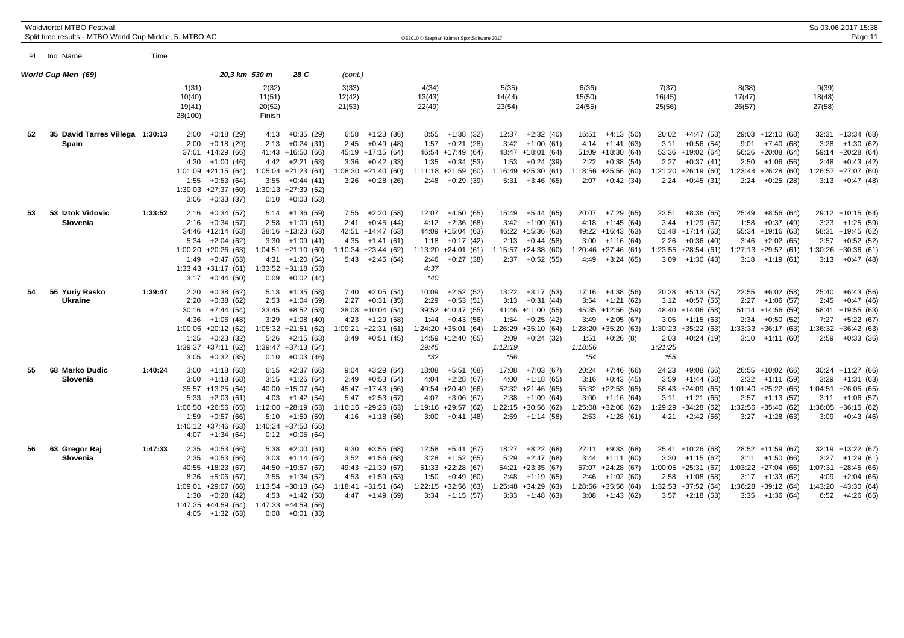|    | <b>Waldviertel MTBO Festival</b><br>Split time results - MTBO World Cup Middle, 5. MTBO AC |         |                                                                        |                                                                                                                                     |                                                 |                                                                                                                                                         |                           |                                                                                                                             |                                       | OE2010 © Stephan Krämer SportSoftware 2017                                                                         |                               |                                                                                                                        |                                                                                                                                                     |                                                                                                                                                    |                                                                                                                                | Sa 03.06.2017 15:38<br>Page 11                                                                                                   |
|----|--------------------------------------------------------------------------------------------|---------|------------------------------------------------------------------------|-------------------------------------------------------------------------------------------------------------------------------------|-------------------------------------------------|---------------------------------------------------------------------------------------------------------------------------------------------------------|---------------------------|-----------------------------------------------------------------------------------------------------------------------------|---------------------------------------|--------------------------------------------------------------------------------------------------------------------|-------------------------------|------------------------------------------------------------------------------------------------------------------------|-----------------------------------------------------------------------------------------------------------------------------------------------------|----------------------------------------------------------------------------------------------------------------------------------------------------|--------------------------------------------------------------------------------------------------------------------------------|----------------------------------------------------------------------------------------------------------------------------------|
|    | PI tno Name                                                                                | Time    |                                                                        |                                                                                                                                     |                                                 |                                                                                                                                                         |                           |                                                                                                                             |                                       |                                                                                                                    |                               |                                                                                                                        |                                                                                                                                                     |                                                                                                                                                    |                                                                                                                                |                                                                                                                                  |
|    | World Cup Men(69)                                                                          |         |                                                                        | 20,3 km 530 m                                                                                                                       |                                                 | 28 C                                                                                                                                                    | (cont.)                   |                                                                                                                             |                                       |                                                                                                                    |                               |                                                                                                                        |                                                                                                                                                     |                                                                                                                                                    |                                                                                                                                |                                                                                                                                  |
|    |                                                                                            |         | 1(31)<br>10(40)<br>19(41)<br>28(100)                                   |                                                                                                                                     | 2(32)<br>11(51)<br>20(52)<br>Finish             |                                                                                                                                                         | 3(33)<br>12(42)<br>21(53) |                                                                                                                             | 4(34)<br>13(43)<br>22(49)             |                                                                                                                    | 5(35)<br>14(44)<br>23(54)     |                                                                                                                        | 6(36)<br>15(50)<br>24(55)                                                                                                                           | 7(37)<br>16(45)<br>25(56)                                                                                                                          | 8(38)<br>17(47)<br>26(57)                                                                                                      | 9(39)<br>18(48)<br>27(58)                                                                                                        |
| 52 | 35 David Tarres Villega 1:30:13<br>Spain                                                   |         | 2:00<br>2:00<br>4:30<br>$1:01:09$ +21:15 (64)<br>1:55<br>3:06          | $+0:18(29)$<br>$+0:18(29)$<br>37:01 +14:29 (66)<br>$+1:00(46)$<br>$+0:53(64)$<br>$1:30:03 +27:37(60)$<br>$+0:33(37)$                | 4:13<br>2:13<br>4:42<br>3:55                    | $+0:35(29)$<br>$+0:24(31)$<br>41:43 +16:50 (66)<br>$+2:21(63)$<br>$1:05:04$ +21:23 (61)<br>$+0:44(41)$<br>$1:30:13 +27:39(52)$<br>$0:10 + 0:03(53)$     | 6:58<br>2:45              | $+1:23(36)$<br>$+0:49(48)$<br>45:19 +17:15 (64)<br>$3:36 + 0:42$ (33)<br>$1:08:30 +21:40(60)$<br>$3:26 + 0:28$ (26)         | 8:55<br>1:57<br>1:35                  | $+1:38(32)$<br>$+0:21(28)$<br>46:54 +17:49 (64)<br>$+0:34(53)$<br>$1:11:18 + 21:59(60)$<br>$2:48$ +0:29 (39)       | 12:37<br>3:42<br>1:53<br>5:31 | $+2:32(40)$<br>$+1:00(61)$<br>48:47 +18:01 (64)<br>$+0:24(39)$<br>$1:16:49 +25:30(61)$<br>$+3:46(65)$                  | 16:51<br>+4:13 (50)<br>$+1:41(63)$<br>4:14<br>51:09 +18:30 (64)<br>2:22<br>$+0:38(54)$<br>$1:18:56 +25:56(60)$<br>$2:07 +0:42(34)$                  | $20:02 +4:47(53)$<br>3:11<br>$+0:56(54)$<br>53:36 +19:02 (64)<br>$2:27 +0:37(41)$<br>$1:21:20 +26:19(60)$<br>$2:24 +0:45(31)$                      | 29:03 +12:10 (68)<br>9:01<br>+7:40 (68)<br>56:26 +20:08 (64)<br>$2:50 +1:06(56)$<br>1:23:44 +26:28 (60)<br>$2:24 +0:25(28)$    | 32:31 +13:34 (68)<br>$3:28 +1:30(62)$<br>59:14 +20:28 (64)<br>$2:48$ +0:43 (42)<br>$1:26:57 +27:07(60)$<br>$3:13 + 0:47$ (48)    |
| 53 | 53 Iztok Vidovic<br>Slovenia                                                               | 1:33:52 | 2:16<br>2:16<br>5:34<br>$1:00:20 +20:26(63)$<br>1:49                   | $+0:34(57)$<br>$+0:34(57)$<br>$34:46 +12:14(63)$<br>$+2:04(62)$<br>$+0:47(63)$<br>$1:33:43 +31:17(61)$<br>$3:17 + 0:44$ (50)        | 2:58<br>3:30<br>4:31                            | $5:14 +1:36(59)$<br>$+1:09(61)$<br>$38:16 + 13:23(63)$<br>$+1:09(41)$<br>$1:04:51 +21:10(60)$<br>+1:20 (54)<br>1:33:52 +31:18 (53)<br>$0:09 + 0:02(44)$ |                           | $7:55 +2:20(58)$<br>$2:41 + 0:45(44)$<br>42:51 +14:47 (63)<br>$4:35 +1:41(61)$<br>$1:10:34$ +23:44 (62)<br>$5:43 +2:45(64)$ | 4:12<br>1:18<br>2:46<br>4:37<br>$*40$ | $12:07 +4:50(65)$<br>$+2:36(68)$<br>44:09 +15:04 (63)<br>$+0:17(42)$<br>$1:13:20 +24:01$ (61)<br>$+0:27(38)$       | 3:42                          | 15:49 +5:44 (65)<br>$+1:00(61)$<br>46:22 +15:36 (63)<br>$2:13 + 0:44$ (58)<br>$1:15:57 +24:38(60)$<br>$2:37 +0:52(55)$ | $20:07 +7:29(65)$<br>4:18<br>$+1:45(64)$<br>$49:22 + 16:43(63)$<br>$3:00 +1:16(64)$<br>$1:20:46$ +27:46 (61)<br>$4:49 +3:24(65)$                    | 23:51<br>+8:36 (65)<br>$+1:29(67)$<br>3:44<br>$51:48$ +17:14 (63)<br>2:26<br>$+0:36(40)$<br>$1:23:55$ +28:54 (61)<br>$3:09 +1:30(43)$              | 25:49<br>+8:56 (64)<br>$+0:37(49)$<br>1:58<br>55:34 +19:16 (63)<br>$3:46 +2:02(65)$<br>1:27:13 +29:57 (61)<br>$3:18 +1:19(61)$ | 29:12 +10:15 (64)<br>$3:23 +1:25(59)$<br>58:31 +19:45 (62)<br>$2:57 +0:52(52)$<br>$1:30:26 +30:36(61)$<br>$3:13 + 0:47$ (48)     |
| 54 | 56 Yuriy Rasko<br><b>Ukraine</b>                                                           | 1:39:47 | 2:20<br>2:20<br>30:16<br>4:36<br>$1:00:06$ +20:12 (62)<br>1:25<br>3:05 | $+0:38(62)$<br>$+0:38(62)$<br>+7:44 (54)<br>$+1:06(48)$<br>$+0:23(32)$<br>$1:39:37 +37:11(62)$<br>$+0:32(35)$                       | 2:53<br>33:45<br>3:29<br>5:26<br>0:10           | $5:13 +1:35(58)$<br>$+1:04(59)$<br>+8:52 (53)<br>$+1:08(40)$<br>$1:05:32 +21:51$ (62)<br>+2:15 (63)<br>1:39:47 +37:13 (54)<br>$+0:03(46)$               | 2:27                      | $7:40 +2:05(54)$<br>$+0:31(35)$<br>38:08 +10:04 (54)<br>$4:23 +1:29(58)$<br>$1:09:21 +22:31(61)$<br>$3:49 +0:51(45)$        | 10:09<br>2:29<br>29:45<br>$*32$       | $+2:52(52)$<br>$+0:53(51)$<br>39:52 +10:47 (55)<br>$1:44 + 0:43(56)$<br>$1:24:20 +35:01$ (64)<br>14:59 +12:40 (65) | 2:09<br>1:12:19<br>*56        | $13:22 +3:17(53)$<br>$3:13 + 0:31(44)$<br>41:46 +11:00 (55)<br>$1:54 +0:25(42)$<br>$1:26:29 +35:10(64)$<br>$+0:24(32)$ | $17:16 +4:38(56)$<br>3:54<br>+1:21 (62)<br>$45:35 +12:56(59)$<br>$3:49 +2:05(67)$<br>$1:28:20 +35:20(63)$<br>$+0:26(8)$<br>1:51<br>1:18:56<br>$*54$ | $20:28$ +5:13 (57)<br>$3:12 +0:57(55)$<br>48:40 +14:06 (58)<br>$3:05 +1:15(63)$<br>$1:30:23 +35:22(63)$<br>$+0:24(19)$<br>2:03<br>1:21:25<br>$*55$ | 22:55 +6:02 (58)<br>$2:27 +1:06(57)$<br>$51:14 + 14:56(59)$<br>$2:34 +0:50(52)$<br>:33:33 +36:17 (63)<br>$3:10 +1:11(60)$      | $+6:43(56)$<br>25:40<br>2:45<br>$+0:47(46)$<br>58:41 +19:55 (63)<br>$7:27 +5:22(67)$<br>$1:36:32 +36:42(63)$<br>$2:59 +0:33(36)$ |
| 55 | 68 Marko Dudic<br>Slovenia                                                                 | 1:40:24 | 3:00<br>3:00<br>5:33<br>$1:06:50 +26:56(65)$<br>1:59<br>4:07           | $+1:18(68)$<br>+1:18 (68)<br>35:57 +13:25 (64)<br>$+2:03(61)$<br>$+0.57(66)$<br>$1:40:12 +37:46(63)$<br>+1:34 (64)                  | 3:15<br>4:03<br>5:10                            | $6:15 +2:37(66)$<br>+1:26 (64)<br>40:00 +15:07 (64)<br>$+1:42(54)$<br>$1:12:00 + 28:19(63)$<br>+1:59 (59)<br>1:40:24 +37:50 (55)<br>$0:12 + 0:05(64)$   | 9:04                      | $+3:29(64)$<br>$2:49 + 0:53(54)$<br>45:47 +17:43 (66)<br>$5:47 +2:53(67)$<br>$1:16:16 + 29:26(63)$<br>$4:16 +1:18(56)$      | 13:08<br>4:04<br>4:07                 | $+5:51(68)$<br>$+2:28(67)$<br>49:54 +20:49 (66)<br>$+3:06(67)$<br>$1:19:16$ +29:57 (62)<br>$3:00 +0:41(48)$        | 17:08<br>4:00                 | +7:03 (67)<br>+1:18 (65)<br>$52:32 +21:46$ (65)<br>$2:38 +1:09(64)$<br>$1:22:15$ +30:56 (62)<br>$2:59 +1:14(58)$       | 20:24<br>+7:46 (66)<br>$+0:43(45)$<br>3:16<br>55:32 +22:53 (65)<br>$+1:16(64)$<br>3:00<br>$1:25:08$ +32:08 (62)<br>$2:53 +1:28(61)$                 | 24:23<br>$+9:08(66)$<br>3:59<br>+1:44 (68)<br>$58:43 +24:09(65)$<br>$3:11 +1:21(65)$<br>1:29:29 +34:28 (62)<br>$4:21 +2:42(56)$                    | 26:55 +10:02 (66)<br>$2:32 +1:11(59)$<br>$1:01:40 +25:22(65)$<br>$2:57 +1:13(57)$<br>1:32:56 +35:40 (62)<br>$3:27 +1:28(63)$   | 30:24 +11:27 (66)<br>3:29<br>+1:31 (63)<br>$1:04:51$ +26:05 (65)<br>$3:11 +1:06(57)$<br>$1:36:05 +36:15(62)$<br>$3:09 +0:43(46)$ |
| 56 | 63<br><b>Gregor Raj</b><br>Slovenia                                                        | 1:47:33 | 2:35<br>2:35<br>8:36<br>1:09:01<br>1:30<br>4:05                        | $+0:53(66)$<br>$+0:53(66)$<br>40:55 +18:23 (67)<br>$+5:06(67)$<br>$+29:07(66)$<br>$+0.28(42)$<br>$1:47:25 +44:59(64)$<br>+1:32 (63) | 5:38<br>3:03<br>3:55<br>1:13:54<br>4:53<br>0:08 | +2:00 (61)<br>$+1:14(62)$<br>44:50 +19:57 (67)<br>$+1:34(52)$<br>$+30:13(64)$<br>+1:42 (58)<br>1:47:33 +44:59 (56)<br>+0:01 (33)                        |                           | $9:30 +3:55(68)$<br>$3:52 +1:56(68)$<br>49:43 +21:39 (67)<br>$4:53 +1:59(63)$<br>$1:18:41 + 31:51(64)$<br>$4:47 +1:49(59)$  | 12:58<br>3:28<br>1:50                 | +5:41 (67)<br>$+1:52(65)$<br>$51:33 +22:28$ (67)<br>$+0.49(60)$<br>$1:22:15 +32:56(63)$<br>$3:34 +1:15(57)$        | 18:27<br>5:29                 | $+8:22(68)$<br>$+2:47(68)$<br>54:21 +23:35 (67)<br>$2:48$ +1:19 (65)<br>$1:25:48$ +34:29 (63)<br>$3:33 +1:48(63)$      | 22:11 +9:33 (68)<br>$3:44 +1:11(60)$<br>57:07 +24:28 (67)<br>$2:46 +1:02(60)$<br>$1:28:56 +35:56(64)$<br>$3:08 +1:43(62)$                           | 25:41 +10:26 (68)<br>$3:30 +1:15(62)$<br>$1:00:05 +25:31(67)$<br>$2:58$ +1:08 (58)<br>$1:32:53 +37:52(64)$<br>$3:57 +2:18(53)$                     | 28:52 +11:59 (67)<br>$3:11 +1:50(66)$<br>$1:03:22 +27:04(66)$<br>$3:17 +1:33(62)$<br>1:36:28 +39:12 (64)<br>$3:35 +1:36(64)$   | 32:19 +13:22 (67)<br>$3:27 +1:29(61)$<br>$1:07:31 +28:45(66)$<br>$4:09 +2:04(66)$<br>1:43:20 +43:30 (64)<br>$6:52 +4:26(65)$     |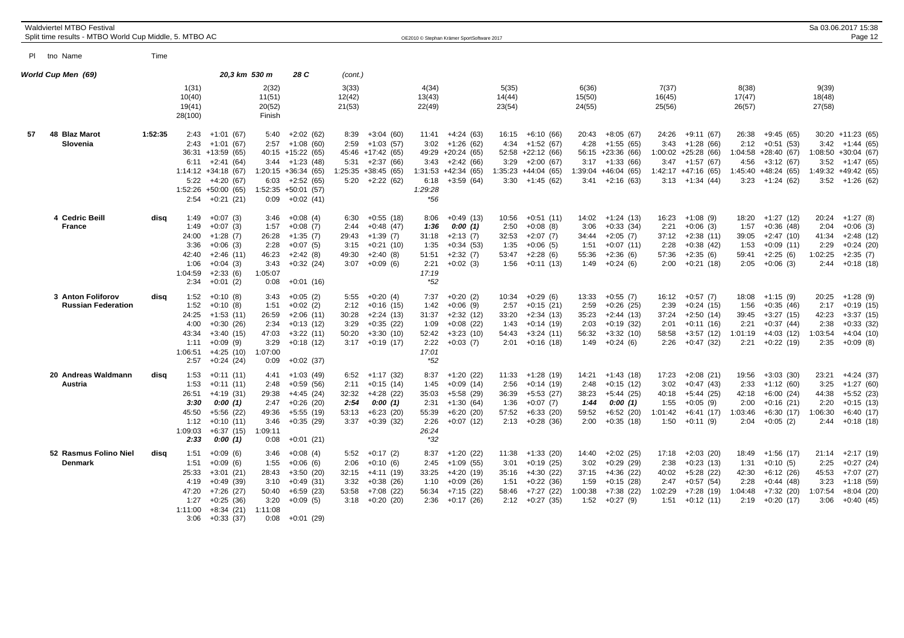|     | <b>Waldviertel MTBO Festival</b><br>Split time results - MTBO World Cup Middle, 5. MTBO AC |         |                                                                   |                                                                                                                                                |                                                                   |                                                                                                                                                  |                                                |                                                                                                                 |                                                                  | OE2010 © Stephan Krämer SportSoftware 2017                                                                       |                                                 |                                                                                                            |                                                   |                                                                                                             |                                                   |                                                                                                              |                                                   |                                                                                                             |                                                   | Sa 03.06.2017 15:38<br>Page 12                                                                                            |
|-----|--------------------------------------------------------------------------------------------|---------|-------------------------------------------------------------------|------------------------------------------------------------------------------------------------------------------------------------------------|-------------------------------------------------------------------|--------------------------------------------------------------------------------------------------------------------------------------------------|------------------------------------------------|-----------------------------------------------------------------------------------------------------------------|------------------------------------------------------------------|------------------------------------------------------------------------------------------------------------------|-------------------------------------------------|------------------------------------------------------------------------------------------------------------|---------------------------------------------------|-------------------------------------------------------------------------------------------------------------|---------------------------------------------------|--------------------------------------------------------------------------------------------------------------|---------------------------------------------------|-------------------------------------------------------------------------------------------------------------|---------------------------------------------------|---------------------------------------------------------------------------------------------------------------------------|
| PL. | tno Name                                                                                   | Time    |                                                                   |                                                                                                                                                |                                                                   |                                                                                                                                                  |                                                |                                                                                                                 |                                                                  |                                                                                                                  |                                                 |                                                                                                            |                                                   |                                                                                                             |                                                   |                                                                                                              |                                                   |                                                                                                             |                                                   |                                                                                                                           |
|     | World Cup Men (69)                                                                         |         |                                                                   | 20,3 km 530 m                                                                                                                                  |                                                                   | 28 C                                                                                                                                             | (cont.)                                        |                                                                                                                 |                                                                  |                                                                                                                  |                                                 |                                                                                                            |                                                   |                                                                                                             |                                                   |                                                                                                              |                                                   |                                                                                                             |                                                   |                                                                                                                           |
|     |                                                                                            |         | 1(31)<br>10(40)<br>19(41)<br>28(100)                              |                                                                                                                                                | 2(32)<br>11(51)<br>20(52)<br>Finish                               |                                                                                                                                                  | 3(33)<br>12(42)<br>21(53)                      |                                                                                                                 | 4(34)<br>13(43)<br>22(49)                                        |                                                                                                                  | 5(35)<br>14(44)<br>23(54)                       |                                                                                                            | 6(36)<br>15(50)<br>24(55)                         |                                                                                                             | 7(37)<br>16(45)<br>25(56)                         |                                                                                                              | 8(38)<br>17(47)<br>26(57)                         |                                                                                                             | 9(39)<br>18(48)<br>27(58)                         |                                                                                                                           |
| 57  | 48 Blaz Marot<br>Slovenia                                                                  | 1:52:35 | 2:43<br>2:43<br>6:11<br>5:22<br>2:54                              | $+1:01(67)$<br>$+1:01(67)$<br>36:31 +13:59 (65)<br>$+2:41(64)$<br>$1:14:12 + 34:18(67)$<br>$+4:20(67)$<br>$1:52:26 + 50:00(65)$<br>$+0:21(21)$ | 5:40<br>2:57<br>3:44<br>6:03<br>0:09                              | $+2:02(62)$<br>$+1:08(60)$<br>$40:15 + 15:22(65)$<br>$+1:23(48)$<br>$1:20:15 +36:34(65)$<br>$+2:52(65)$<br>$1:52:35 + 50:01$ (57)<br>$+0:02(41)$ | 8:39<br>2:59                                   | $+3:04(60)$<br>$+1:03(57)$<br>45:46 +17:42 (65)<br>$5:31 +2:37(66)$<br>$1:25:35 +38:45(65)$<br>$5:20 +2:22(62)$ | 3:02<br>6:18<br>1:29:28<br>$*56$                                 | $11:41 +4:24(63)$<br>$+1:26(62)$<br>49:29 +20:24 (65)<br>$3:43 +2:42(66)$<br>$1:31:53 +42:34(65)$<br>$+3:59(64)$ | 16:15<br>4:34<br>3:29                           | +6:10 (66)<br>$+1:52(67)$<br>$52:58 +22:12(66)$<br>$+2:00(67)$<br>$1:35:23 +44:04(65)$<br>$3:30 +1:45(62)$ | 20:43<br>4:28<br>3:17                             | $+8:05(67)$<br>$+1:55(65)$<br>56:15 +23:36 (66)<br>$+1:33(66)$<br>$1:39:04$ +46:04 (65)<br>$3:41 +2:16(63)$ | 24:26<br>3:43<br>3:47                             | +9:11 (67)<br>$+1:28(66)$<br>$1:00:02 +25:28(66)$<br>+1:57 (67)<br>$1:42:17 + 47:16(65)$<br>$3:13 +1:34(44)$ | 26:38<br>2:12<br>4:56                             | $+9:45(65)$<br>$+0:51(53)$<br>1:04:58 +28:40 (67)<br>$+3:12(67)$<br>1:45:40 +48:24 (65)<br>$3:23 +1:24(62)$ | 3:42                                              | 30:20 +11:23 (65)<br>$+1:44(65)$<br>$1:08:50 + 30:04$ (67)<br>$3:52 +1:47(65)$<br>1:49:32 +49:42 (65)<br>$3:52 +1:26(62)$ |
|     | 4 Cedric Beill<br><b>France</b>                                                            | disq    | 1:49<br>1:49<br>24:00<br>3:36<br>42:40<br>1:06<br>1:04:59<br>2:34 | $+0:07(3)$<br>$+0:07(3)$<br>$+1:28(7)$<br>$+0:06(3)$<br>$+2:46(11)$<br>$+0:04(3)$<br>$+2:33(6)$<br>$+0:01(2)$                                  | 3:46<br>1:57<br>26:28<br>2:28<br>46:23<br>3:43<br>1:05:07<br>0:08 | $+0:08(4)$<br>$+0:08(7)$<br>$+1:35(7)$<br>$+0:07(5)$<br>$+2:42(8)$<br>$+0:32(24)$<br>$+0:01(16)$                                                 | 6:30<br>2:44<br>29:43<br>3:15<br>49:30<br>3:07 | $+0:55(18)$<br>$+0:48(47)$<br>$+1:39(7)$<br>$+0:21(10)$<br>$+2:40(8)$<br>$+0.09(6)$                             | 8:06<br>1:36<br>31:18<br>1:35<br>51:51<br>2:21<br>17:19<br>$*52$ | $+0.49(13)$<br>0:00(1)<br>$+2:13(7)$<br>$+0:34(53)$<br>$+2:32(7)$<br>$+0:02(3)$                                  | 10:56<br>2:50<br>32:53<br>1:35<br>53:47<br>1:56 | $+0:51(11)$<br>$+0:08(8)$<br>$+2:07(7)$<br>$+0:06(5)$<br>$+2:28(6)$<br>$+0:11(13)$                         | 14:02<br>3:06<br>34:44<br>1:51<br>55:36<br>1:49   | $+1:24(13)$<br>$+0:33(34)$<br>$+2:05(7)$<br>$+0:07(11)$<br>$+2:36(6)$<br>$+0:24(6)$                         | 16:23<br>2:21<br>37:12<br>2:28<br>57:36<br>2:00   | $+1:08(9)$<br>$+0:06(3)$<br>$+2:38(11)$<br>$+0:38(42)$<br>$+2:35(6)$<br>$+0:21(18)$                          | 18:20<br>1:57<br>39:05<br>1:53<br>59:41<br>2:05   | $+1:27(12)$<br>$+0:36(48)$<br>$+2:47(10)$<br>$+0:09(11)$<br>$+2:25(6)$<br>$+0:06(3)$                        | 20:24<br>2:04<br>41:34<br>2:29<br>1:02:25<br>2:44 | $+1:27(8)$<br>$+0:06(3)$<br>$+2:48(12)$<br>$+0:24(20)$<br>$+2:35(7)$<br>$+0:18(18)$                                       |
|     | 3 Anton Foliforov<br><b>Russian Federation</b>                                             | disa    | 1:52<br>1:52<br>24:25<br>4:00<br>43:34<br>1:11<br>1:06:51<br>2:57 | $+0:10(8)$<br>$+0:10(8)$<br>$+1:53(11)$<br>$+0:30(26)$<br>$+3:40(15)$<br>$+0:09(9)$<br>$+4:25(10)$<br>$+0:24(24)$                              | 3:43<br>1:51<br>26:59<br>2:34<br>47:03<br>3:29<br>1:07:00<br>0:09 | $+0:05(2)$<br>$+0:02(2)$<br>$+2:06(11)$<br>$+0:13(12)$<br>$+3:22(11)$<br>$+0:18(12)$<br>$+0:02(37)$                                              | 5:55<br>2:12<br>30:28<br>3:29<br>50:20         | $+0:20(4)$<br>$+0:16(15)$<br>$+2:24(13)$<br>$+0:35(22)$<br>$+3:30(10)$<br>$3:17 +0:19(17)$                      | 7:37<br>1:42<br>31:37<br>1:09<br>52:42<br>2:22<br>17:01<br>*52   | $+0:20(2)$<br>$+0:06(9)$<br>$+2:32(12)$<br>$+0:08(22)$<br>$+3:23(10)$<br>$+0:03(7)$                              | 10:34<br>2:57<br>33:20<br>1:43<br>54:43<br>2:01 | $+0:29(6)$<br>$+0:15(21)$<br>$+2:34(13)$<br>$+0:14(19)$<br>$+3:24(11)$<br>$+0:16(18)$                      | 13:33<br>2:59<br>35:23<br>2:03<br>56:32<br>1:49   | $+0:55(7)$<br>$+0.26(25)$<br>$+2:44(13)$<br>$+0:19(32)$<br>$+3:32(10)$<br>$+0:24(6)$                        | 16:12<br>2:39<br>37:24<br>2:01<br>58:58<br>2:26   | $+0:57(7)$<br>$+0:24(15)$<br>$+2:50(14)$<br>$+0:11(16)$<br>$+3:57(12)$<br>$+0:47(32)$                        | 18:08<br>1:56<br>39:45<br>2:21<br>1:01:19<br>2:21 | $+1:15(9)$<br>$+0:35(46)$<br>$+3:27(15)$<br>$+0:37(44)$<br>$+4:03(12)$<br>$+0:22(19)$                       | 20:25<br>2:17<br>42:23<br>2:38<br>1:03:54<br>2:35 | $+1:28(9)$<br>$+0:19(15)$<br>$+3:37(15)$<br>$+0:33(32)$<br>$+4:04(10)$<br>$+0:09(8)$                                      |
|     | 20 Andreas Waldmann<br>Austria                                                             | disa    | 1:53<br>1:53<br>26:51<br>3:30<br>45:50<br>1:12<br>1:09:03<br>2:33 | $+0:11(11)$<br>$+0:11(11)$<br>$+4:19(31)$<br>0:00(1)<br>$+5:56(22)$<br>$+0:10(11)$<br>$+6:37(15)$<br>0:00(1)                                   | 4:41<br>2:48<br>29:38<br>2:47<br>49:36<br>3:46<br>1:09:11<br>0:08 | $+1:03(49)$<br>$+0.59(56)$<br>+4:45 (24)<br>$+0:26(20)$<br>$+5:55(19)$<br>$+0:35(29)$<br>$+0:01(21)$                                             | 2:11<br>32:32<br>2:54<br>53:13                 | $6:52 +1:17(32)$<br>$+0:15(14)$<br>$+4:28(22)$<br>0:00(1)<br>$+6:23(20)$<br>$3:37 +0:39(32)$                    | 8:37<br>1:45<br>35:03<br>2:31<br>55:39<br>2:26<br>26:24<br>$*32$ | $+1:20(22)$<br>$+0:09(14)$<br>+5:58 (29)<br>$+1:30(64)$<br>$+6:20(20)$<br>$+0:07(12)$                            | 2:56<br>36:39<br>1:36<br>57:52                  | $11:33 + 1:28$ (19)<br>$+0:14(19)$<br>$+5:53(27)$<br>$+0:07(7)$<br>$+6:33(20)$<br>$2:13 + 0:28$ (36)       | 14:21<br>2:48<br>38:23<br>1:44<br>59:52<br>2:00   | $+1:43(18)$<br>$+0:15(12)$<br>$+5:44(25)$<br>0:00(1)<br>$+6:52(20)$<br>$+0:35(18)$                          | 17:23<br>3:02<br>40:18<br>1:55<br>1:01:42<br>1:50 | $+2:08(21)$<br>$+0:47(43)$<br>$+5:44(25)$<br>$+0:05(9)$<br>$+6:41(17)$<br>$+0:11(9)$                         | 19:56<br>2:33<br>42:18<br>2:00<br>1:03:46<br>2:04 | $+3:03(30)$<br>$+1:12(60)$<br>$+6:00(24)$<br>$+0:16(21)$<br>$+6:30(17)$<br>$+0:05(2)$                       | 23:21<br>3:25<br>44:38<br>2:20<br>1:06:30<br>2:44 | $+4:24(37)$<br>$+1:27(60)$<br>$+5:52(23)$<br>$+0:15(13)$<br>$+6:40(17)$<br>$+0:18(18)$                                    |
|     | 52 Rasmus Folino Niel<br>Denmark                                                           | disa    | 1:51<br>1:51<br>25:33<br>4:19<br>47:20<br>1:27<br>1:11:00<br>3:06 | $+0:09(6)$<br>$+0:09(6)$<br>$+3:01(21)$<br>$+0:49(39)$<br>$+7:26(27)$<br>$+0:25(36)$<br>$+8:34(21)$<br>$+0:33(37)$                             | 3:46<br>1:55<br>28:43<br>3:10<br>50:40<br>3:20<br>1:11:08<br>0:08 | $+0:08(4)$<br>$+0:06(6)$<br>$+3:50(20)$<br>$+0:49(31)$<br>$+6:59(23)$<br>$+0:09(5)$<br>$+0:01(29)$                                               | 5:52<br>2:06<br>32:15<br>3:32                  | $+0:17(2)$<br>$+0:10(6)$<br>$+4:11(19)$<br>$+0:38(26)$<br>$53:58$ +7:08 (22)<br>$3:18 + 0:20(20)$               | 8:37<br>2:45<br>33:25<br>1:10<br>56:34<br>2:36                   | $+1:20(22)$<br>$+1:09(55)$<br>$+4:20(19)$<br>$+0:09(26)$<br>$+7:15(22)$<br>$+0:17(26)$                           | 11:38<br>3:01<br>35:16<br>1:51<br>58:46<br>2:12 | $+1:33(20)$<br>$+0:19(25)$<br>$+4:30(22)$<br>$+0:22(36)$<br>+7:27 (22)<br>+0:27 (35)                       | 14:40<br>3:02<br>37:15<br>1:59<br>1:00:38<br>1:52 | $+2:02(25)$<br>$+0.29(29)$<br>$+4:36(22)$<br>$+0:15(28)$<br>+7:38 (22)<br>$+0:27(9)$                        | 17:18<br>2:38<br>40:02<br>2:47<br>1:02:29<br>1:51 | $+2:03(20)$<br>$+0:23(13)$<br>$+5:28(22)$<br>$+0.57(54)$<br>$+7:28(19)$<br>$+0:12(11)$                       | 18:49<br>1:31<br>42:30<br>2:28<br>1:04:48<br>2:19 | $+1:56(17)$<br>$+0:10(5)$<br>$+6:12(26)$<br>$+0:44(48)$<br>+7:32 (20)<br>+0:20 (17)                         | 21:14<br>2:25<br>45:53<br>3:23<br>1:07:54<br>3:06 | $+2:17(19)$<br>$+0:27(24)$<br>$+7:07(27)$<br>$+1:18(59)$<br>$+8:04(20)$<br>$+0:40(45)$                                    |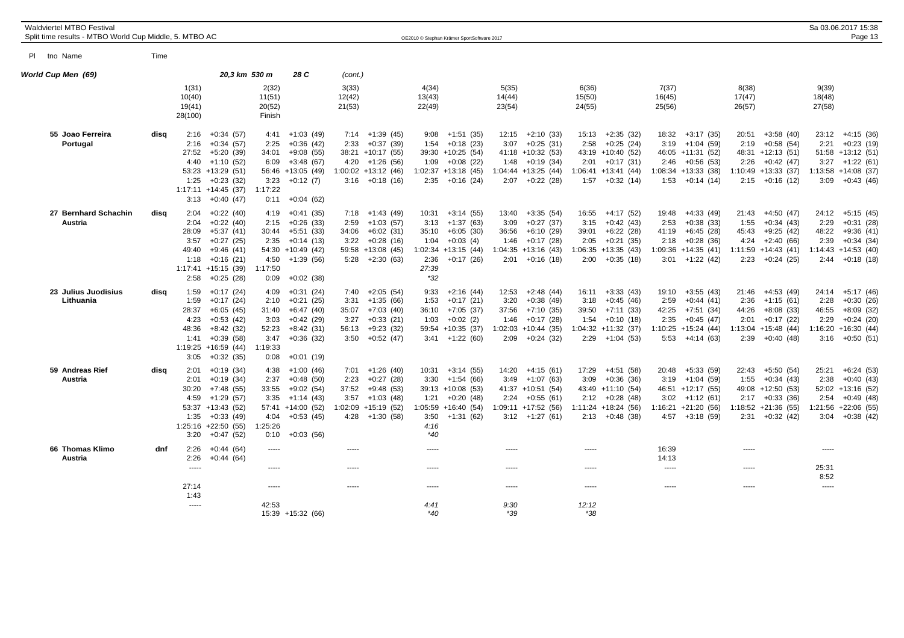| <b>Waldviertel MTBO Festival</b><br>Split time results - MTBO World Cup Middle, 5. MTBO AC |      |                                                        |                                                                                                                                       |                                                                   |                                                                                                             |                           |                                                                                                                       |                                                 | OE2010 © Stephan Krämer SportSoftware 2017                                                                            |                                |                                                                                                                 |                                |                                                                                                                     |                                |                                                                                                                       |                                                   |                                                                                                                   |                                        | Sa 03.06.2017 15:38<br>Page 13                                                                                     |
|--------------------------------------------------------------------------------------------|------|--------------------------------------------------------|---------------------------------------------------------------------------------------------------------------------------------------|-------------------------------------------------------------------|-------------------------------------------------------------------------------------------------------------|---------------------------|-----------------------------------------------------------------------------------------------------------------------|-------------------------------------------------|-----------------------------------------------------------------------------------------------------------------------|--------------------------------|-----------------------------------------------------------------------------------------------------------------|--------------------------------|---------------------------------------------------------------------------------------------------------------------|--------------------------------|-----------------------------------------------------------------------------------------------------------------------|---------------------------------------------------|-------------------------------------------------------------------------------------------------------------------|----------------------------------------|--------------------------------------------------------------------------------------------------------------------|
| PI tho Name                                                                                | Time |                                                        |                                                                                                                                       |                                                                   |                                                                                                             |                           |                                                                                                                       |                                                 |                                                                                                                       |                                |                                                                                                                 |                                |                                                                                                                     |                                |                                                                                                                       |                                                   |                                                                                                                   |                                        |                                                                                                                    |
| World Cup Men (69)                                                                         |      |                                                        | 20,3 km 530 m                                                                                                                         |                                                                   | 28 C                                                                                                        | (cont.)                   |                                                                                                                       |                                                 |                                                                                                                       |                                |                                                                                                                 |                                |                                                                                                                     |                                |                                                                                                                       |                                                   |                                                                                                                   |                                        |                                                                                                                    |
|                                                                                            |      | 1(31)<br>10(40)<br>19(41)<br>28(100)                   |                                                                                                                                       | 2(32)<br>11(51)<br>20(52)<br>Finish                               |                                                                                                             | 3(33)<br>12(42)<br>21(53) |                                                                                                                       | 4(34)<br>13(43)<br>22(49)                       |                                                                                                                       | 5(35)<br>14(44)<br>23(54)      |                                                                                                                 | 6(36)<br>15(50)<br>24(55)      |                                                                                                                     | 7(37)<br>16(45)<br>25(56)      |                                                                                                                       | 8(38)<br>17(47)<br>26(57)                         |                                                                                                                   | 9(39)<br>18(48)<br>27(58)              |                                                                                                                    |
| 55 Joao Ferreira<br>Portugal                                                               | disa | 2:16<br>2:16<br>27:52<br>4:40<br>1:25<br>3:13          | $+0:34(57)$<br>$+0:34(57)$<br>+5:20 (39)<br>$+1:10(52)$<br>$53:23 +13:29(51)$<br>$+0:23(32)$<br>$1:17:11 + 14:45$ (37)<br>$+0:40(47)$ | 4:41<br>2:25<br>34:01<br>6:09<br>3:23<br>1:17:22<br>0:11          | $+1:03(49)$<br>$+0:36(42)$<br>$+9:08(55)$<br>$+3:48(67)$<br>56:46 +13:05 (49)<br>$+0:12(7)$<br>$+0:04(62)$  | 7:14<br>2:33              | +1:39 (45)<br>$+0:37(39)$<br>38:21 +10:17 (55)<br>$4:20 +1:26(56)$<br>$1:00:02 +13:12(46)$<br>$3:16 + 0:18(16)$       | 9:08<br>1:54<br>1:09<br>2:35                    | $+1:51(35)$<br>$+0:18(23)$<br>39:30 +10:25 (54)<br>$+0:08(22)$<br>$1:02:37$ +13:18 (45)<br>$+0:16(24)$                | 12:15<br>3:07<br>1:48          | $+2:10(33)$<br>$+0:25(31)$<br>41:18 +10:32 (53)<br>$+0:19(34)$<br>$1:04:44$ +13:25 (44)<br>$2:07 +0:22(28)$     | 15:13<br>2:58<br>2:01          | $+2:35(32)$<br>$+0:25(24)$<br>43:19 +10:40 (52)<br>$+0:17(31)$<br>$1:06:41 +13:41 (44)$<br>$1:57 + 0:32(14)$        | 18:32                          | $+3:17(35)$<br>$3:19 +1:04(59)$<br>46:05 +11:31 (52)<br>$2:46$ +0:56 (53)<br>$1:08:34 +13:33(38)$<br>$1:53 +0:14(14)$ | 20:51<br>2:19<br>2:26                             | $+3:58(40)$<br>$+0.58(54)$<br>48:31 +12:13 (51)<br>$+0:42(47)$<br>$1:10:49$ +13:33 (37)<br>$2:15 + 0:16$ (12)     | 23:12<br>2:21                          | $+4:15(36)$<br>$+0:23(19)$<br>$51:58$ +13:12 (51)<br>$3:27 +1:22(61)$<br>$1:13:58$ +14:08 (37)<br>$3:09 +0:43(46)$ |
| 27 Bernhard Schachin<br>Austria                                                            | disg | 2:04<br>2:04<br>28:09<br>3:57<br>49:40<br>1:18<br>2:58 | $+0:22(40)$<br>$+0:22(40)$<br>$+5:37(41)$<br>$+0:27(25)$<br>$+9:46(41)$<br>$+0:16(21)$<br>$1:17:41$ +15:15 (39)<br>$+0:25(28)$        | 4:19<br>2:15<br>30:44<br>2:35<br>4:50<br>1:17:50<br>0:09          | $+0:41(35)$<br>$+0:26(33)$<br>$+5:51(33)$<br>$+0:14(13)$<br>54:30 +10:49 (42)<br>$+1:39(56)$<br>$+0:02(38)$ | 2:59<br>34:06<br>3:22     | $7:18$ +1:43 (49)<br>$+1:03(57)$<br>$+6:02(31)$<br>$+0:28(16)$<br>59:58 +13:08 (45)<br>$5:28 +2:30(63)$               | 10:31<br>3:13<br>1:04<br>2:36<br>27:39<br>$*32$ | $+3:14(55)$<br>$+1:37(63)$<br>$35:10 + 6:05(30)$<br>$+0:03(4)$<br>$1:02:34$ +13:15 (44)<br>$+0:17(26)$                | 13:40<br>3:09<br>36:56<br>1:46 | $+3:35(54)$<br>$+0:27(37)$<br>$+6:10(29)$<br>$+0:17(28)$<br>$1:04:35 +13:16(43)$<br>$2:01 + 0:16(18)$           | 16:55<br>3:15<br>39:01<br>2:05 | $+4:17(52)$<br>$+0:42(43)$<br>$+6:22(28)$<br>$+0:21(35)$<br>$1:06:35 +13:35(43)$<br>$2:00 +0:35(18)$                | 19:48<br>2:53<br>41:19         | $+4:33(49)$<br>$+0:38(33)$<br>$+6:45(28)$<br>$2:18 + 0:28$ (36)<br>$1:09:36 +14:35(41)$<br>$3:01 +1:22(42)$           | 21:43<br>1:55<br>45:43<br>4:24<br>2:23            | +4:50 (47)<br>$+0:34(43)$<br>$+9:25(42)$<br>$+2:40(66)$<br>$1:11:59$ +14:43 (41)<br>$+0:24(25)$                   | 24:12<br>2:29<br>48:22<br>2:39<br>2:44 | $+5:15(45)$<br>$+0:31(28)$<br>$+9:36(41)$<br>$+0:34(34)$<br>$1:14:43 + 14:53(40)$<br>$+0:18(18)$                   |
| 23 Julius Juodisius<br>Lithuania                                                           | disg | 1:59<br>1:59<br>28:37<br>4:23<br>48:36<br>1:41<br>3:05 | $+0:17(24)$<br>$+0:17(24)$<br>$+6:05(45)$<br>$+0:53(42)$<br>$+8:42(32)$<br>$+0:39(58)$<br>$1:19:25 + 16:59(44)$<br>$+0:32(35)$        | 4:09<br>2:10<br>31:40<br>3:03<br>52:23<br>3:47<br>1:19:33<br>0:08 | $+0:31(24)$<br>$+0:21(25)$<br>$+6:47(40)$<br>$+0:42(29)$<br>$+8:42(31)$<br>$+0:36(32)$<br>$+0:01(19)$       | 3:31<br>56:13             | $7:40 +2:05(54)$<br>$+1:35(66)$<br>35:07 +7:03 (40)<br>$3:27 +0:33(21)$<br>$+9:23(32)$<br>$3:50 + 0:52(47)$           | 9:33<br>1:53<br>36:10<br>1:03                   | $+2:16(44)$<br>$+0:17(21)$<br>+7:05 (37)<br>$+0:02(2)$<br>59:54 +10:35 (37)<br>$3:41 +1:22(60)$                       | 12:53<br>3:20<br>1:46          | $+2:48(44)$<br>$+0.38(49)$<br>$37:56 +7:10(35)$<br>$+0:17(28)$<br>$1:02:03$ +10:44 (35)<br>$2:09 +0:24(32)$     | 16:11<br>3:18<br>39:50<br>1:54 | $+3:33(43)$<br>$+0:45(46)$<br>+7:11 (33)<br>$+0:10(18)$<br>$1:04:32 +11:32$ (37)<br>$2:29 +1:04(53)$                | 19:10<br>2:59<br>42:25<br>2:35 | $+3:55(43)$<br>$+0:44(41)$<br>+7:51 (34)<br>$+0:45(47)$<br>$1:10:25 + 15:24(44)$<br>$5:53 +4:14(63)$                  | 21:46<br>2:36<br>44:26<br>2:01<br>1:13:04<br>2:39 | $+4:53(49)$<br>$+1:15(61)$<br>$+8:08(33)$<br>$+0:17(22)$<br>$+15:48(44)$<br>$+0:40(48)$                           | 24:14<br>2:28<br>46:55<br>2:29         | $+5:17(46)$<br>$+0:30(26)$<br>+8:09 (32)<br>$+0:24(20)$<br>$1:16:20 + 16:30(44)$<br>$3:16 + 0:50(51)$              |
| 59 Andreas Rief<br>Austria                                                                 | disg | 2:01<br>2:01<br>30:20<br>4:59<br>1:35<br>3:20          | $+0:19(34)$<br>$+0:19(34)$<br>$+7:48(55)$<br>$+1:29(57)$<br>53:37 +13:43 (52)<br>$+0:33(49)$<br>$1:25:16$ +22:50 (55)<br>$+0:47(52)$  | 4:38<br>2:37<br>33:55<br>3:35<br>4:04<br>1:25:26<br>0:10          | $+1:00(46)$<br>$+0:48(50)$<br>$+9:02(54)$<br>$+1:14(43)$<br>57:41 +14:00 (52)<br>$+0:53(45)$<br>$+0:03(56)$ | 2:23                      | $7:01 +1:26(40)$<br>$+0:27(28)$<br>$37:52 +9:48(53)$<br>$3:57 +1:03(48)$<br>$1:02:09$ +15:19 (52)<br>$4:28 +1:30(58)$ | 3:30<br>3:50<br>4:16<br>$*40$                   | $10:31 +3:14(55)$<br>$+1:54(66)$<br>$39:13 + 10:08$ (53)<br>$1:21 + 0:20(48)$<br>$1:05:59$ +16:40 (54)<br>$+1:31(62)$ | 14:20<br>3:49                  | +4:15 (61)<br>+1:07 (63)<br>41:37 +10:51 (54)<br>$2:24 +0:55(61)$<br>$1:09:11 + 17:52$ (56)<br>$3:12 +1:27(61)$ | 17:29<br>3:09                  | $+4:51(58)$<br>$+0:36(36)$<br>43:49 +11:10 (54)<br>$2:12 + 0:28(48)$<br>$1:11:24$ +18:24 (56)<br>$2:13 + 0:48$ (38) | 20:48                          | $+5:33(59)$<br>$3:19 +1:04(59)$<br>46:51 +12:17 (55)<br>$3:02 +1:12(61)$<br>$1:16:21 +21:20(56)$<br>$4:57 +3:18(59)$  | 22:43<br>1:55                                     | $+5:50(54)$<br>$+0:34(43)$<br>49:08 +12:50 (53)<br>$2:17 + 0:33(36)$<br>$1:18:52 +21:36(55)$<br>$2:31 + 0:32(42)$ | 25:21<br>2:38<br>2:54                  | $+6:24(53)$<br>$+0:40(43)$<br>$52:02 +13:16(52)$<br>$+0.49(48)$<br>1:21:56 +22:06 (55)<br>$3:04 +0:38(42)$         |
| 66 Thomas Klimo<br>Austria                                                                 | dnf  | 2:26<br>2:26                                           | $+0:44(64)$<br>$+0:44(64)$                                                                                                            | 1.1.1.1                                                           |                                                                                                             | -----                     |                                                                                                                       | -----                                           |                                                                                                                       | -----                          |                                                                                                                 | -----                          |                                                                                                                     | 16:39<br>14:13                 |                                                                                                                       | -----                                             |                                                                                                                   | -----                                  |                                                                                                                    |
|                                                                                            |      | $- - - - -$                                            |                                                                                                                                       | $- - - - -$                                                       |                                                                                                             | -----                     |                                                                                                                       | -----                                           |                                                                                                                       | $- - - - -$                    |                                                                                                                 | $- - - - -$                    |                                                                                                                     | $- - - - -$                    |                                                                                                                       | -----                                             |                                                                                                                   | 25:31<br>8:52                          |                                                                                                                    |
|                                                                                            |      | 27:14<br>1:43                                          |                                                                                                                                       | -----                                                             |                                                                                                             | $- - - - -$               |                                                                                                                       | $- - - - -$                                     |                                                                                                                       | -----                          |                                                                                                                 | -----                          |                                                                                                                     | 1.1.1.1                        |                                                                                                                       | -----                                             |                                                                                                                   | 1.1.1.1                                |                                                                                                                    |
|                                                                                            |      | -----                                                  |                                                                                                                                       | 42:53                                                             | 15:39 +15:32 (66)                                                                                           |                           |                                                                                                                       | 4:41<br>$*40$                                   |                                                                                                                       | 9:30<br>$*39$                  |                                                                                                                 | 12:12<br>*38                   |                                                                                                                     |                                |                                                                                                                       |                                                   |                                                                                                                   |                                        |                                                                                                                    |